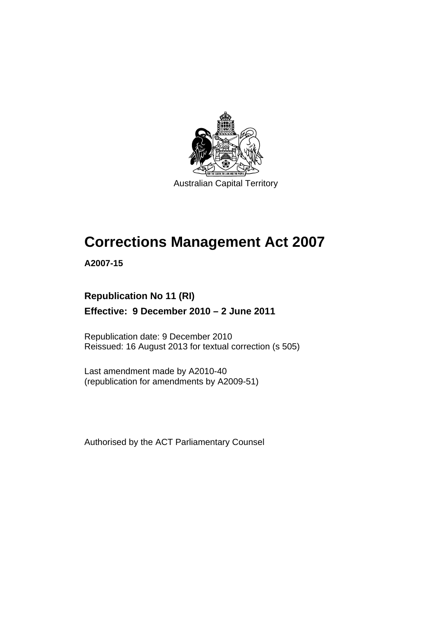

Australian Capital Territory

# **Corrections Management Act 2007**

**A2007-15** 

### **Republication No 11 (RI) Effective: 9 December 2010 – 2 June 2011**

Republication date: 9 December 2010 Reissued: 16 August 2013 for textual correction (s 505)

Last amendment made by A2010-40 (republication for amendments by A2009-51)

Authorised by the ACT Parliamentary Counsel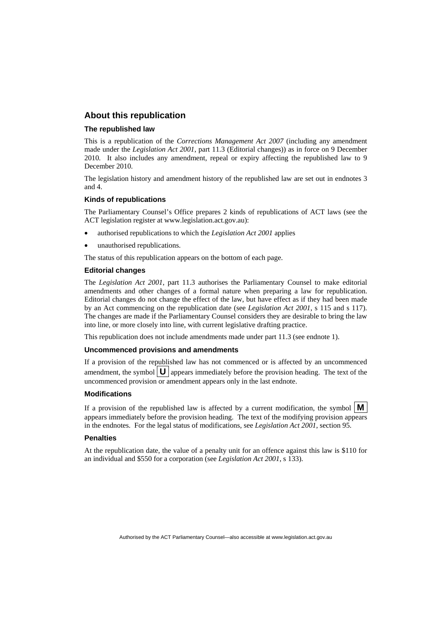#### **About this republication**

#### **The republished law**

This is a republication of the *Corrections Management Act 2007* (including any amendment made under the *Legislation Act 2001*, part 11.3 (Editorial changes)) as in force on 9 December 2010*.* It also includes any amendment, repeal or expiry affecting the republished law to 9 December 2010.

The legislation history and amendment history of the republished law are set out in endnotes 3 and 4.

#### **Kinds of republications**

The Parliamentary Counsel's Office prepares 2 kinds of republications of ACT laws (see the ACT legislation register at www.legislation.act.gov.au):

- authorised republications to which the *Legislation Act 2001* applies
- unauthorised republications.

The status of this republication appears on the bottom of each page.

#### **Editorial changes**

The *Legislation Act 2001*, part 11.3 authorises the Parliamentary Counsel to make editorial amendments and other changes of a formal nature when preparing a law for republication. Editorial changes do not change the effect of the law, but have effect as if they had been made by an Act commencing on the republication date (see *Legislation Act 2001*, s 115 and s 117). The changes are made if the Parliamentary Counsel considers they are desirable to bring the law into line, or more closely into line, with current legislative drafting practice.

This republication does not include amendments made under part 11.3 (see endnote 1).

#### **Uncommenced provisions and amendments**

If a provision of the republished law has not commenced or is affected by an uncommenced amendment, the symbol  $\mathbf{U}$  appears immediately before the provision heading. The text of the uncommenced provision or amendment appears only in the last endnote.

#### **Modifications**

If a provision of the republished law is affected by a current modification, the symbol  $\mathbf{M}$ appears immediately before the provision heading. The text of the modifying provision appears in the endnotes. For the legal status of modifications, see *Legislation Act 2001*, section 95.

#### **Penalties**

At the republication date, the value of a penalty unit for an offence against this law is \$110 for an individual and \$550 for a corporation (see *Legislation Act 2001*, s 133).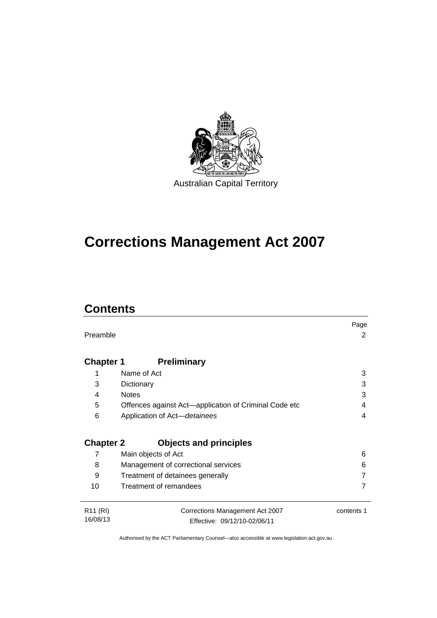

# **Corrections Management Act 2007**

## **Contents**

|                      |                                                       | Page       |
|----------------------|-------------------------------------------------------|------------|
| Preamble             |                                                       | 2          |
|                      |                                                       |            |
| <b>Chapter 1</b>     | <b>Preliminary</b>                                    |            |
| 1                    | Name of Act                                           | 3          |
| 3                    | Dictionary                                            | 3          |
| 4                    | <b>Notes</b>                                          | 3          |
| 5                    | Offences against Act-application of Criminal Code etc | 4          |
| 6                    | Application of Act-detainees                          | 4          |
|                      |                                                       |            |
| <b>Chapter 2</b>     | <b>Objects and principles</b>                         |            |
| 7                    | Main objects of Act                                   | 6          |
| 8                    | Management of correctional services                   | 6          |
| 9                    | Treatment of detainees generally                      |            |
| 10                   | Treatment of remandees                                |            |
|                      |                                                       |            |
| R <sub>11</sub> (RI) | Corrections Management Act 2007                       | contents 1 |
| 16/08/13             | Effective: 09/12/10-02/06/11                          |            |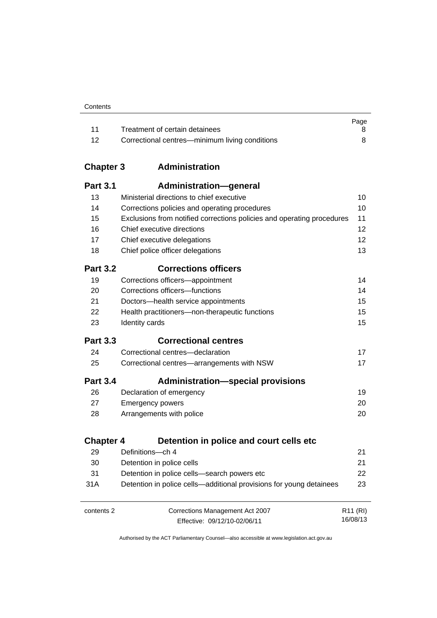|       |                                                | Page |
|-------|------------------------------------------------|------|
| $-11$ | Treatment of certain detainees                 |      |
| -12   | Correctional centres—minimum living conditions |      |

### **Chapter 3 [Administration](#page-23-0)**

| <b>Part 3.1</b>  | <b>Administration-general</b>                                          |                      |
|------------------|------------------------------------------------------------------------|----------------------|
| 13               | Ministerial directions to chief executive                              | 10                   |
| 14               | Corrections policies and operating procedures                          | 10                   |
| 15               | Exclusions from notified corrections policies and operating procedures | 11                   |
| 16               | Chief executive directions                                             | 12                   |
| 17               | Chief executive delegations                                            | 12                   |
| 18               | Chief police officer delegations                                       | 13                   |
| <b>Part 3.2</b>  | <b>Corrections officers</b>                                            |                      |
| 19               | Corrections officers-appointment                                       | 14                   |
| 20               | Corrections officers-functions                                         | 14                   |
| 21               | Doctors-health service appointments                                    | 15                   |
| 22               | Health practitioners-non-therapeutic functions                         | 15                   |
| 23               | Identity cards                                                         | 15                   |
| <b>Part 3.3</b>  | <b>Correctional centres</b>                                            |                      |
| 24               | Correctional centres-declaration                                       | 17                   |
| 25               | Correctional centres-arrangements with NSW                             | 17                   |
| <b>Part 3.4</b>  | <b>Administration-special provisions</b>                               |                      |
| 26               | Declaration of emergency                                               | 19                   |
| 27               | <b>Emergency powers</b>                                                | 20                   |
| 28               | Arrangements with police                                               | 20                   |
| <b>Chapter 4</b> | Detention in police and court cells etc                                |                      |
| 29               | Definitions-ch 4                                                       | 21                   |
| 30               | Detention in police cells                                              | 21                   |
| 31               | Detention in police cells-search powers etc                            | 22                   |
| 31A              | Detention in police cells—additional provisions for young detainees    | 23                   |
|                  |                                                                        |                      |
| contents 2       | Corrections Management Act 2007                                        | R <sub>11</sub> (RI) |
|                  | Effective: 09/12/10-02/06/11                                           | 16/08/13             |

Effective: 09/12/10-02/06/11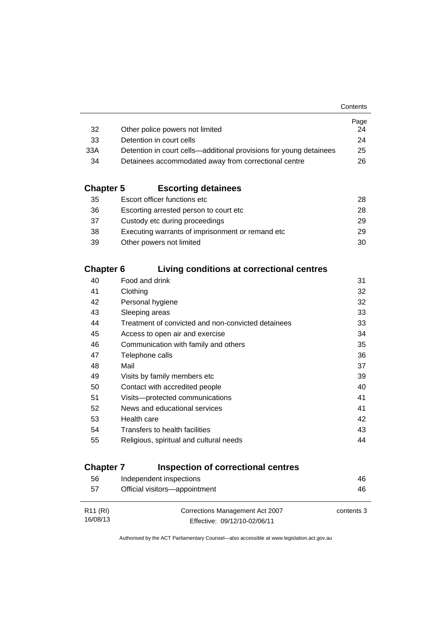|                                                                    | Page |
|--------------------------------------------------------------------|------|
| Other police powers not limited                                    | 24   |
| Detention in court cells                                           | 24   |
| Detention in court cells—additional provisions for young detainees | 25   |
| Detainees accommodated away from correctional centre               | 26.  |
|                                                                    |      |

### **Chapter 5 [Escorting detainees](#page-41-0)**

| 35 | Escort officer functions etc                      | 28. |
|----|---------------------------------------------------|-----|
| 36 | Escorting arrested person to court etc.           | 28. |
| 37 | Custody etc during proceedings                    | 29. |
| 38 | Executing warrants of imprisonment or remand etc. | 29  |
| 39 | Other powers not limited                          | 30  |

### **Chapter 6 [Living conditions at correctional centres](#page-44-0)**

| 40 | Food and drink                                     | 31 |
|----|----------------------------------------------------|----|
| 41 | Clothing                                           | 32 |
| 42 | Personal hygiene                                   | 32 |
| 43 | Sleeping areas                                     | 33 |
| 44 | Treatment of convicted and non-convicted detainees | 33 |
| 45 | Access to open air and exercise                    | 34 |
| 46 | Communication with family and others               | 35 |
| 47 | Telephone calls                                    | 36 |
| 48 | Mail                                               | 37 |
| 49 | Visits by family members etc                       | 39 |
| 50 | Contact with accredited people                     | 40 |
| 51 | Visits---protected communications                  | 41 |
| 52 | News and educational services                      | 41 |
| 53 | Health care                                        | 42 |
| 54 | Transfers to health facilities                     | 43 |
| 55 | Religious, spiritual and cultural needs            | 44 |
|    |                                                    |    |

### **Chapter 7 [Inspection of correctional centres](#page-59-0)**

| 56                   | Independent inspections         | 46         |
|----------------------|---------------------------------|------------|
| 57                   | Official visitors-appointment   | 46         |
|                      |                                 |            |
| R <sub>11</sub> (RI) | Corrections Management Act 2007 | contents 3 |
| 16/08/13             | Effective: 09/12/10-02/06/11    |            |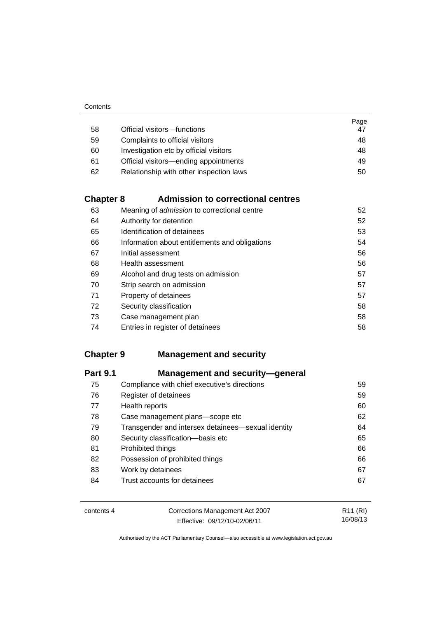|    |                                         | Page |
|----|-----------------------------------------|------|
| 58 | Official visitors-functions             | 47   |
| 59 | Complaints to official visitors         | 48   |
| 60 | Investigation etc by official visitors  | 48   |
| 61 | Official visitors—ending appointments   | 49   |
| 62 | Relationship with other inspection laws | 50   |

### **Chapter 8 [Admission to correctional centres](#page-65-0)**

| 63 | Meaning of admission to correctional centre    | 52 |
|----|------------------------------------------------|----|
| 64 | Authority for detention                        | 52 |
| 65 | Identification of detainees                    | 53 |
| 66 | Information about entitlements and obligations | 54 |
| 67 | Initial assessment                             | 56 |
| 68 | Health assessment                              | 56 |
| 69 | Alcohol and drug tests on admission            | 57 |
| 70 | Strip search on admission                      | 57 |
| 71 | Property of detainees                          | 57 |
| 72 | Security classification                        | 58 |
| 73 | Case management plan                           | 58 |
| 74 | Entries in register of detainees               | 58 |

### **Chapter 9 [Management and security](#page-72-0)**

| <b>Part 9.1</b> | <b>Management and security-general</b>             |    |
|-----------------|----------------------------------------------------|----|
| 75              | Compliance with chief executive's directions       | 59 |
| 76              | Register of detainees                              | 59 |
| 77              | Health reports                                     | 60 |
| 78              | Case management plans-scope etc                    | 62 |
| 79              | Transgender and intersex detainees—sexual identity | 64 |
| 80              | Security classification-basis etc                  | 65 |
| 81              | Prohibited things                                  | 66 |
| 82              | Possession of prohibited things                    | 66 |
| 83              | Work by detainees                                  | 67 |
| 84              | Trust accounts for detainees                       | 67 |

| contents 4 | Corrections Management Act 2007 | R11 (RI) |
|------------|---------------------------------|----------|
|            | Effective: 09/12/10-02/06/11    | 16/08/13 |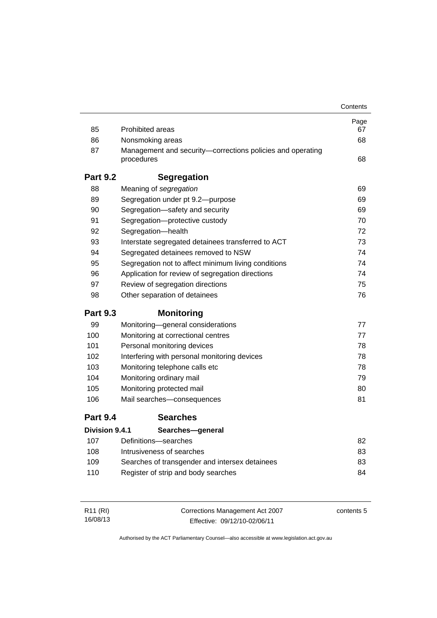|                 |                                                                          | Contents |
|-----------------|--------------------------------------------------------------------------|----------|
|                 |                                                                          | Page     |
| 85              | <b>Prohibited areas</b>                                                  | 67       |
| 86              | Nonsmoking areas                                                         | 68       |
| 87              | Management and security-corrections policies and operating<br>procedures | 68       |
| <b>Part 9.2</b> | <b>Segregation</b>                                                       |          |
| 88              | Meaning of segregation                                                   | 69       |
| 89              | Segregation under pt 9.2-purpose                                         | 69       |
| 90              | Segregation-safety and security                                          | 69       |
| 91              | Segregation-protective custody                                           | 70       |
| 92              | Segregation-health                                                       | 72       |
| 93              | Interstate segregated detainees transferred to ACT                       | 73       |
| 94              | Segregated detainees removed to NSW                                      | 74       |
| 95              | Segregation not to affect minimum living conditions                      | 74       |
| 96              | Application for review of segregation directions                         | 74       |
| 97              | Review of segregation directions                                         | 75       |
| 98              | Other separation of detainees                                            | 76       |
| <b>Part 9.3</b> | <b>Monitoring</b>                                                        |          |
| 99              | Monitoring-general considerations                                        | 77       |
| 100             | Monitoring at correctional centres                                       | 77       |
| 101             | Personal monitoring devices                                              | 78       |
| 102             | Interfering with personal monitoring devices                             | 78       |
| 103             | Monitoring telephone calls etc                                           | 78       |
| 104             | Monitoring ordinary mail                                                 | 79       |
| 105             | Monitoring protected mail                                                | 80       |
| 106             | Mail searches-consequences                                               | 81       |
| <b>Part 9.4</b> | <b>Searches</b>                                                          |          |
| Division 9.4.1  | Searches-general                                                         |          |
| 107             | Definitions-searches                                                     | 82       |
| 108             | Intrusiveness of searches                                                | 83       |
| 109             | Searches of transgender and intersex detainees                           | 83       |
| 110             | Register of strip and body searches                                      | 84       |
|                 |                                                                          |          |

| R11 (RI) | Corrections Management Act 2007 | contents 5 |
|----------|---------------------------------|------------|
| 16/08/13 | Effective: 09/12/10-02/06/11    |            |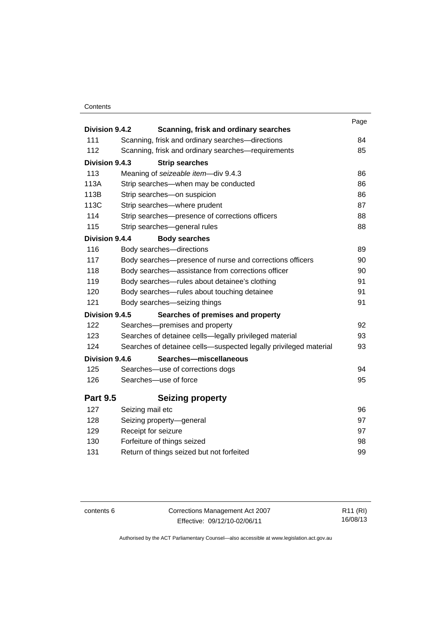#### **Contents**

| Division 9.4.2  |                                                                  | Page |
|-----------------|------------------------------------------------------------------|------|
| 111             | Scanning, frisk and ordinary searches                            | 84   |
|                 | Scanning, frisk and ordinary searches-directions                 |      |
| 112             | Scanning, frisk and ordinary searches-requirements               | 85   |
| Division 9.4.3  | <b>Strip searches</b>                                            |      |
| 113             | Meaning of seizeable item-div 9.4.3                              | 86   |
| 113A            | Strip searches-when may be conducted                             | 86   |
| 113B            | Strip searches-on suspicion                                      | 86   |
| 113C            | Strip searches-where prudent                                     | 87   |
| 114             | Strip searches-presence of corrections officers                  | 88   |
| 115             | Strip searches-general rules                                     | 88   |
| Division 9.4.4  | <b>Body searches</b>                                             |      |
| 116             | Body searches-directions                                         | 89   |
| 117             | Body searches-presence of nurse and corrections officers         | 90   |
| 118             | Body searches—assistance from corrections officer                | 90   |
| 119             | Body searches-rules about detainee's clothing                    | 91   |
| 120             | Body searches—rules about touching detainee                      | 91   |
| 121             | Body searches-seizing things                                     | 91   |
| Division 9.4.5  | Searches of premises and property                                |      |
| 122             | Searches-premises and property                                   | 92   |
| 123             | Searches of detainee cells-legally privileged material           | 93   |
| 124             | Searches of detainee cells-suspected legally privileged material | 93   |
| Division 9.4.6  | Searches-miscellaneous                                           |      |
| 125             | Searches-use of corrections dogs                                 | 94   |
| 126             | Searches-use of force                                            | 95   |
| <b>Part 9.5</b> | <b>Seizing property</b>                                          |      |
| 127             | Seizing mail etc                                                 | 96   |
| 128             | Seizing property-general                                         | 97   |
| 129             | Receipt for seizure                                              | 97   |
| 130             | Forfeiture of things seized                                      | 98   |
| 131             | Return of things seized but not forfeited                        | 99   |
|                 |                                                                  |      |

contents 6 Corrections Management Act 2007 Effective: 09/12/10-02/06/11

R11 (RI) 16/08/13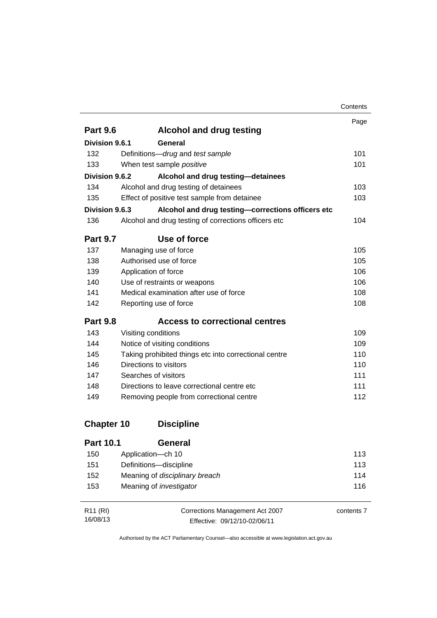|                       |                                                       | Contents |
|-----------------------|-------------------------------------------------------|----------|
|                       |                                                       | Page     |
| <b>Part 9.6</b>       | <b>Alcohol and drug testing</b>                       |          |
| Division 9.6.1        | General                                               |          |
| 132                   | Definitions-drug and test sample                      | 101      |
| 133                   | When test sample positive                             | 101      |
| Division 9.6.2        | Alcohol and drug testing-detainees                    |          |
| 134                   | Alcohol and drug testing of detainees                 | 103      |
| 135                   | Effect of positive test sample from detainee          | 103      |
| <b>Division 9.6.3</b> | Alcohol and drug testing-corrections officers etc     |          |
| 136                   | Alcohol and drug testing of corrections officers etc  | 104      |
| <b>Part 9.7</b>       | Use of force                                          |          |
| 137                   | Managing use of force                                 | 105      |
| 138                   | Authorised use of force                               | 105      |
| 139                   | Application of force                                  | 106      |
| 140                   | Use of restraints or weapons                          | 106      |
| 141                   | Medical examination after use of force                | 108      |
| 142                   | Reporting use of force                                | 108      |
| <b>Part 9.8</b>       | <b>Access to correctional centres</b>                 |          |
| 143                   | Visiting conditions                                   | 109      |
| 144                   | Notice of visiting conditions                         | 109      |
| 145                   | Taking prohibited things etc into correctional centre | 110      |
| 146                   | Directions to visitors                                | 110      |
| 147                   | Searches of visitors                                  | 111      |
| 148                   | Directions to leave correctional centre etc.          | 111      |
| 149                   | Removing people from correctional centre              | 112      |
| <b>Chapter 10</b>     | <b>Discipline</b>                                     |          |
| <b>Part 10.1</b>      | General                                               |          |
| 150                   | Application-ch 10                                     | 113      |
| 151                   | Definitions-discipline                                | 113      |

| R11 (RI) | Corrections Management Act 2007 | contents 7 |
|----------|---------------------------------|------------|
| 16/08/13 | Effective: 09/12/10-02/06/11    |            |

Authorised by the ACT Parliamentary Counsel—also accessible at www.legislation.act.gov.au

152 Meaning of *disciplinary breach* [114](#page-127-0) 153 Meaning of *investigator* [116](#page-129-0)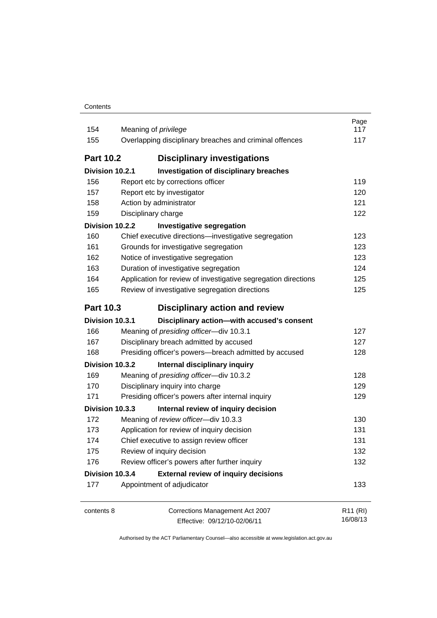| Contents |
|----------|
|----------|

| 154<br>155       | Meaning of <i>privilege</i><br>Overlapping disciplinary breaches and criminal offences | Page<br>117<br>117               |
|------------------|----------------------------------------------------------------------------------------|----------------------------------|
| <b>Part 10.2</b> | <b>Disciplinary investigations</b>                                                     |                                  |
| Division 10.2.1  | Investigation of disciplinary breaches                                                 |                                  |
| 156              | Report etc by corrections officer                                                      | 119                              |
| 157              | Report etc by investigator                                                             | 120                              |
| 158              | Action by administrator                                                                | 121                              |
| 159              | Disciplinary charge                                                                    | 122                              |
| Division 10.2.2  | <b>Investigative segregation</b>                                                       |                                  |
| 160              | Chief executive directions-investigative segregation                                   | 123                              |
| 161              | Grounds for investigative segregation                                                  | 123                              |
| 162              | Notice of investigative segregation                                                    | 123                              |
| 163              | Duration of investigative segregation                                                  | 124                              |
| 164              | Application for review of investigative segregation directions                         | 125                              |
| 165              | Review of investigative segregation directions                                         | 125                              |
| <b>Part 10.3</b> | <b>Disciplinary action and review</b>                                                  |                                  |
| Division 10.3.1  | Disciplinary action-with accused's consent                                             |                                  |
| 166              | Meaning of presiding officer-div 10.3.1                                                | 127                              |
| 167              | Disciplinary breach admitted by accused                                                | 127                              |
| 168              | Presiding officer's powers-breach admitted by accused                                  | 128                              |
| Division 10.3.2  | Internal disciplinary inquiry                                                          |                                  |
| 169              | Meaning of presiding officer-div 10.3.2                                                | 128                              |
| 170              | Disciplinary inquiry into charge                                                       | 129                              |
| 171              | Presiding officer's powers after internal inquiry                                      | 129                              |
| Division 10.3.3  | Internal review of inquiry decision                                                    |                                  |
| 172              | Meaning of review officer-div 10.3.3                                                   | 130                              |
| 173              | Application for review of inquiry decision                                             | 131                              |
| 174              | Chief executive to assign review officer                                               | 131                              |
| 175              | Review of inquiry decision                                                             | 132                              |
| 176              | Review officer's powers after further inquiry                                          | 132                              |
| Division 10.3.4  | <b>External review of inquiry decisions</b>                                            |                                  |
| 177              | Appointment of adjudicator                                                             | 133                              |
| contents 8       | Corrections Management Act 2007<br>Effective: 09/12/10-02/06/11                        | R <sub>11</sub> (RI)<br>16/08/13 |

Effective: 09/12/10-02/06/11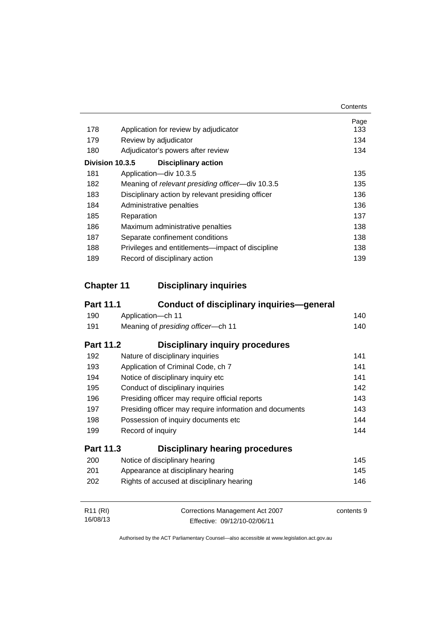|     |                                                   | Contents |
|-----|---------------------------------------------------|----------|
|     |                                                   | Page     |
| 178 | Application for review by adjudicator             | 133      |
| 179 | Review by adjudicator                             | 134      |
| 180 | Adjudicator's powers after review                 | 134      |
|     | Division 10.3.5<br><b>Disciplinary action</b>     |          |
| 181 | Application-div 10.3.5                            | 135      |
| 182 | Meaning of relevant presiding officer-div 10.3.5  | 135      |
| 183 | Disciplinary action by relevant presiding officer | 136      |
| 184 | Administrative penalties                          | 136      |
| 185 | Reparation                                        | 137      |
| 186 | Maximum administrative penalties                  | 138      |
| 187 | Separate confinement conditions                   | 138      |
| 188 | Privileges and entitlements—impact of discipline  | 138      |
| 189 | Record of disciplinary action                     | 139      |

### **Chapter 11 [Disciplinary inquiries](#page-153-0)**

| <b>Part 11.1</b>     | Conduct of disciplinary inquiries—general               |            |
|----------------------|---------------------------------------------------------|------------|
| 190                  | Application-ch 11                                       | 140        |
| 191                  | Meaning of presiding officer-ch 11                      | 140        |
| <b>Part 11.2</b>     | Disciplinary inquiry procedures                         |            |
| 192                  | Nature of disciplinary inquiries                        | 141        |
| 193                  | Application of Criminal Code, ch 7                      | 141        |
| 194                  | Notice of disciplinary inquiry etc                      | 141        |
| 195                  | Conduct of disciplinary inquiries                       | 142        |
| 196                  | Presiding officer may require official reports          | 143        |
| 197                  | Presiding officer may require information and documents | 143        |
| 198                  | Possession of inquiry documents etc.                    | 144        |
| 199                  | Record of inquiry                                       | 144        |
| <b>Part 11.3</b>     | <b>Disciplinary hearing procedures</b>                  |            |
| 200                  | Notice of disciplinary hearing                          | 145        |
| 201                  | Appearance at disciplinary hearing                      | 145        |
| 202                  | Rights of accused at disciplinary hearing               | 146        |
| R <sub>11</sub> (RI) | Corrections Management Act 2007                         | contents 9 |
| 16/08/13             | Effective: 09/12/10-02/06/11                            |            |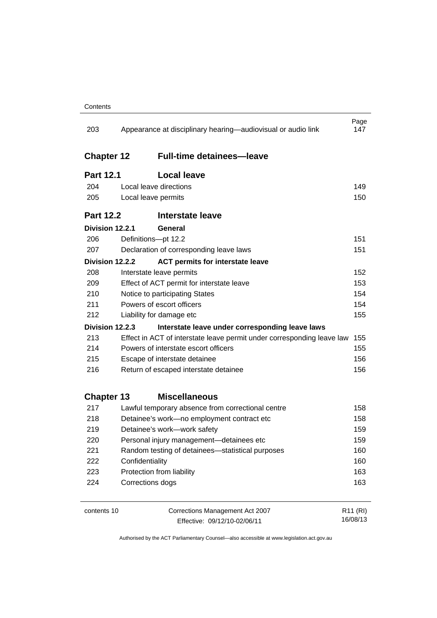| 203               | Appearance at disciplinary hearing—audiovisual or audio link           | Page<br>147          |
|-------------------|------------------------------------------------------------------------|----------------------|
| <b>Chapter 12</b> | <b>Full-time detainees-leave</b>                                       |                      |
| <b>Part 12.1</b>  | <b>Local leave</b>                                                     |                      |
| 204               | Local leave directions                                                 | 149                  |
| 205               | Local leave permits                                                    | 150                  |
| <b>Part 12.2</b>  | <b>Interstate leave</b>                                                |                      |
| Division 12.2.1   | General                                                                |                      |
| 206               | Definitions-pt 12.2                                                    | 151                  |
| 207               | Declaration of corresponding leave laws                                | 151                  |
| Division 12.2.2   | <b>ACT permits for interstate leave</b>                                |                      |
| 208               | Interstate leave permits                                               | 152                  |
| 209               | Effect of ACT permit for interstate leave                              | 153                  |
| 210               | Notice to participating States                                         |                      |
| 211               | Powers of escort officers                                              | 154                  |
| 212               | Liability for damage etc                                               | 155                  |
| Division 12.2.3   | Interstate leave under corresponding leave laws                        |                      |
| 213               | Effect in ACT of interstate leave permit under corresponding leave law | 155                  |
| 214               | Powers of interstate escort officers                                   | 155                  |
| 215               | Escape of interstate detainee                                          | 156                  |
| 216               | Return of escaped interstate detainee                                  | 156                  |
| <b>Chapter 13</b> | <b>Miscellaneous</b>                                                   |                      |
| 217               | Lawful temporary absence from correctional centre                      | 158                  |
| 218               | Detainee's work-no employment contract etc                             | 158                  |
| 219               | Detainee's work-work safety                                            | 159                  |
| 220               | Personal injury management-detainees etc                               | 159                  |
| 221               | Random testing of detainees-statistical purposes                       | 160                  |
| 222               | Confidentiality                                                        | 160                  |
| 223               | Protection from liability                                              | 163                  |
| 224               | Corrections dogs                                                       | 163                  |
| contents 10       | Corrections Management Act 2007                                        | R <sub>11</sub> (RI) |

Effective: 09/12/10-02/06/11

16/08/13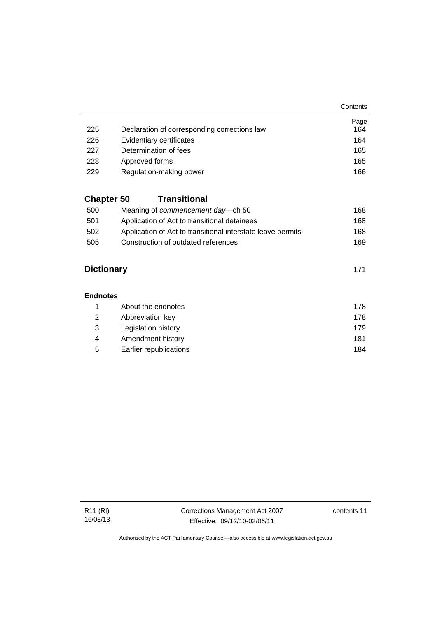**Contents** 

|     |                                              | Page |
|-----|----------------------------------------------|------|
| 225 | Declaration of corresponding corrections law | 164  |
| 226 | Evidentiary certificates                     | 164  |
| 227 | Determination of fees                        | 165  |
| 228 | Approved forms                               | 165  |
| 229 | Regulation-making power                      | 166  |

### **Chapter 50 [Transitional](#page-181-0)**

| 500 | Meaning of <i>commencement</i> day—ch 50                    | 168 |
|-----|-------------------------------------------------------------|-----|
| 501 | Application of Act to transitional detainees                | 168 |
| 502 | Application of Act to transitional interstate leave permits | 168 |
| 505 | Construction of outdated references                         | 169 |

### **[Dictionary](#page-184-0)** [171](#page-184-0)

#### **[Endnotes](#page-191-0)**

|   | About the endnotes     | 178 |
|---|------------------------|-----|
| 2 | Abbreviation key       | 178 |
| 3 | Legislation history    | 179 |
| 4 | Amendment history      | 181 |
| 5 | Earlier republications | 184 |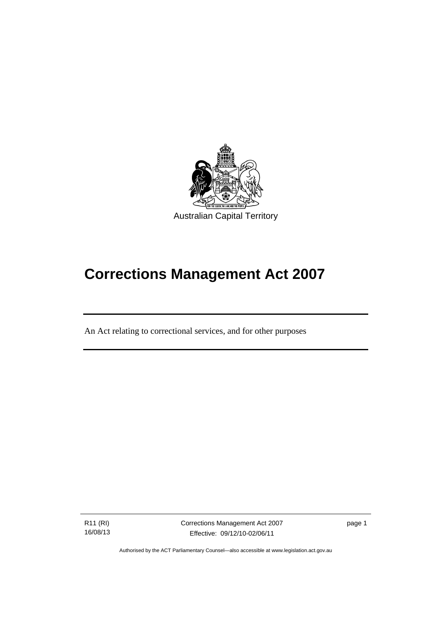

# **Corrections Management Act 2007**

An Act relating to correctional services, and for other purposes

R11 (RI) 16/08/13

Ī

Corrections Management Act 2007 Effective: 09/12/10-02/06/11

page 1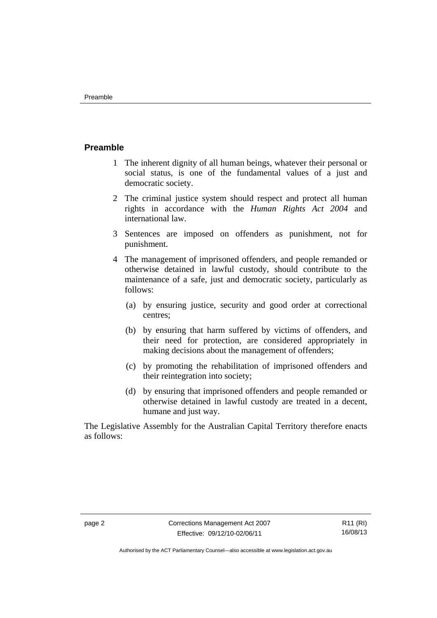#### <span id="page-15-0"></span>**Preamble**

- 1 The inherent dignity of all human beings, whatever their personal or social status, is one of the fundamental values of a just and democratic society.
- 2 The criminal justice system should respect and protect all human rights in accordance with the *Human Rights Act 2004* and international law.
- 3 Sentences are imposed on offenders as punishment, not for punishment.
- 4 The management of imprisoned offenders, and people remanded or otherwise detained in lawful custody, should contribute to the maintenance of a safe, just and democratic society, particularly as follows:
	- (a) by ensuring justice, security and good order at correctional centres;
	- (b) by ensuring that harm suffered by victims of offenders, and their need for protection, are considered appropriately in making decisions about the management of offenders;
	- (c) by promoting the rehabilitation of imprisoned offenders and their reintegration into society;
	- (d) by ensuring that imprisoned offenders and people remanded or otherwise detained in lawful custody are treated in a decent, humane and just way.

The Legislative Assembly for the Australian Capital Territory therefore enacts as follows: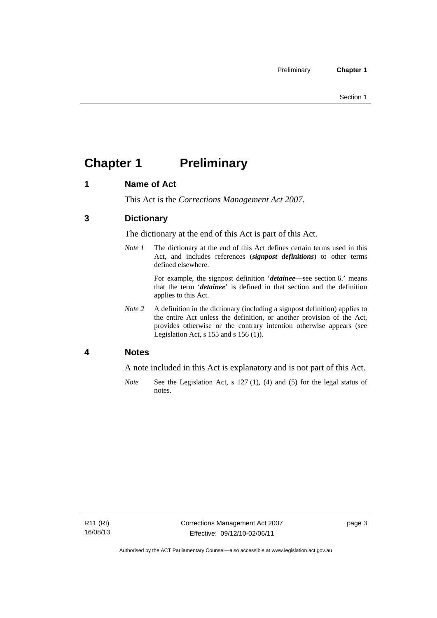## <span id="page-16-0"></span>**Chapter 1** Preliminary

#### <span id="page-16-1"></span>**1 Name of Act**

This Act is the *Corrections Management Act 2007*.

#### <span id="page-16-2"></span>**3 Dictionary**

The dictionary at the end of this Act is part of this Act.

*Note 1* The dictionary at the end of this Act defines certain terms used in this Act, and includes references (*signpost definitions*) to other terms defined elsewhere.

> For example, the signpost definition '*detainee*—see section 6.' means that the term '*detainee*' is defined in that section and the definition applies to this Act.

*Note 2* A definition in the dictionary (including a signpost definition) applies to the entire Act unless the definition, or another provision of the Act, provides otherwise or the contrary intention otherwise appears (see Legislation Act,  $s$  155 and  $s$  156 (1)).

#### <span id="page-16-3"></span>**4 Notes**

A note included in this Act is explanatory and is not part of this Act.

*Note* See the Legislation Act, s 127 (1), (4) and (5) for the legal status of notes.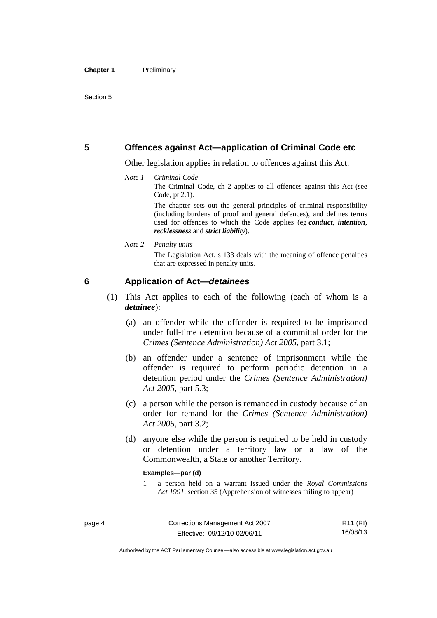#### <span id="page-17-0"></span>**5 Offences against Act—application of Criminal Code etc**

Other legislation applies in relation to offences against this Act.

#### *Note 1 Criminal Code*

The Criminal Code, ch 2 applies to all offences against this Act (see Code, pt 2.1).

The chapter sets out the general principles of criminal responsibility (including burdens of proof and general defences), and defines terms used for offences to which the Code applies (eg *conduct*, *intention*, *recklessness* and *strict liability*).

#### *Note 2 Penalty units*

The Legislation Act, s 133 deals with the meaning of offence penalties that are expressed in penalty units.

#### <span id="page-17-1"></span>**6 Application of Act—***detainees*

- (1) This Act applies to each of the following (each of whom is a *detainee*):
	- (a) an offender while the offender is required to be imprisoned under full-time detention because of a committal order for the *Crimes (Sentence Administration) Act 2005*, part 3.1;
	- (b) an offender under a sentence of imprisonment while the offender is required to perform periodic detention in a detention period under the *Crimes (Sentence Administration) Act 2005,* part 5.3;
	- (c) a person while the person is remanded in custody because of an order for remand for the *Crimes (Sentence Administration) Act 2005*, part 3.2;
	- (d) anyone else while the person is required to be held in custody or detention under a territory law or a law of the Commonwealth, a State or another Territory.

#### **Examples—par (d)**

1 a person held on a warrant issued under the *Royal Commissions Act 1991*, section 35 (Apprehension of witnesses failing to appear)

R11 (RI) 16/08/13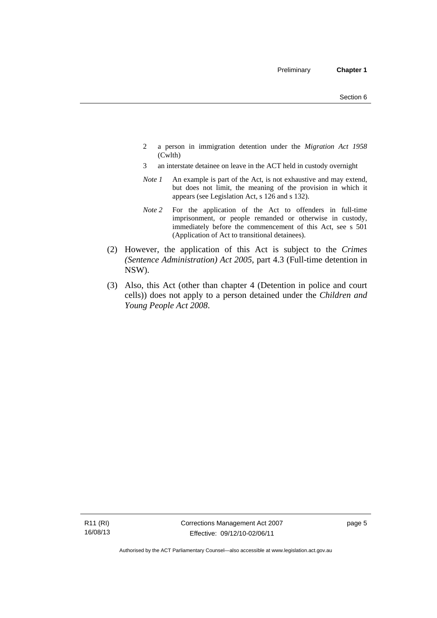- 2 a person in immigration detention under the *Migration Act 1958*  (Cwlth)
- 3 an interstate detainee on leave in the ACT held in custody overnight
- *Note 1* An example is part of the Act, is not exhaustive and may extend, but does not limit, the meaning of the provision in which it appears (see Legislation Act, s 126 and s 132).
- *Note 2* For the application of the Act to offenders in full-time imprisonment, or people remanded or otherwise in custody, immediately before the commencement of this Act, see s 501 (Application of Act to transitional detainees).
- (2) However, the application of this Act is subject to the *Crimes (Sentence Administration) Act 2005*, part 4.3 (Full-time detention in NSW).
- (3) Also, this Act (other than chapter 4 (Detention in police and court cells)) does not apply to a person detained under the *Children and Young People Act 2008*.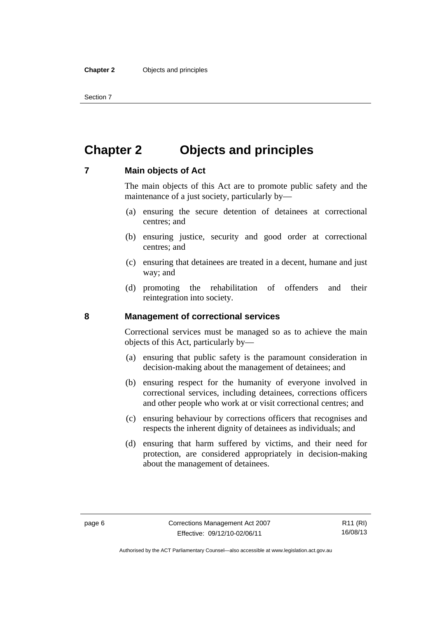Section 7

### <span id="page-19-0"></span>**Chapter 2 Objects and principles**

#### <span id="page-19-1"></span>**7 Main objects of Act**

The main objects of this Act are to promote public safety and the maintenance of a just society, particularly by—

- (a) ensuring the secure detention of detainees at correctional centres; and
- (b) ensuring justice, security and good order at correctional centres; and
- (c) ensuring that detainees are treated in a decent, humane and just way; and
- (d) promoting the rehabilitation of offenders and their reintegration into society.

#### <span id="page-19-2"></span>**8 Management of correctional services**

Correctional services must be managed so as to achieve the main objects of this Act, particularly by—

- (a) ensuring that public safety is the paramount consideration in decision-making about the management of detainees; and
- (b) ensuring respect for the humanity of everyone involved in correctional services, including detainees, corrections officers and other people who work at or visit correctional centres; and
- (c) ensuring behaviour by corrections officers that recognises and respects the inherent dignity of detainees as individuals; and
- (d) ensuring that harm suffered by victims, and their need for protection, are considered appropriately in decision-making about the management of detainees.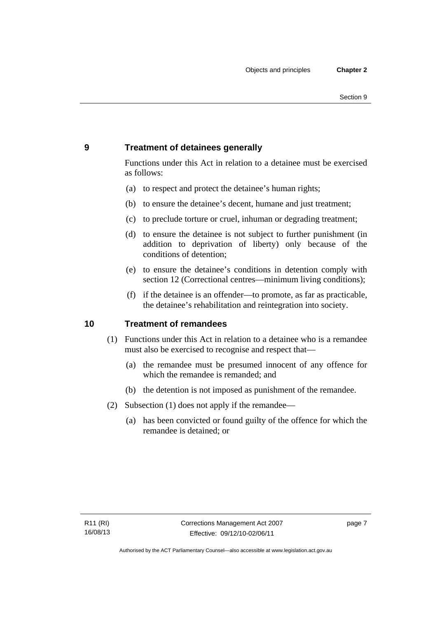### <span id="page-20-0"></span>**9 Treatment of detainees generally**

Functions under this Act in relation to a detainee must be exercised as follows:

- (a) to respect and protect the detainee's human rights;
- (b) to ensure the detainee's decent, humane and just treatment;
- (c) to preclude torture or cruel, inhuman or degrading treatment;
- (d) to ensure the detainee is not subject to further punishment (in addition to deprivation of liberty) only because of the conditions of detention;
- (e) to ensure the detainee's conditions in detention comply with section 12 (Correctional centres—minimum living conditions);
- (f) if the detainee is an offender—to promote, as far as practicable, the detainee's rehabilitation and reintegration into society.

#### <span id="page-20-1"></span>**10 Treatment of remandees**

- (1) Functions under this Act in relation to a detainee who is a remandee must also be exercised to recognise and respect that—
	- (a) the remandee must be presumed innocent of any offence for which the remandee is remanded; and
	- (b) the detention is not imposed as punishment of the remandee.
- (2) Subsection (1) does not apply if the remandee—
	- (a) has been convicted or found guilty of the offence for which the remandee is detained; or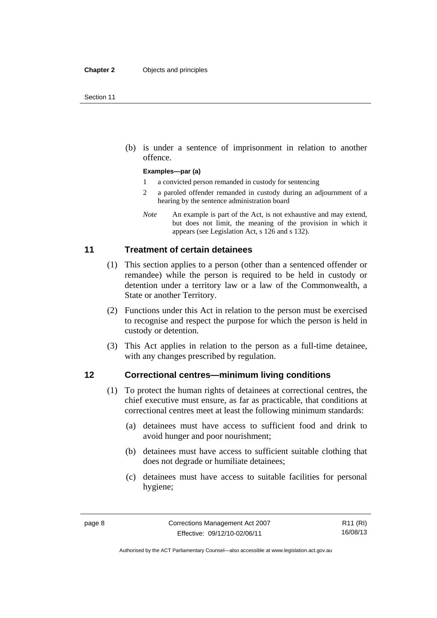(b) is under a sentence of imprisonment in relation to another offence.

#### **Examples—par (a)**

- 1 a convicted person remanded in custody for sentencing
- 2 a paroled offender remanded in custody during an adjournment of a hearing by the sentence administration board
- *Note* An example is part of the Act, is not exhaustive and may extend, but does not limit, the meaning of the provision in which it appears (see Legislation Act, s 126 and s 132).

#### <span id="page-21-0"></span>**11 Treatment of certain detainees**

- (1) This section applies to a person (other than a sentenced offender or remandee) while the person is required to be held in custody or detention under a territory law or a law of the Commonwealth, a State or another Territory.
- (2) Functions under this Act in relation to the person must be exercised to recognise and respect the purpose for which the person is held in custody or detention.
- (3) This Act applies in relation to the person as a full-time detainee, with any changes prescribed by regulation.

#### <span id="page-21-1"></span>**12 Correctional centres—minimum living conditions**

- (1) To protect the human rights of detainees at correctional centres, the chief executive must ensure, as far as practicable, that conditions at correctional centres meet at least the following minimum standards:
	- (a) detainees must have access to sufficient food and drink to avoid hunger and poor nourishment;
	- (b) detainees must have access to sufficient suitable clothing that does not degrade or humiliate detainees;
	- (c) detainees must have access to suitable facilities for personal hygiene;

Authorised by the ACT Parliamentary Counsel—also accessible at www.legislation.act.gov.au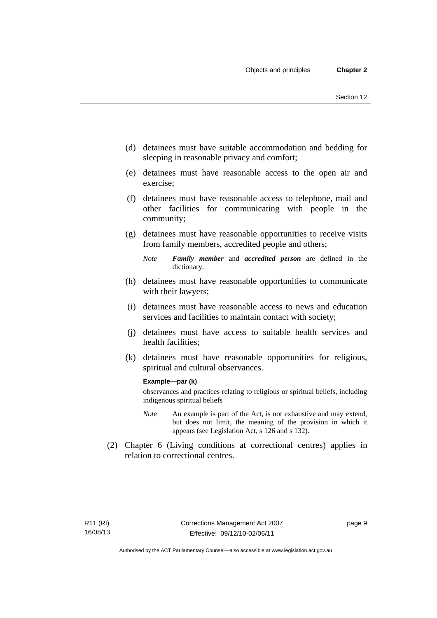- (d) detainees must have suitable accommodation and bedding for sleeping in reasonable privacy and comfort;
- (e) detainees must have reasonable access to the open air and exercise;
- (f) detainees must have reasonable access to telephone, mail and other facilities for communicating with people in the community;
- (g) detainees must have reasonable opportunities to receive visits from family members, accredited people and others;
	- *Note Family member* and *accredited person* are defined in the dictionary.
- (h) detainees must have reasonable opportunities to communicate with their lawyers;
- (i) detainees must have reasonable access to news and education services and facilities to maintain contact with society;
- (j) detainees must have access to suitable health services and health facilities;
- (k) detainees must have reasonable opportunities for religious, spiritual and cultural observances.

#### **Example—par (k)**

observances and practices relating to religious or spiritual beliefs, including indigenous spiritual beliefs

- *Note* An example is part of the Act, is not exhaustive and may extend, but does not limit, the meaning of the provision in which it appears (see Legislation Act, s 126 and s 132).
- (2) Chapter 6 (Living conditions at correctional centres) applies in relation to correctional centres.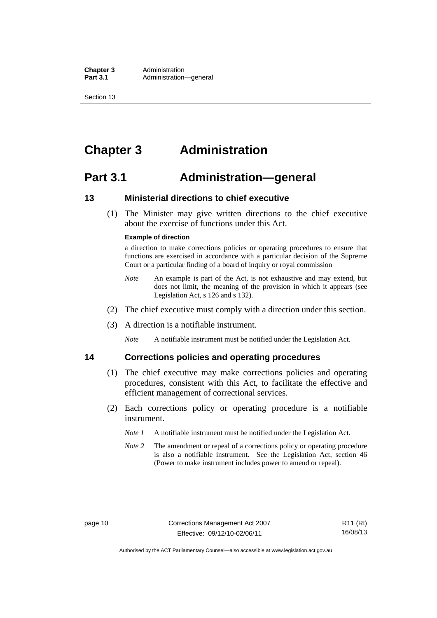**Chapter 3** Administration<br>**Part 3.1** Administration-Administration—general

Section 13

### <span id="page-23-0"></span>**Chapter 3 Administration**

### <span id="page-23-1"></span>**Part 3.1 Administration—general**

#### <span id="page-23-2"></span>**13 Ministerial directions to chief executive**

 (1) The Minister may give written directions to the chief executive about the exercise of functions under this Act.

#### **Example of direction**

a direction to make corrections policies or operating procedures to ensure that functions are exercised in accordance with a particular decision of the Supreme Court or a particular finding of a board of inquiry or royal commission

- *Note* An example is part of the Act, is not exhaustive and may extend, but does not limit, the meaning of the provision in which it appears (see Legislation Act, s 126 and s 132).
- (2) The chief executive must comply with a direction under this section.
- (3) A direction is a notifiable instrument.

*Note* A notifiable instrument must be notified under the Legislation Act.

#### <span id="page-23-3"></span>**14 Corrections policies and operating procedures**

- (1) The chief executive may make corrections policies and operating procedures, consistent with this Act, to facilitate the effective and efficient management of correctional services.
- (2) Each corrections policy or operating procedure is a notifiable instrument.
	- *Note 1* A notifiable instrument must be notified under the Legislation Act.
	- *Note* 2 The amendment or repeal of a corrections policy or operating procedure is also a notifiable instrument. See the Legislation Act, section 46 (Power to make instrument includes power to amend or repeal).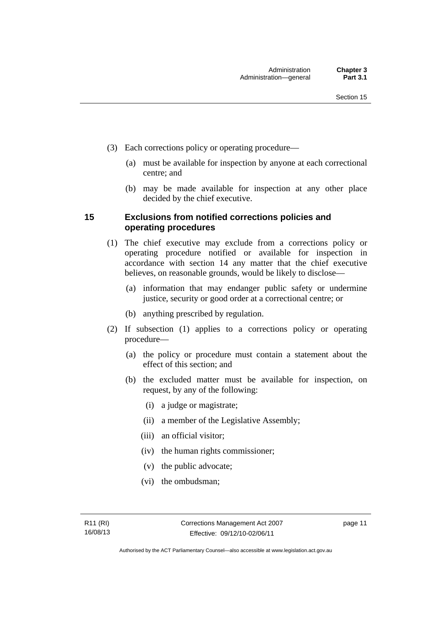- (3) Each corrections policy or operating procedure—
	- (a) must be available for inspection by anyone at each correctional centre; and
	- (b) may be made available for inspection at any other place decided by the chief executive.

#### <span id="page-24-0"></span>**15 Exclusions from notified corrections policies and operating procedures**

- (1) The chief executive may exclude from a corrections policy or operating procedure notified or available for inspection in accordance with section 14 any matter that the chief executive believes, on reasonable grounds, would be likely to disclose—
	- (a) information that may endanger public safety or undermine justice, security or good order at a correctional centre; or
	- (b) anything prescribed by regulation.
- (2) If subsection (1) applies to a corrections policy or operating procedure—
	- (a) the policy or procedure must contain a statement about the effect of this section; and
	- (b) the excluded matter must be available for inspection, on request, by any of the following:
		- (i) a judge or magistrate;
		- (ii) a member of the Legislative Assembly;
		- (iii) an official visitor;
		- (iv) the human rights commissioner;
		- (v) the public advocate;
		- (vi) the ombudsman;

page 11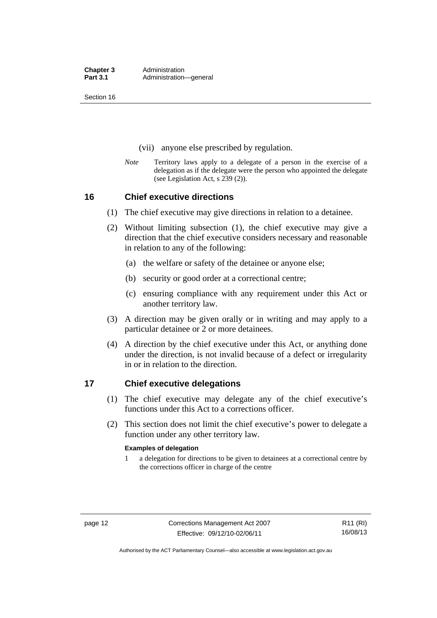Section 16

- (vii) anyone else prescribed by regulation.
- *Note* Territory laws apply to a delegate of a person in the exercise of a delegation as if the delegate were the person who appointed the delegate (see Legislation Act, s 239 (2)).

#### <span id="page-25-0"></span>**16 Chief executive directions**

- (1) The chief executive may give directions in relation to a detainee.
- (2) Without limiting subsection (1), the chief executive may give a direction that the chief executive considers necessary and reasonable in relation to any of the following:
	- (a) the welfare or safety of the detainee or anyone else;
	- (b) security or good order at a correctional centre;
	- (c) ensuring compliance with any requirement under this Act or another territory law.
- (3) A direction may be given orally or in writing and may apply to a particular detainee or 2 or more detainees.
- (4) A direction by the chief executive under this Act, or anything done under the direction, is not invalid because of a defect or irregularity in or in relation to the direction.

#### <span id="page-25-1"></span>**17 Chief executive delegations**

- (1) The chief executive may delegate any of the chief executive's functions under this Act to a corrections officer.
- (2) This section does not limit the chief executive's power to delegate a function under any other territory law.

#### **Examples of delegation**

1 a delegation for directions to be given to detainees at a correctional centre by the corrections officer in charge of the centre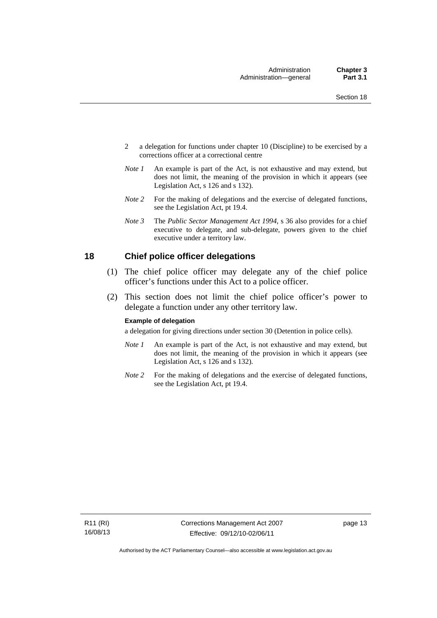- 2 a delegation for functions under chapter 10 (Discipline) to be exercised by a corrections officer at a correctional centre
- *Note 1* An example is part of the Act, is not exhaustive and may extend, but does not limit, the meaning of the provision in which it appears (see Legislation Act, s 126 and s 132).
- *Note 2* For the making of delegations and the exercise of delegated functions, see the Legislation Act, pt 19.4.
- *Note 3* The *Public Sector Management Act 1994*, s 36 also provides for a chief executive to delegate, and sub-delegate, powers given to the chief executive under a territory law.

#### <span id="page-26-0"></span>**18 Chief police officer delegations**

- (1) The chief police officer may delegate any of the chief police officer's functions under this Act to a police officer.
- (2) This section does not limit the chief police officer's power to delegate a function under any other territory law.

#### **Example of delegation**

a delegation for giving directions under section 30 (Detention in police cells).

- *Note 1* An example is part of the Act, is not exhaustive and may extend, but does not limit, the meaning of the provision in which it appears (see Legislation Act, s 126 and s 132).
- *Note* 2 For the making of delegations and the exercise of delegated functions, see the Legislation Act, pt 19.4.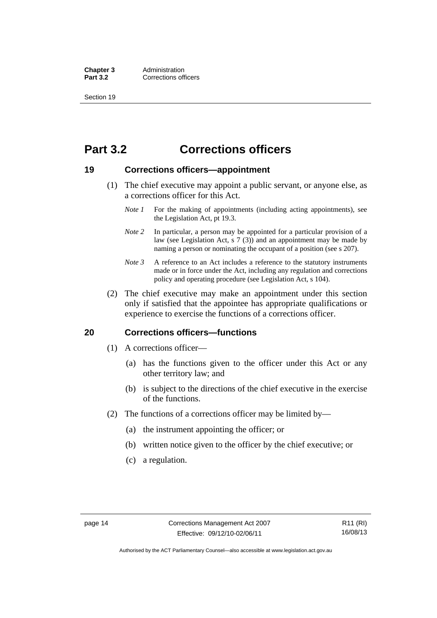**Chapter 3** Administration<br> **Part 3.2** Corrections off **Corrections officers** 

Section 19

### <span id="page-27-0"></span>**Part 3.2 Corrections officers**

#### <span id="page-27-1"></span>**19 Corrections officers—appointment**

- (1) The chief executive may appoint a public servant, or anyone else, as a corrections officer for this Act.
	- *Note 1* For the making of appointments (including acting appointments), see the Legislation Act, pt 19.3.
	- *Note 2* In particular, a person may be appointed for a particular provision of a law (see Legislation Act, s 7 (3)) and an appointment may be made by naming a person or nominating the occupant of a position (see s 207).
	- *Note 3* A reference to an Act includes a reference to the statutory instruments made or in force under the Act, including any regulation and corrections policy and operating procedure (see Legislation Act, s 104).
- (2) The chief executive may make an appointment under this section only if satisfied that the appointee has appropriate qualifications or experience to exercise the functions of a corrections officer.

#### <span id="page-27-2"></span>**20 Corrections officers—functions**

- (1) A corrections officer—
	- (a) has the functions given to the officer under this Act or any other territory law; and
	- (b) is subject to the directions of the chief executive in the exercise of the functions.
- (2) The functions of a corrections officer may be limited by—
	- (a) the instrument appointing the officer; or
	- (b) written notice given to the officer by the chief executive; or
	- (c) a regulation.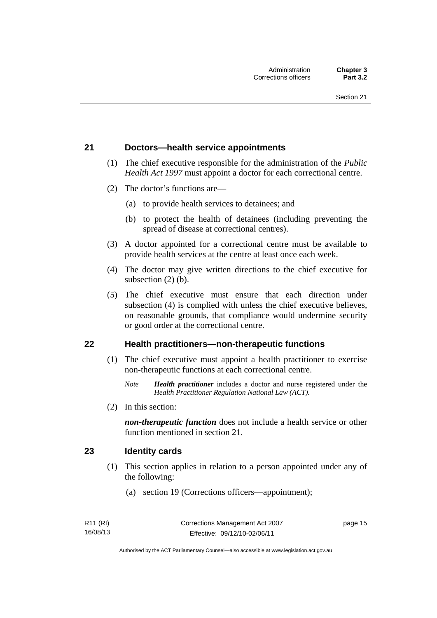#### <span id="page-28-0"></span>**21 Doctors—health service appointments**

- (1) The chief executive responsible for the administration of the *Public Health Act 1997* must appoint a doctor for each correctional centre.
- (2) The doctor's functions are—
	- (a) to provide health services to detainees; and
	- (b) to protect the health of detainees (including preventing the spread of disease at correctional centres).
- (3) A doctor appointed for a correctional centre must be available to provide health services at the centre at least once each week.
- (4) The doctor may give written directions to the chief executive for subsection (2) (b).
- (5) The chief executive must ensure that each direction under subsection (4) is complied with unless the chief executive believes, on reasonable grounds, that compliance would undermine security or good order at the correctional centre.

#### <span id="page-28-1"></span>**22 Health practitioners—non-therapeutic functions**

- (1) The chief executive must appoint a health practitioner to exercise non-therapeutic functions at each correctional centre.
	- *Note Health practitioner* includes a doctor and nurse registered under the *Health Practitioner Regulation National Law (ACT)*.
- (2) In this section:

*non-therapeutic function* does not include a health service or other function mentioned in section 21.

#### <span id="page-28-2"></span>**23 Identity cards**

- (1) This section applies in relation to a person appointed under any of the following:
	- (a) section 19 (Corrections officers—appointment);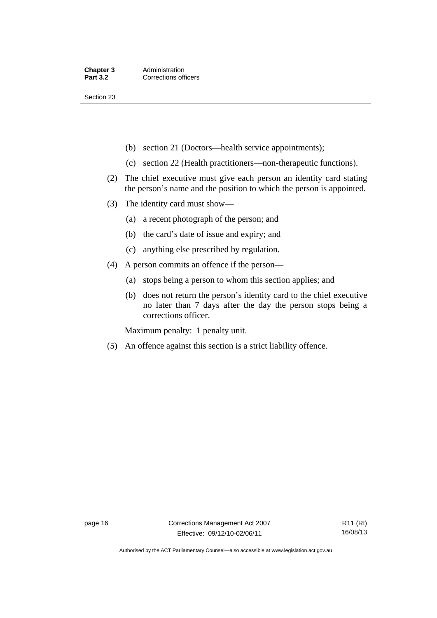Section 23

- (b) section 21 (Doctors—health service appointments);
- (c) section 22 (Health practitioners—non-therapeutic functions).
- (2) The chief executive must give each person an identity card stating the person's name and the position to which the person is appointed.
- (3) The identity card must show—
	- (a) a recent photograph of the person; and
	- (b) the card's date of issue and expiry; and
	- (c) anything else prescribed by regulation.
- (4) A person commits an offence if the person—
	- (a) stops being a person to whom this section applies; and
	- (b) does not return the person's identity card to the chief executive no later than 7 days after the day the person stops being a corrections officer.

Maximum penalty: 1 penalty unit.

(5) An offence against this section is a strict liability offence.

Authorised by the ACT Parliamentary Counsel—also accessible at www.legislation.act.gov.au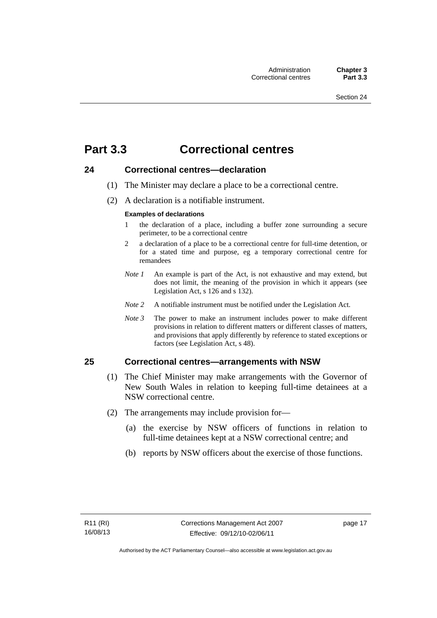### <span id="page-30-0"></span>**Part 3.3 Correctional centres**

#### <span id="page-30-1"></span>**24 Correctional centres—declaration**

- (1) The Minister may declare a place to be a correctional centre.
- (2) A declaration is a notifiable instrument.

#### **Examples of declarations**

- 1 the declaration of a place, including a buffer zone surrounding a secure perimeter, to be a correctional centre
- 2 a declaration of a place to be a correctional centre for full-time detention, or for a stated time and purpose, eg a temporary correctional centre for remandees
- *Note 1* An example is part of the Act, is not exhaustive and may extend, but does not limit, the meaning of the provision in which it appears (see Legislation Act, s 126 and s 132).
- *Note 2* A notifiable instrument must be notified under the Legislation Act.
- *Note 3* The power to make an instrument includes power to make different provisions in relation to different matters or different classes of matters, and provisions that apply differently by reference to stated exceptions or factors (see Legislation Act, s 48).

#### <span id="page-30-2"></span>**25 Correctional centres—arrangements with NSW**

- (1) The Chief Minister may make arrangements with the Governor of New South Wales in relation to keeping full-time detainees at a NSW correctional centre.
- (2) The arrangements may include provision for—
	- (a) the exercise by NSW officers of functions in relation to full-time detainees kept at a NSW correctional centre; and
	- (b) reports by NSW officers about the exercise of those functions.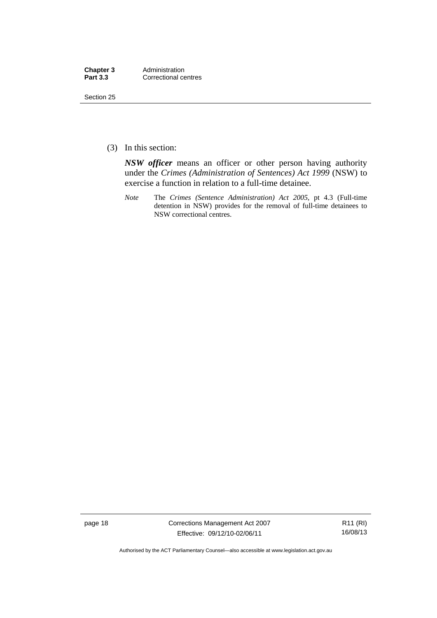| Chapter 3       | Administration       |
|-----------------|----------------------|
| <b>Part 3.3</b> | Correctional centres |

Section 25

(3) In this section:

*NSW officer* means an officer or other person having authority under the *Crimes (Administration of Sentences) Act 1999* (NSW) to exercise a function in relation to a full-time detainee.

*Note* The *Crimes (Sentence Administration) Act 2005*, pt 4.3 (Full-time detention in NSW) provides for the removal of full-time detainees to NSW correctional centres.

page 18 Corrections Management Act 2007 Effective: 09/12/10-02/06/11

R11 (RI) 16/08/13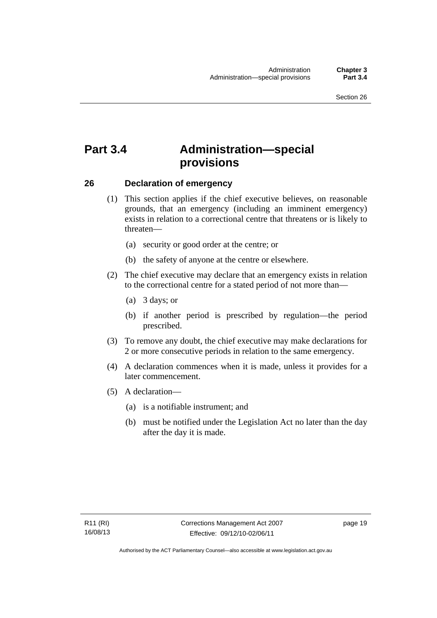### <span id="page-32-0"></span>**Part 3.4 Administration—special provisions**

#### <span id="page-32-1"></span>**26 Declaration of emergency**

- (1) This section applies if the chief executive believes, on reasonable grounds, that an emergency (including an imminent emergency) exists in relation to a correctional centre that threatens or is likely to threaten—
	- (a) security or good order at the centre; or
	- (b) the safety of anyone at the centre or elsewhere.
- (2) The chief executive may declare that an emergency exists in relation to the correctional centre for a stated period of not more than—
	- (a) 3 days; or
	- (b) if another period is prescribed by regulation—the period prescribed.
- (3) To remove any doubt, the chief executive may make declarations for 2 or more consecutive periods in relation to the same emergency.
- (4) A declaration commences when it is made, unless it provides for a later commencement.
- (5) A declaration—
	- (a) is a notifiable instrument; and
	- (b) must be notified under the Legislation Act no later than the day after the day it is made.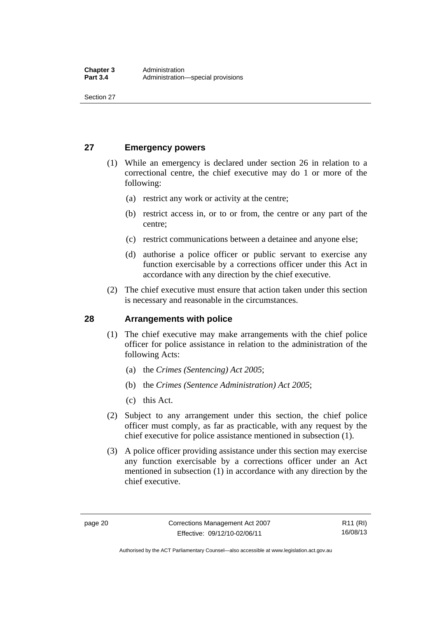Section 27

#### <span id="page-33-0"></span>**27 Emergency powers**

- (1) While an emergency is declared under section 26 in relation to a correctional centre, the chief executive may do 1 or more of the following:
	- (a) restrict any work or activity at the centre;
	- (b) restrict access in, or to or from, the centre or any part of the centre;
	- (c) restrict communications between a detainee and anyone else;
	- (d) authorise a police officer or public servant to exercise any function exercisable by a corrections officer under this Act in accordance with any direction by the chief executive.
- (2) The chief executive must ensure that action taken under this section is necessary and reasonable in the circumstances.

#### <span id="page-33-1"></span>**28 Arrangements with police**

- (1) The chief executive may make arrangements with the chief police officer for police assistance in relation to the administration of the following Acts:
	- (a) the *Crimes (Sentencing) Act 2005*;
	- (b) the *Crimes (Sentence Administration) Act 2005*;
	- (c) this Act.
- (2) Subject to any arrangement under this section, the chief police officer must comply, as far as practicable, with any request by the chief executive for police assistance mentioned in subsection (1).
- (3) A police officer providing assistance under this section may exercise any function exercisable by a corrections officer under an Act mentioned in subsection (1) in accordance with any direction by the chief executive.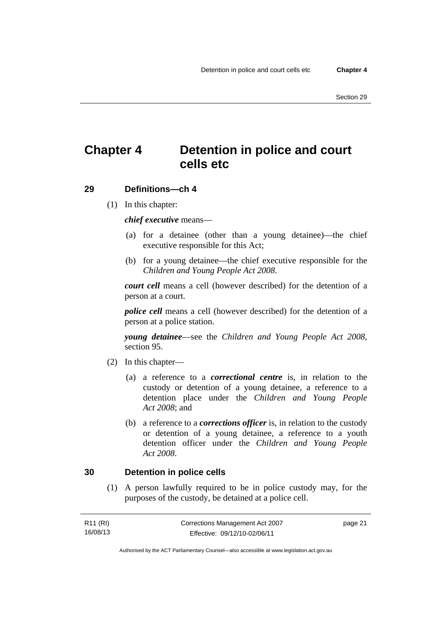### <span id="page-34-0"></span>**Chapter 4 Detention in police and court cells etc**

#### <span id="page-34-1"></span>**29 Definitions—ch 4**

(1) In this chapter:

*chief executive* means—

- (a) for a detainee (other than a young detainee)—the chief executive responsible for this Act;
- (b) for a young detainee—the chief executive responsible for the *Children and Young People Act 2008*.

*court cell* means a cell (however described) for the detention of a person at a court.

*police cell* means a cell (however described) for the detention of a person at a police station.

*young detainee*—see the *Children and Young People Act 2008*, section 95.

- (2) In this chapter—
	- (a) a reference to a *correctional centre* is, in relation to the custody or detention of a young detainee, a reference to a detention place under the *Children and Young People Act 2008*; and
	- (b) a reference to a *corrections officer* is, in relation to the custody or detention of a young detainee, a reference to a youth detention officer under the *Children and Young People Act 2008*.

#### <span id="page-34-2"></span>**30 Detention in police cells**

 (1) A person lawfully required to be in police custody may, for the purposes of the custody, be detained at a police cell.

| R11 (RI) | Corrections Management Act 2007 | page 21 |
|----------|---------------------------------|---------|
| 16/08/13 | Effective: 09/12/10-02/06/11    |         |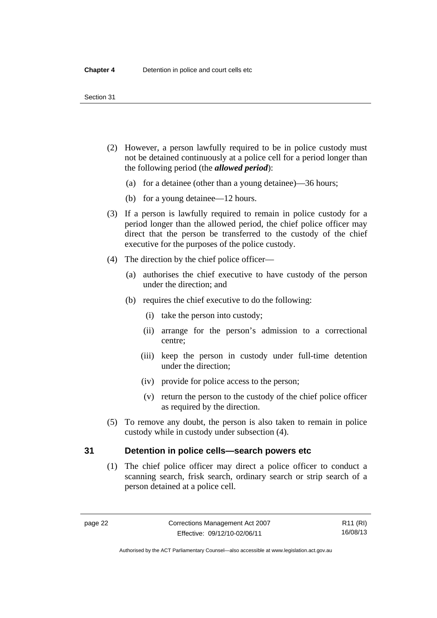#### Section 31

- (2) However, a person lawfully required to be in police custody must not be detained continuously at a police cell for a period longer than the following period (the *allowed period*):
	- (a) for a detainee (other than a young detainee)—36 hours;
	- (b) for a young detainee—12 hours.
- (3) If a person is lawfully required to remain in police custody for a period longer than the allowed period, the chief police officer may direct that the person be transferred to the custody of the chief executive for the purposes of the police custody.
- (4) The direction by the chief police officer—
	- (a) authorises the chief executive to have custody of the person under the direction; and
	- (b) requires the chief executive to do the following:
		- (i) take the person into custody;
		- (ii) arrange for the person's admission to a correctional centre;
		- (iii) keep the person in custody under full-time detention under the direction;
		- (iv) provide for police access to the person;
		- (v) return the person to the custody of the chief police officer as required by the direction.
- (5) To remove any doubt, the person is also taken to remain in police custody while in custody under subsection (4).

#### <span id="page-35-0"></span>**31 Detention in police cells—search powers etc**

 (1) The chief police officer may direct a police officer to conduct a scanning search, frisk search, ordinary search or strip search of a person detained at a police cell.

R11 (RI) 16/08/13

Authorised by the ACT Parliamentary Counsel—also accessible at www.legislation.act.gov.au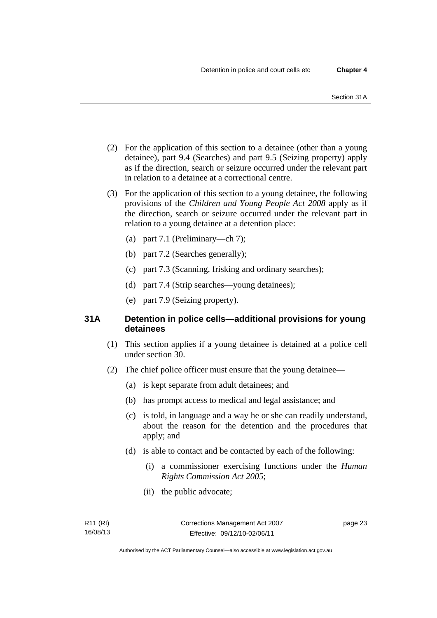- (2) For the application of this section to a detainee (other than a young detainee), part 9.4 (Searches) and part 9.5 (Seizing property) apply as if the direction, search or seizure occurred under the relevant part in relation to a detainee at a correctional centre.
- (3) For the application of this section to a young detainee, the following provisions of the *Children and Young People Act 2008* apply as if the direction, search or seizure occurred under the relevant part in relation to a young detainee at a detention place:
	- (a) part 7.1 (Preliminary—ch 7);
	- (b) part 7.2 (Searches generally);
	- (c) part 7.3 (Scanning, frisking and ordinary searches);
	- (d) part 7.4 (Strip searches—young detainees);
	- (e) part 7.9 (Seizing property).

# **31A Detention in police cells—additional provisions for young detainees**

- (1) This section applies if a young detainee is detained at a police cell under section 30.
- (2) The chief police officer must ensure that the young detainee—
	- (a) is kept separate from adult detainees; and
	- (b) has prompt access to medical and legal assistance; and
	- (c) is told, in language and a way he or she can readily understand, about the reason for the detention and the procedures that apply; and
	- (d) is able to contact and be contacted by each of the following:
		- (i) a commissioner exercising functions under the *Human Rights Commission Act 2005*;
		- (ii) the public advocate;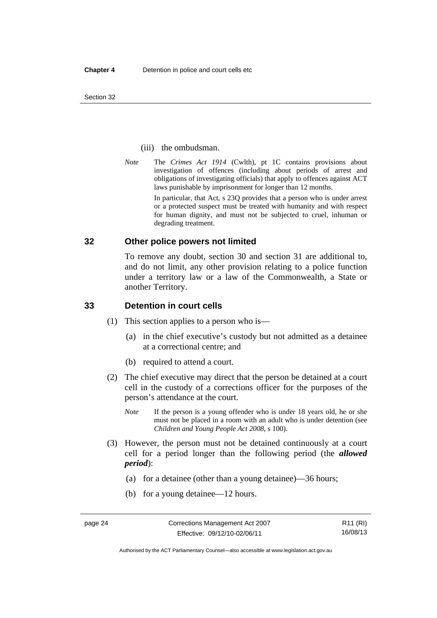#### (iii) the ombudsman.

*Note* The *Crimes Act 1914* (Cwlth), pt 1C contains provisions about investigation of offences (including about periods of arrest and obligations of investigating officials) that apply to offences against ACT laws punishable by imprisonment for longer than 12 months.

In particular, that Act, s 23Q provides that a person who is under arrest or a protected suspect must be treated with humanity and with respect for human dignity, and must not be subjected to cruel, inhuman or degrading treatment.

### **32 Other police powers not limited**

To remove any doubt, section 30 and section 31 are additional to, and do not limit, any other provision relating to a police function under a territory law or a law of the Commonwealth, a State or another Territory.

### **33 Detention in court cells**

- (1) This section applies to a person who is—
	- (a) in the chief executive's custody but not admitted as a detainee at a correctional centre; and
	- (b) required to attend a court.
- (2) The chief executive may direct that the person be detained at a court cell in the custody of a corrections officer for the purposes of the person's attendance at the court.
	- *Note* If the person is a young offender who is under 18 years old, he or she must not be placed in a room with an adult who is under detention (see *Children and Young People Act 2008*, s 100).
- (3) However, the person must not be detained continuously at a court cell for a period longer than the following period (the *allowed period*):
	- (a) for a detainee (other than a young detainee)—36 hours;
	- (b) for a young detainee—12 hours.

Authorised by the ACT Parliamentary Counsel—also accessible at www.legislation.act.gov.au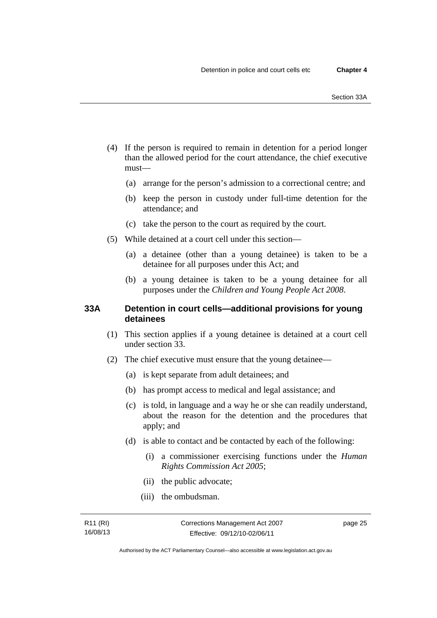- (4) If the person is required to remain in detention for a period longer than the allowed period for the court attendance, the chief executive must—
	- (a) arrange for the person's admission to a correctional centre; and
	- (b) keep the person in custody under full-time detention for the attendance; and
	- (c) take the person to the court as required by the court.
- (5) While detained at a court cell under this section—
	- (a) a detainee (other than a young detainee) is taken to be a detainee for all purposes under this Act; and
	- (b) a young detainee is taken to be a young detainee for all purposes under the *Children and Young People Act 2008*.

## **33A Detention in court cells—additional provisions for young detainees**

- (1) This section applies if a young detainee is detained at a court cell under section 33.
- (2) The chief executive must ensure that the young detainee—
	- (a) is kept separate from adult detainees; and
	- (b) has prompt access to medical and legal assistance; and
	- (c) is told, in language and a way he or she can readily understand, about the reason for the detention and the procedures that apply; and
	- (d) is able to contact and be contacted by each of the following:
		- (i) a commissioner exercising functions under the *Human Rights Commission Act 2005*;
		- (ii) the public advocate;
		- (iii) the ombudsman.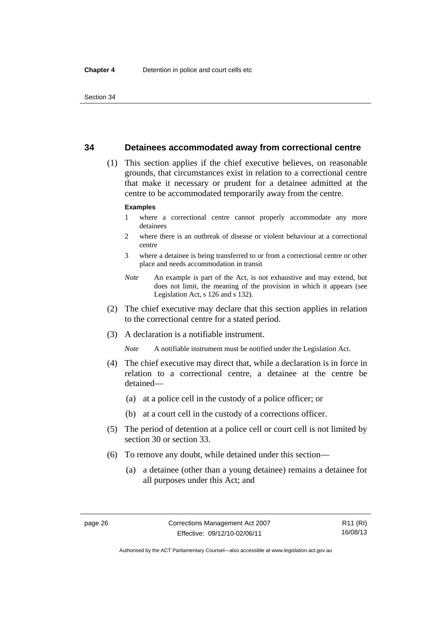## **34 Detainees accommodated away from correctional centre**

 (1) This section applies if the chief executive believes, on reasonable grounds, that circumstances exist in relation to a correctional centre that make it necessary or prudent for a detainee admitted at the centre to be accommodated temporarily away from the centre.

#### **Examples**

- 1 where a correctional centre cannot properly accommodate any more detainees
- 2 where there is an outbreak of disease or violent behaviour at a correctional centre
- 3 where a detainee is being transferred to or from a correctional centre or other place and needs accommodation in transit
- *Note* An example is part of the Act, is not exhaustive and may extend, but does not limit, the meaning of the provision in which it appears (see Legislation Act, s 126 and s 132).
- (2) The chief executive may declare that this section applies in relation to the correctional centre for a stated period.
- (3) A declaration is a notifiable instrument.

*Note* A notifiable instrument must be notified under the Legislation Act.

- (4) The chief executive may direct that, while a declaration is in force in relation to a correctional centre, a detainee at the centre be detained—
	- (a) at a police cell in the custody of a police officer; or
	- (b) at a court cell in the custody of a corrections officer.
- (5) The period of detention at a police cell or court cell is not limited by section 30 or section 33.
- (6) To remove any doubt, while detained under this section—
	- (a) a detainee (other than a young detainee) remains a detainee for all purposes under this Act; and

R11 (RI) 16/08/13

Authorised by the ACT Parliamentary Counsel—also accessible at www.legislation.act.gov.au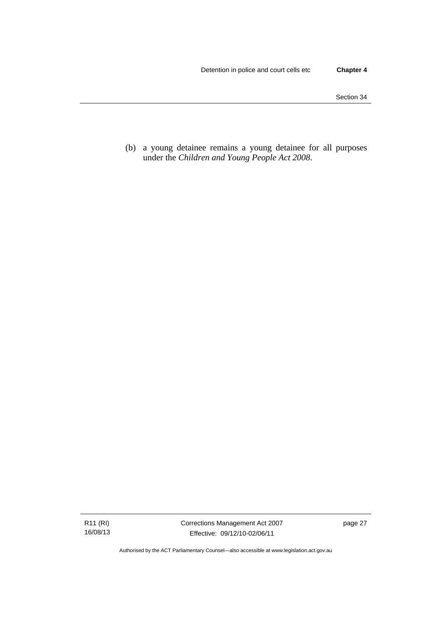(b) a young detainee remains a young detainee for all purposes under the *Children and Young People Act 2008*.

R11 (RI) 16/08/13 Corrections Management Act 2007 Effective: 09/12/10-02/06/11

page 27

Authorised by the ACT Parliamentary Counsel—also accessible at www.legislation.act.gov.au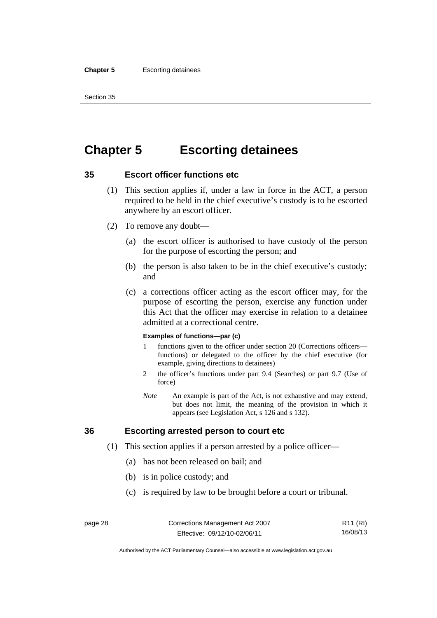#### **Chapter 5** Escorting detainees

Section 35

# **Chapter 5 Escorting detainees**

# **35 Escort officer functions etc**

- (1) This section applies if, under a law in force in the ACT, a person required to be held in the chief executive's custody is to be escorted anywhere by an escort officer.
- (2) To remove any doubt—
	- (a) the escort officer is authorised to have custody of the person for the purpose of escorting the person; and
	- (b) the person is also taken to be in the chief executive's custody; and
	- (c) a corrections officer acting as the escort officer may, for the purpose of escorting the person, exercise any function under this Act that the officer may exercise in relation to a detainee admitted at a correctional centre.

#### **Examples of functions—par (c)**

- 1 functions given to the officer under section 20 (Corrections officers functions) or delegated to the officer by the chief executive (for example, giving directions to detainees)
- 2 the officer's functions under part 9.4 (Searches) or part 9.7 (Use of force)
- *Note* An example is part of the Act, is not exhaustive and may extend, but does not limit, the meaning of the provision in which it appears (see Legislation Act, s 126 and s 132).

# **36 Escorting arrested person to court etc**

- (1) This section applies if a person arrested by a police officer—
	- (a) has not been released on bail; and
	- (b) is in police custody; and
	- (c) is required by law to be brought before a court or tribunal.

Authorised by the ACT Parliamentary Counsel—also accessible at www.legislation.act.gov.au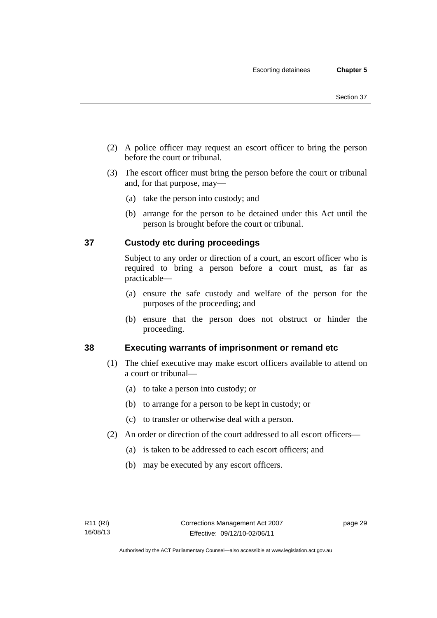- (2) A police officer may request an escort officer to bring the person before the court or tribunal.
- (3) The escort officer must bring the person before the court or tribunal and, for that purpose, may—
	- (a) take the person into custody; and
	- (b) arrange for the person to be detained under this Act until the person is brought before the court or tribunal.

# **37 Custody etc during proceedings**

Subject to any order or direction of a court, an escort officer who is required to bring a person before a court must, as far as practicable—

- (a) ensure the safe custody and welfare of the person for the purposes of the proceeding; and
- (b) ensure that the person does not obstruct or hinder the proceeding.

# **38 Executing warrants of imprisonment or remand etc**

- (1) The chief executive may make escort officers available to attend on a court or tribunal—
	- (a) to take a person into custody; or
	- (b) to arrange for a person to be kept in custody; or
	- (c) to transfer or otherwise deal with a person.
- (2) An order or direction of the court addressed to all escort officers—
	- (a) is taken to be addressed to each escort officers; and
	- (b) may be executed by any escort officers.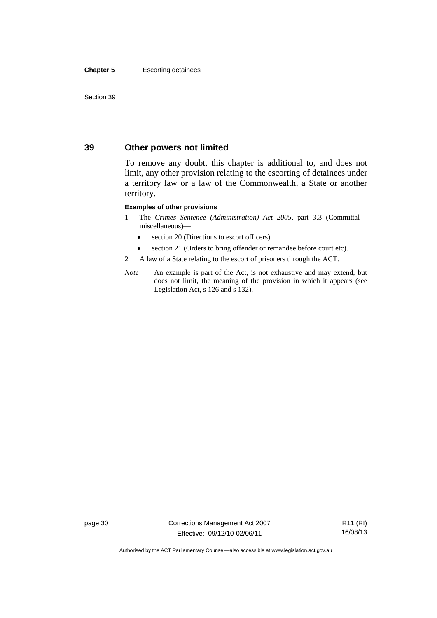#### **Chapter 5** Escorting detainees

Section 39

# **39 Other powers not limited**

To remove any doubt, this chapter is additional to, and does not limit, any other provision relating to the escorting of detainees under a territory law or a law of the Commonwealth, a State or another territory.

#### **Examples of other provisions**

- 1 The *Crimes Sentence (Administration) Act 2005*, part 3.3 (Committal miscellaneous)—
	- section 20 (Directions to escort officers)
	- section 21 (Orders to bring offender or remandee before court etc).
- 2 A law of a State relating to the escort of prisoners through the ACT.
- *Note* An example is part of the Act, is not exhaustive and may extend, but does not limit, the meaning of the provision in which it appears (see Legislation Act, s 126 and s 132).

page 30 Corrections Management Act 2007 Effective: 09/12/10-02/06/11

R11 (RI) 16/08/13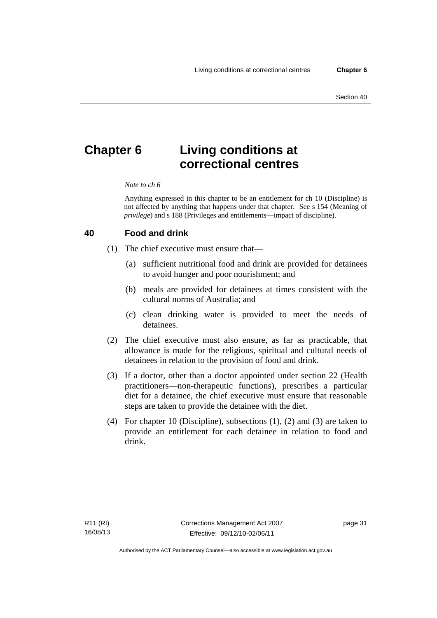# **Chapter 6 Living conditions at correctional centres**

#### *Note to ch 6*

Anything expressed in this chapter to be an entitlement for ch 10 (Discipline) is not affected by anything that happens under that chapter. See s 154 (Meaning of *privilege*) and s 188 (Privileges and entitlements—impact of discipline).

#### **40 Food and drink**

- (1) The chief executive must ensure that—
	- (a) sufficient nutritional food and drink are provided for detainees to avoid hunger and poor nourishment; and
	- (b) meals are provided for detainees at times consistent with the cultural norms of Australia; and
	- (c) clean drinking water is provided to meet the needs of detainees.
- (2) The chief executive must also ensure, as far as practicable, that allowance is made for the religious, spiritual and cultural needs of detainees in relation to the provision of food and drink.
- (3) If a doctor, other than a doctor appointed under section 22 (Health practitioners—non-therapeutic functions), prescribes a particular diet for a detainee, the chief executive must ensure that reasonable steps are taken to provide the detainee with the diet.
- (4) For chapter 10 (Discipline), subsections (1), (2) and (3) are taken to provide an entitlement for each detainee in relation to food and drink.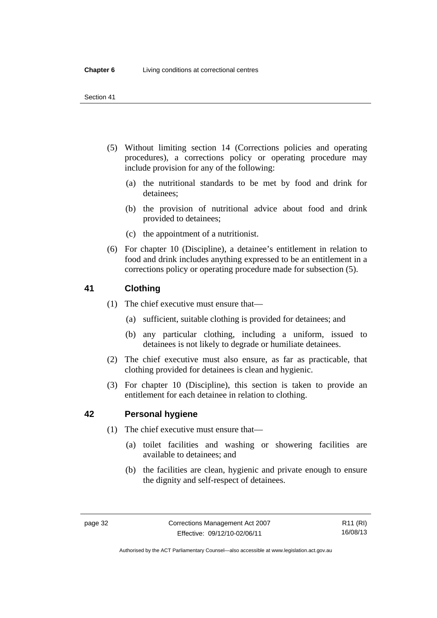- (5) Without limiting section 14 (Corrections policies and operating procedures), a corrections policy or operating procedure may include provision for any of the following:
	- (a) the nutritional standards to be met by food and drink for detainees;
	- (b) the provision of nutritional advice about food and drink provided to detainees;
	- (c) the appointment of a nutritionist.
- (6) For chapter 10 (Discipline), a detainee's entitlement in relation to food and drink includes anything expressed to be an entitlement in a corrections policy or operating procedure made for subsection (5).

# **41 Clothing**

- (1) The chief executive must ensure that—
	- (a) sufficient, suitable clothing is provided for detainees; and
	- (b) any particular clothing, including a uniform, issued to detainees is not likely to degrade or humiliate detainees.
- (2) The chief executive must also ensure, as far as practicable, that clothing provided for detainees is clean and hygienic.
- (3) For chapter 10 (Discipline), this section is taken to provide an entitlement for each detainee in relation to clothing.

# **42 Personal hygiene**

- (1) The chief executive must ensure that—
	- (a) toilet facilities and washing or showering facilities are available to detainees; and
	- (b) the facilities are clean, hygienic and private enough to ensure the dignity and self-respect of detainees.

Authorised by the ACT Parliamentary Counsel—also accessible at www.legislation.act.gov.au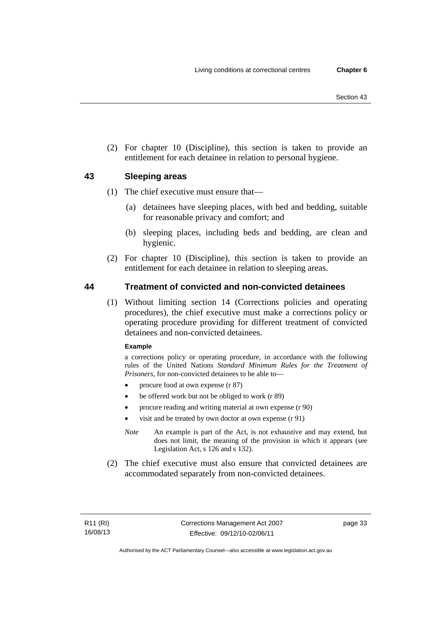(2) For chapter 10 (Discipline), this section is taken to provide an entitlement for each detainee in relation to personal hygiene.

# **43 Sleeping areas**

- (1) The chief executive must ensure that—
	- (a) detainees have sleeping places, with bed and bedding, suitable for reasonable privacy and comfort; and
	- (b) sleeping places, including beds and bedding, are clean and hygienic.
- (2) For chapter 10 (Discipline), this section is taken to provide an entitlement for each detainee in relation to sleeping areas.

# **44 Treatment of convicted and non-convicted detainees**

 (1) Without limiting section 14 (Corrections policies and operating procedures), the chief executive must make a corrections policy or operating procedure providing for different treatment of convicted detainees and non-convicted detainees.

### **Example**

a corrections policy or operating procedure, in accordance with the following rules of the United Nations *Standard Minimum Rules for the Treatment of Prisoners*, for non-convicted detainees to be able to—

- procure food at own expense (r 87)
- be offered work but not be obliged to work (r 89)
- procure reading and writing material at own expense (r 90)
- visit and be treated by own doctor at own expense (r 91)
- *Note* An example is part of the Act, is not exhaustive and may extend, but does not limit, the meaning of the provision in which it appears (see Legislation Act, s 126 and s 132).
- (2) The chief executive must also ensure that convicted detainees are accommodated separately from non-convicted detainees.

page 33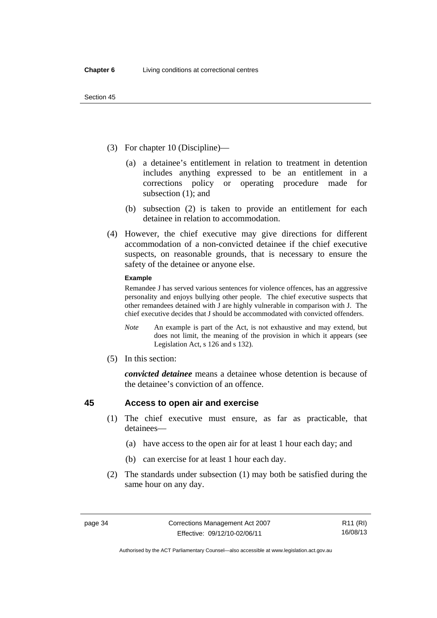- (3) For chapter 10 (Discipline)—
	- (a) a detainee's entitlement in relation to treatment in detention includes anything expressed to be an entitlement in a corrections policy or operating procedure made for subsection (1); and
	- (b) subsection (2) is taken to provide an entitlement for each detainee in relation to accommodation.
- (4) However, the chief executive may give directions for different accommodation of a non-convicted detainee if the chief executive suspects, on reasonable grounds, that is necessary to ensure the safety of the detainee or anyone else.

#### **Example**

Remandee J has served various sentences for violence offences, has an aggressive personality and enjoys bullying other people. The chief executive suspects that other remandees detained with J are highly vulnerable in comparison with J. The chief executive decides that J should be accommodated with convicted offenders.

- *Note* An example is part of the Act, is not exhaustive and may extend, but does not limit, the meaning of the provision in which it appears (see Legislation Act, s 126 and s 132).
- (5) In this section:

*convicted detainee* means a detainee whose detention is because of the detainee's conviction of an offence.

# **45 Access to open air and exercise**

- (1) The chief executive must ensure, as far as practicable, that detainees—
	- (a) have access to the open air for at least 1 hour each day; and
	- (b) can exercise for at least 1 hour each day.
- (2) The standards under subsection (1) may both be satisfied during the same hour on any day.

R11 (RI) 16/08/13

Authorised by the ACT Parliamentary Counsel—also accessible at www.legislation.act.gov.au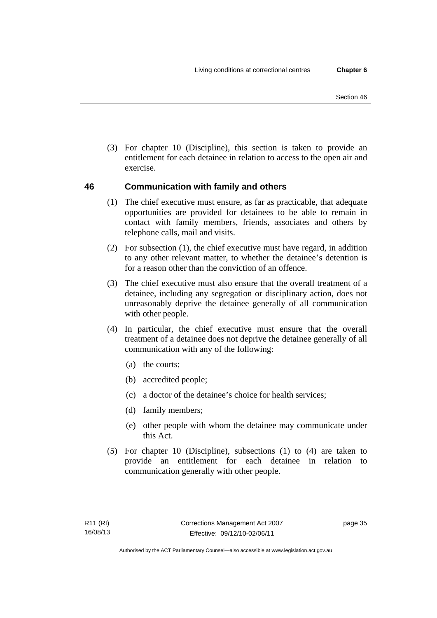(3) For chapter 10 (Discipline), this section is taken to provide an entitlement for each detainee in relation to access to the open air and exercise.

# **46 Communication with family and others**

- (1) The chief executive must ensure, as far as practicable, that adequate opportunities are provided for detainees to be able to remain in contact with family members, friends, associates and others by telephone calls, mail and visits.
- (2) For subsection (1), the chief executive must have regard, in addition to any other relevant matter, to whether the detainee's detention is for a reason other than the conviction of an offence.
- (3) The chief executive must also ensure that the overall treatment of a detainee, including any segregation or disciplinary action, does not unreasonably deprive the detainee generally of all communication with other people.
- (4) In particular, the chief executive must ensure that the overall treatment of a detainee does not deprive the detainee generally of all communication with any of the following:
	- (a) the courts;
	- (b) accredited people;
	- (c) a doctor of the detainee's choice for health services;
	- (d) family members;
	- (e) other people with whom the detainee may communicate under this Act.
- (5) For chapter 10 (Discipline), subsections (1) to (4) are taken to provide an entitlement for each detainee in relation to communication generally with other people.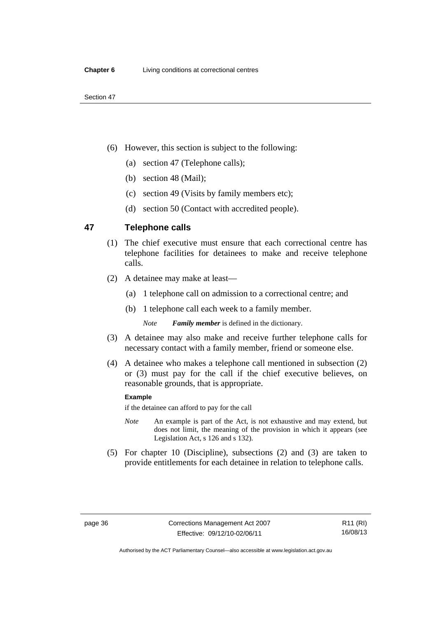- (6) However, this section is subject to the following:
	- (a) section 47 (Telephone calls);
	- (b) section 48 (Mail);
	- (c) section 49 (Visits by family members etc);
	- (d) section 50 (Contact with accredited people).

## **47 Telephone calls**

- (1) The chief executive must ensure that each correctional centre has telephone facilities for detainees to make and receive telephone calls.
- (2) A detainee may make at least—
	- (a) 1 telephone call on admission to a correctional centre; and
	- (b) 1 telephone call each week to a family member.

*Note Family member* is defined in the dictionary.

- (3) A detainee may also make and receive further telephone calls for necessary contact with a family member, friend or someone else.
- (4) A detainee who makes a telephone call mentioned in subsection (2) or (3) must pay for the call if the chief executive believes, on reasonable grounds, that is appropriate.

#### **Example**

if the detainee can afford to pay for the call

- *Note* An example is part of the Act, is not exhaustive and may extend, but does not limit, the meaning of the provision in which it appears (see Legislation Act, s 126 and s 132).
- (5) For chapter 10 (Discipline), subsections (2) and (3) are taken to provide entitlements for each detainee in relation to telephone calls.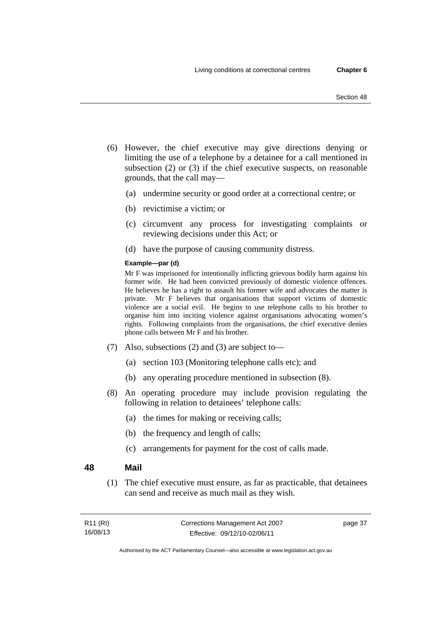- (6) However, the chief executive may give directions denying or limiting the use of a telephone by a detainee for a call mentioned in subsection (2) or (3) if the chief executive suspects, on reasonable grounds, that the call may—
	- (a) undermine security or good order at a correctional centre; or
	- (b) revictimise a victim; or
	- (c) circumvent any process for investigating complaints or reviewing decisions under this Act; or
	- (d) have the purpose of causing community distress.

#### **Example—par (d)**

Mr F was imprisoned for intentionally inflicting grievous bodily harm against his former wife. He had been convicted previously of domestic violence offences. He believes he has a right to assault his former wife and advocates the matter is private. Mr F believes that organisations that support victims of domestic violence are a social evil. He begins to use telephone calls to his brother to organise him into inciting violence against organisations advocating women's rights. Following complaints from the organisations, the chief executive denies phone calls between Mr F and his brother.

- (7) Also, subsections (2) and (3) are subject to—
	- (a) section 103 (Monitoring telephone calls etc); and
	- (b) any operating procedure mentioned in subsection (8).
- (8) An operating procedure may include provision regulating the following in relation to detainees' telephone calls:
	- (a) the times for making or receiving calls;
	- (b) the frequency and length of calls;
	- (c) arrangements for payment for the cost of calls made.

### **48 Mail**

 (1) The chief executive must ensure, as far as practicable, that detainees can send and receive as much mail as they wish.

| R <sub>11</sub> (RI) | Corrections Management Act 2007 | page 37 |
|----------------------|---------------------------------|---------|
| 16/08/13             | Effective: 09/12/10-02/06/11    |         |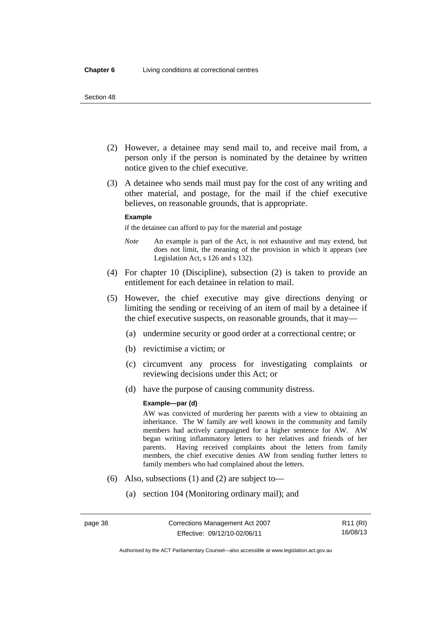- (2) However, a detainee may send mail to, and receive mail from, a person only if the person is nominated by the detainee by written notice given to the chief executive.
- (3) A detainee who sends mail must pay for the cost of any writing and other material, and postage, for the mail if the chief executive believes, on reasonable grounds, that is appropriate.

#### **Example**

if the detainee can afford to pay for the material and postage

- *Note* An example is part of the Act, is not exhaustive and may extend, but does not limit, the meaning of the provision in which it appears (see Legislation Act, s 126 and s 132).
- (4) For chapter 10 (Discipline), subsection (2) is taken to provide an entitlement for each detainee in relation to mail.
- (5) However, the chief executive may give directions denying or limiting the sending or receiving of an item of mail by a detainee if the chief executive suspects, on reasonable grounds, that it may—
	- (a) undermine security or good order at a correctional centre; or
	- (b) revictimise a victim; or
	- (c) circumvent any process for investigating complaints or reviewing decisions under this Act; or
	- (d) have the purpose of causing community distress.

#### **Example—par (d)**

AW was convicted of murdering her parents with a view to obtaining an inheritance. The W family are well known in the community and family members had actively campaigned for a higher sentence for AW. AW began writing inflammatory letters to her relatives and friends of her parents. Having received complaints about the letters from family members, the chief executive denies AW from sending further letters to family members who had complained about the letters.

- (6) Also, subsections (1) and (2) are subject to—
	- (a) section 104 (Monitoring ordinary mail); and

Authorised by the ACT Parliamentary Counsel—also accessible at www.legislation.act.gov.au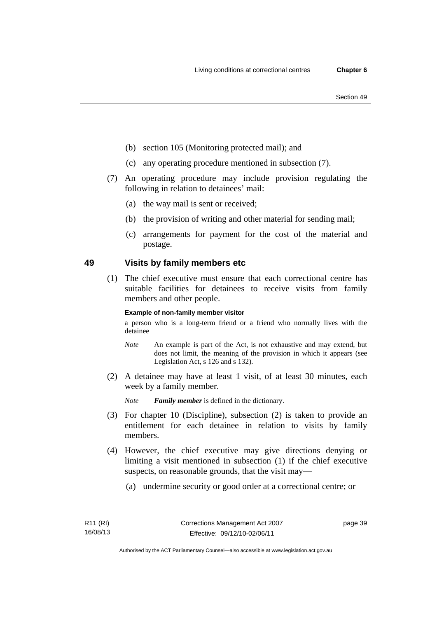- (b) section 105 (Monitoring protected mail); and
- (c) any operating procedure mentioned in subsection (7).
- (7) An operating procedure may include provision regulating the following in relation to detainees' mail:
	- (a) the way mail is sent or received;
	- (b) the provision of writing and other material for sending mail;
	- (c) arrangements for payment for the cost of the material and postage.

# **49 Visits by family members etc**

 (1) The chief executive must ensure that each correctional centre has suitable facilities for detainees to receive visits from family members and other people.

#### **Example of non-family member visitor**

a person who is a long-term friend or a friend who normally lives with the detainee

- *Note* An example is part of the Act, is not exhaustive and may extend, but does not limit, the meaning of the provision in which it appears (see Legislation Act, s 126 and s 132).
- (2) A detainee may have at least 1 visit, of at least 30 minutes, each week by a family member.

*Note Family member* is defined in the dictionary.

- (3) For chapter 10 (Discipline), subsection (2) is taken to provide an entitlement for each detainee in relation to visits by family members.
- (4) However, the chief executive may give directions denying or limiting a visit mentioned in subsection (1) if the chief executive suspects, on reasonable grounds, that the visit may—
	- (a) undermine security or good order at a correctional centre; or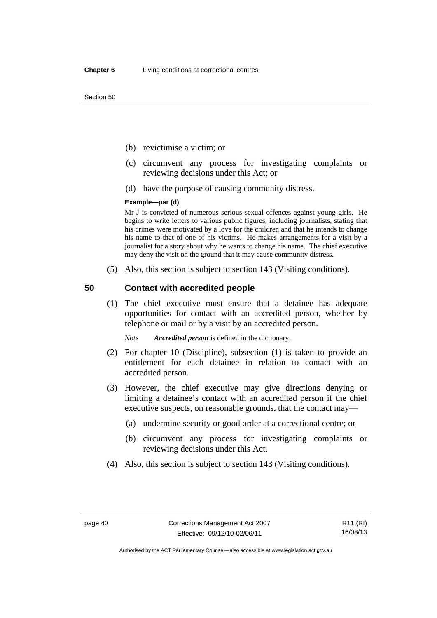- (b) revictimise a victim; or
- (c) circumvent any process for investigating complaints or reviewing decisions under this Act; or
- (d) have the purpose of causing community distress.

#### **Example—par (d)**

Mr J is convicted of numerous serious sexual offences against young girls. He begins to write letters to various public figures, including journalists, stating that his crimes were motivated by a love for the children and that he intends to change his name to that of one of his victims. He makes arrangements for a visit by a journalist for a story about why he wants to change his name. The chief executive may deny the visit on the ground that it may cause community distress.

(5) Also, this section is subject to section 143 (Visiting conditions).

### **50 Contact with accredited people**

 (1) The chief executive must ensure that a detainee has adequate opportunities for contact with an accredited person, whether by telephone or mail or by a visit by an accredited person.

*Note Accredited person* is defined in the dictionary.

- (2) For chapter 10 (Discipline), subsection (1) is taken to provide an entitlement for each detainee in relation to contact with an accredited person.
- (3) However, the chief executive may give directions denying or limiting a detainee's contact with an accredited person if the chief executive suspects, on reasonable grounds, that the contact may—
	- (a) undermine security or good order at a correctional centre; or
	- (b) circumvent any process for investigating complaints or reviewing decisions under this Act.
- (4) Also, this section is subject to section 143 (Visiting conditions).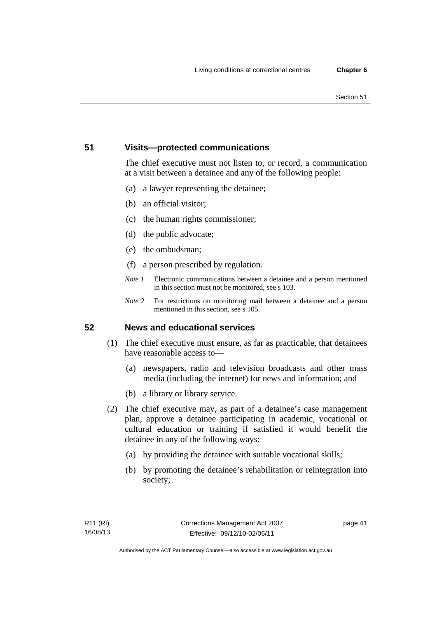# **51 Visits—protected communications**

The chief executive must not listen to, or record, a communication at a visit between a detainee and any of the following people:

- (a) a lawyer representing the detainee;
- (b) an official visitor;
- (c) the human rights commissioner;
- (d) the public advocate;
- (e) the ombudsman;
- (f) a person prescribed by regulation.
- *Note 1* Electronic communications between a detainee and a person mentioned in this section must not be monitored, see s 103.
- *Note 2* For restrictions on monitoring mail between a detainee and a person mentioned in this section, see s 105.

# **52 News and educational services**

- (1) The chief executive must ensure, as far as practicable, that detainees have reasonable access to—
	- (a) newspapers, radio and television broadcasts and other mass media (including the internet) for news and information; and
	- (b) a library or library service.
- (2) The chief executive may, as part of a detainee's case management plan, approve a detainee participating in academic, vocational or cultural education or training if satisfied it would benefit the detainee in any of the following ways:
	- (a) by providing the detainee with suitable vocational skills;
	- (b) by promoting the detainee's rehabilitation or reintegration into society;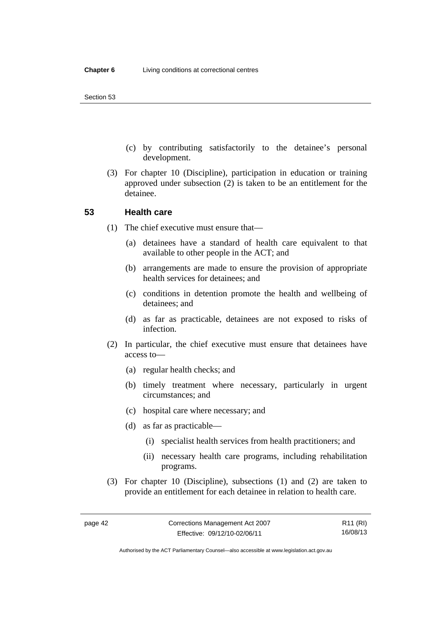- (c) by contributing satisfactorily to the detainee's personal development.
- (3) For chapter 10 (Discipline), participation in education or training approved under subsection (2) is taken to be an entitlement for the detainee.

### **53 Health care**

- (1) The chief executive must ensure that—
	- (a) detainees have a standard of health care equivalent to that available to other people in the ACT; and
	- (b) arrangements are made to ensure the provision of appropriate health services for detainees; and
	- (c) conditions in detention promote the health and wellbeing of detainees; and
	- (d) as far as practicable, detainees are not exposed to risks of infection.
- (2) In particular, the chief executive must ensure that detainees have access to—
	- (a) regular health checks; and
	- (b) timely treatment where necessary, particularly in urgent circumstances; and
	- (c) hospital care where necessary; and
	- (d) as far as practicable—
		- (i) specialist health services from health practitioners; and
		- (ii) necessary health care programs, including rehabilitation programs.
- (3) For chapter 10 (Discipline), subsections (1) and (2) are taken to provide an entitlement for each detainee in relation to health care.

R11 (RI) 16/08/13

Authorised by the ACT Parliamentary Counsel—also accessible at www.legislation.act.gov.au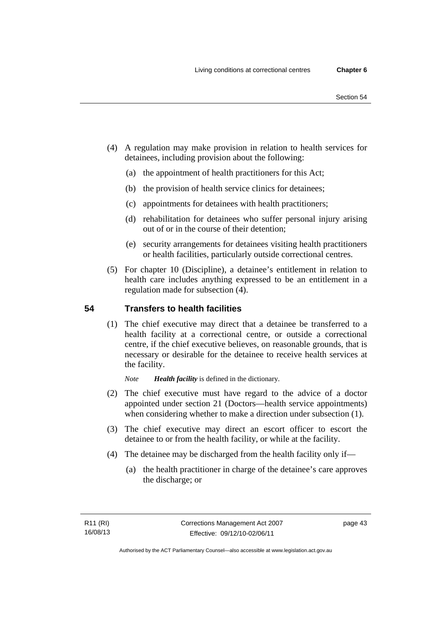- (4) A regulation may make provision in relation to health services for detainees, including provision about the following:
	- (a) the appointment of health practitioners for this Act;
	- (b) the provision of health service clinics for detainees;
	- (c) appointments for detainees with health practitioners;
	- (d) rehabilitation for detainees who suffer personal injury arising out of or in the course of their detention;
	- (e) security arrangements for detainees visiting health practitioners or health facilities, particularly outside correctional centres.
- (5) For chapter 10 (Discipline), a detainee's entitlement in relation to health care includes anything expressed to be an entitlement in a regulation made for subsection (4).

# **54 Transfers to health facilities**

 (1) The chief executive may direct that a detainee be transferred to a health facility at a correctional centre, or outside a correctional centre, if the chief executive believes, on reasonable grounds, that is necessary or desirable for the detainee to receive health services at the facility.

*Note Health facility* is defined in the dictionary.

- (2) The chief executive must have regard to the advice of a doctor appointed under section 21 (Doctors—health service appointments) when considering whether to make a direction under subsection  $(1)$ .
- (3) The chief executive may direct an escort officer to escort the detainee to or from the health facility, or while at the facility.
- (4) The detainee may be discharged from the health facility only if—
	- (a) the health practitioner in charge of the detainee's care approves the discharge; or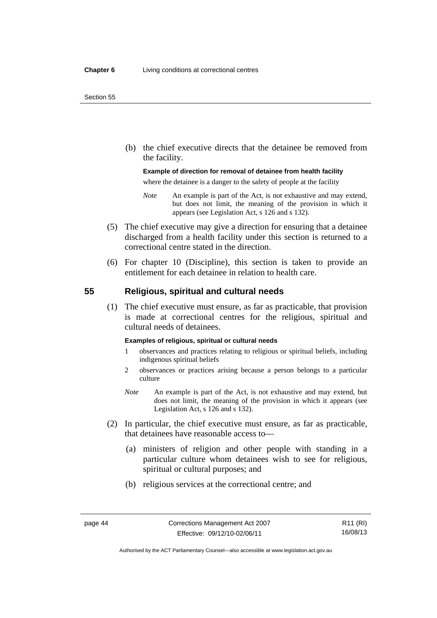(b) the chief executive directs that the detainee be removed from the facility.

#### **Example of direction for removal of detainee from health facility**

where the detainee is a danger to the safety of people at the facility

- *Note* An example is part of the Act, is not exhaustive and may extend, but does not limit, the meaning of the provision in which it appears (see Legislation Act, s 126 and s 132).
- (5) The chief executive may give a direction for ensuring that a detainee discharged from a health facility under this section is returned to a correctional centre stated in the direction.
- (6) For chapter 10 (Discipline), this section is taken to provide an entitlement for each detainee in relation to health care.

# **55 Religious, spiritual and cultural needs**

 (1) The chief executive must ensure, as far as practicable, that provision is made at correctional centres for the religious, spiritual and cultural needs of detainees.

#### **Examples of religious, spiritual or cultural needs**

- 1 observances and practices relating to religious or spiritual beliefs, including indigenous spiritual beliefs
- 2 observances or practices arising because a person belongs to a particular culture
- *Note* An example is part of the Act, is not exhaustive and may extend, but does not limit, the meaning of the provision in which it appears (see Legislation Act, s 126 and s 132).
- (2) In particular, the chief executive must ensure, as far as practicable, that detainees have reasonable access to—
	- (a) ministers of religion and other people with standing in a particular culture whom detainees wish to see for religious, spiritual or cultural purposes; and
	- (b) religious services at the correctional centre; and

Authorised by the ACT Parliamentary Counsel—also accessible at www.legislation.act.gov.au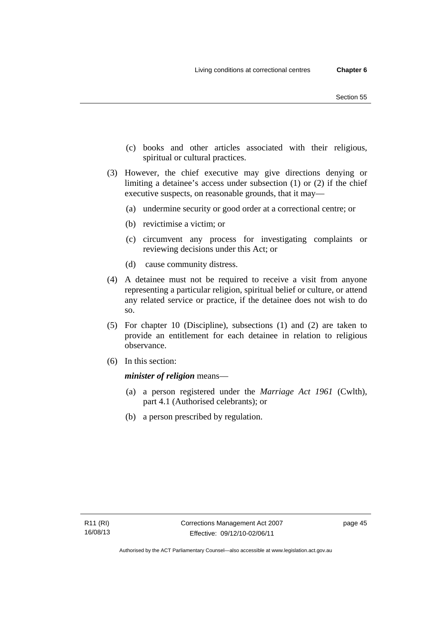- (c) books and other articles associated with their religious, spiritual or cultural practices.
- (3) However, the chief executive may give directions denying or limiting a detainee's access under subsection (1) or (2) if the chief executive suspects, on reasonable grounds, that it may—
	- (a) undermine security or good order at a correctional centre; or
	- (b) revictimise a victim; or
	- (c) circumvent any process for investigating complaints or reviewing decisions under this Act; or
	- (d) cause community distress.
- (4) A detainee must not be required to receive a visit from anyone representing a particular religion, spiritual belief or culture, or attend any related service or practice, if the detainee does not wish to do so.
- (5) For chapter 10 (Discipline), subsections (1) and (2) are taken to provide an entitlement for each detainee in relation to religious observance.
- (6) In this section:

*minister of religion* means—

- (a) a person registered under the *Marriage Act 1961* (Cwlth), part 4.1 (Authorised celebrants); or
- (b) a person prescribed by regulation.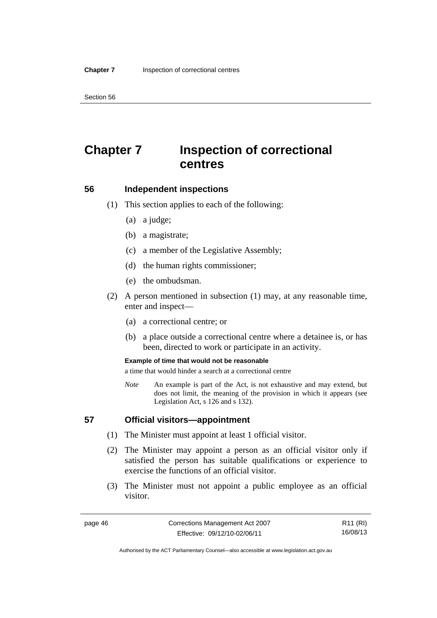# **Chapter 7 Inspection of correctional centres**

### **56 Independent inspections**

- (1) This section applies to each of the following:
	- (a) a judge;
	- (b) a magistrate;
	- (c) a member of the Legislative Assembly;
	- (d) the human rights commissioner;
	- (e) the ombudsman.
- (2) A person mentioned in subsection (1) may, at any reasonable time, enter and inspect—
	- (a) a correctional centre; or
	- (b) a place outside a correctional centre where a detainee is, or has been, directed to work or participate in an activity.

#### **Example of time that would not be reasonable**

a time that would hinder a search at a correctional centre

*Note* An example is part of the Act, is not exhaustive and may extend, but does not limit, the meaning of the provision in which it appears (see Legislation Act, s 126 and s 132).

### **57 Official visitors—appointment**

- (1) The Minister must appoint at least 1 official visitor.
- (2) The Minister may appoint a person as an official visitor only if satisfied the person has suitable qualifications or experience to exercise the functions of an official visitor.
- (3) The Minister must not appoint a public employee as an official visitor.

R11 (RI) 16/08/13

Authorised by the ACT Parliamentary Counsel—also accessible at www.legislation.act.gov.au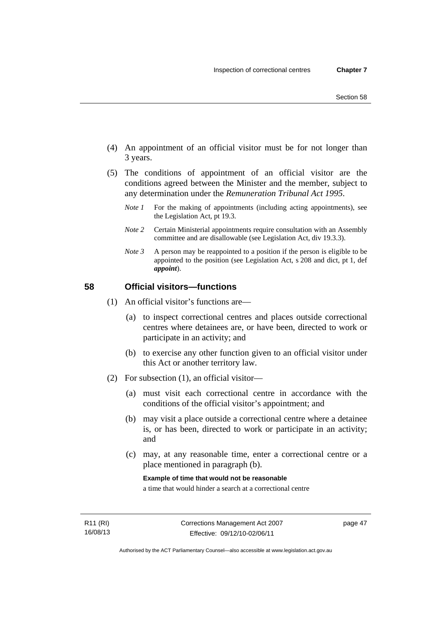- Section 58
- (4) An appointment of an official visitor must be for not longer than 3 years.
- (5) The conditions of appointment of an official visitor are the conditions agreed between the Minister and the member, subject to any determination under the *Remuneration Tribunal Act 1995*.
	- *Note 1* For the making of appointments (including acting appointments), see the Legislation Act, pt 19.3.
	- *Note 2* Certain Ministerial appointments require consultation with an Assembly committee and are disallowable (see Legislation Act, div 19.3.3).
	- *Note 3* A person may be reappointed to a position if the person is eligible to be appointed to the position (see Legislation Act, s 208 and dict, pt 1, def *appoint*).

# **58 Official visitors—functions**

- (1) An official visitor's functions are—
	- (a) to inspect correctional centres and places outside correctional centres where detainees are, or have been, directed to work or participate in an activity; and
	- (b) to exercise any other function given to an official visitor under this Act or another territory law.
- (2) For subsection (1), an official visitor—
	- (a) must visit each correctional centre in accordance with the conditions of the official visitor's appointment; and
	- (b) may visit a place outside a correctional centre where a detainee is, or has been, directed to work or participate in an activity; and
	- (c) may, at any reasonable time, enter a correctional centre or a place mentioned in paragraph (b).

**Example of time that would not be reasonable** 

a time that would hinder a search at a correctional centre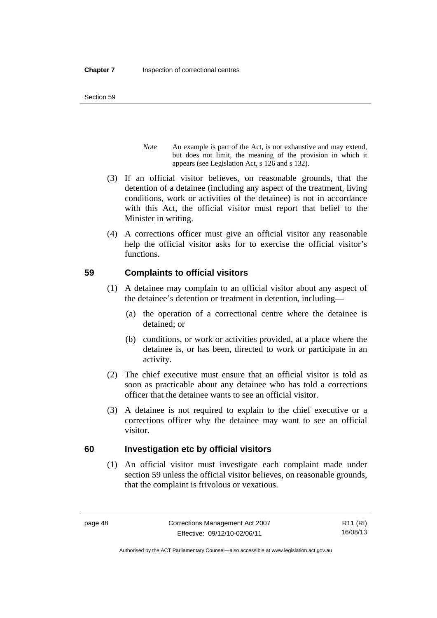- *Note* An example is part of the Act, is not exhaustive and may extend, but does not limit, the meaning of the provision in which it appears (see Legislation Act, s 126 and s 132).
- (3) If an official visitor believes, on reasonable grounds, that the detention of a detainee (including any aspect of the treatment, living conditions, work or activities of the detainee) is not in accordance with this Act, the official visitor must report that belief to the Minister in writing.
- (4) A corrections officer must give an official visitor any reasonable help the official visitor asks for to exercise the official visitor's functions.

# **59 Complaints to official visitors**

- (1) A detainee may complain to an official visitor about any aspect of the detainee's detention or treatment in detention, including—
	- (a) the operation of a correctional centre where the detainee is detained; or
	- (b) conditions, or work or activities provided, at a place where the detainee is, or has been, directed to work or participate in an activity.
- (2) The chief executive must ensure that an official visitor is told as soon as practicable about any detainee who has told a corrections officer that the detainee wants to see an official visitor.
- (3) A detainee is not required to explain to the chief executive or a corrections officer why the detainee may want to see an official visitor.

# **60 Investigation etc by official visitors**

 (1) An official visitor must investigate each complaint made under section 59 unless the official visitor believes, on reasonable grounds, that the complaint is frivolous or vexatious.

R11 (RI) 16/08/13

Authorised by the ACT Parliamentary Counsel—also accessible at www.legislation.act.gov.au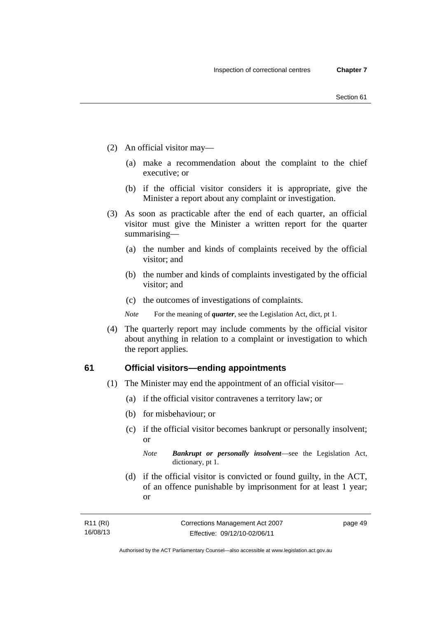- (2) An official visitor may—
	- (a) make a recommendation about the complaint to the chief executive; or
	- (b) if the official visitor considers it is appropriate, give the Minister a report about any complaint or investigation.
- (3) As soon as practicable after the end of each quarter, an official visitor must give the Minister a written report for the quarter summarising—
	- (a) the number and kinds of complaints received by the official visitor; and
	- (b) the number and kinds of complaints investigated by the official visitor; and
	- (c) the outcomes of investigations of complaints.
	- *Note* For the meaning of *quarter*, see the Legislation Act, dict, pt 1.
- (4) The quarterly report may include comments by the official visitor about anything in relation to a complaint or investigation to which the report applies.

### **61 Official visitors—ending appointments**

- (1) The Minister may end the appointment of an official visitor—
	- (a) if the official visitor contravenes a territory law; or
	- (b) for misbehaviour; or
	- (c) if the official visitor becomes bankrupt or personally insolvent; or

*Note Bankrupt or personally insolvent*—see the Legislation Act, dictionary, pt 1.

 (d) if the official visitor is convicted or found guilty, in the ACT, of an offence punishable by imprisonment for at least 1 year; or

| R11 (RI) | Corrections Management Act 2007 | page 49 |
|----------|---------------------------------|---------|
| 16/08/13 | Effective: 09/12/10-02/06/11    |         |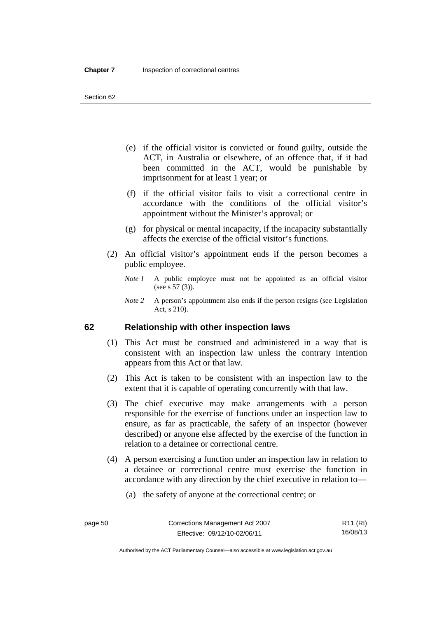- (e) if the official visitor is convicted or found guilty, outside the ACT, in Australia or elsewhere, of an offence that, if it had been committed in the ACT, would be punishable by imprisonment for at least 1 year; or
- (f) if the official visitor fails to visit a correctional centre in accordance with the conditions of the official visitor's appointment without the Minister's approval; or
- (g) for physical or mental incapacity, if the incapacity substantially affects the exercise of the official visitor's functions.
- (2) An official visitor's appointment ends if the person becomes a public employee.
	- *Note 1* A public employee must not be appointed as an official visitor (see s 57 (3)).
	- *Note 2* A person's appointment also ends if the person resigns (see Legislation Act, s 210).

## **62 Relationship with other inspection laws**

- (1) This Act must be construed and administered in a way that is consistent with an inspection law unless the contrary intention appears from this Act or that law.
- (2) This Act is taken to be consistent with an inspection law to the extent that it is capable of operating concurrently with that law.
- (3) The chief executive may make arrangements with a person responsible for the exercise of functions under an inspection law to ensure, as far as practicable, the safety of an inspector (however described) or anyone else affected by the exercise of the function in relation to a detainee or correctional centre.
- (4) A person exercising a function under an inspection law in relation to a detainee or correctional centre must exercise the function in accordance with any direction by the chief executive in relation to—
	- (a) the safety of anyone at the correctional centre; or

Authorised by the ACT Parliamentary Counsel—also accessible at www.legislation.act.gov.au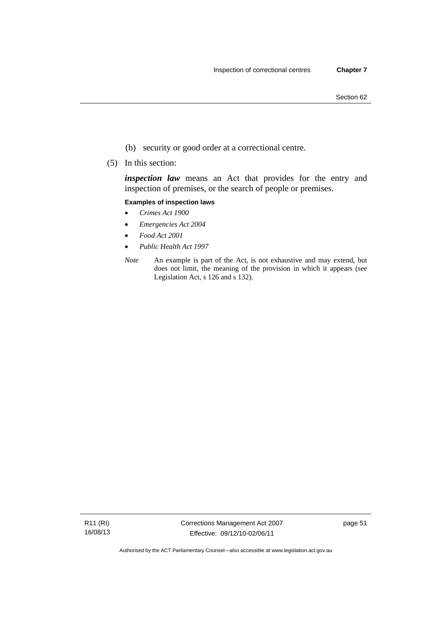- (b) security or good order at a correctional centre.
- (5) In this section:

*inspection law* means an Act that provides for the entry and inspection of premises, or the search of people or premises.

#### **Examples of inspection laws**

- *Crimes Act 1900*
- *Emergencies Act 2004*
- *Food Act 2001*
- *Public Health Act 1997*
- *Note* An example is part of the Act, is not exhaustive and may extend, but does not limit, the meaning of the provision in which it appears (see Legislation Act, s 126 and s 132).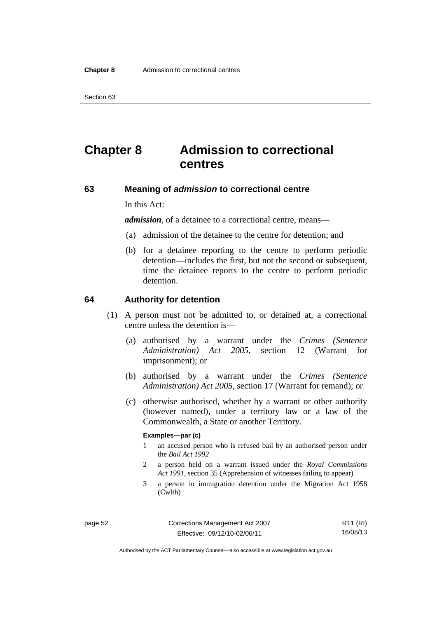# **Chapter 8 Admission to correctional centres**

### **63 Meaning of** *admission* **to correctional centre**

In this Act:

*admission,* of a detainee to a correctional centre, means—

- (a) admission of the detainee to the centre for detention; and
- (b) for a detainee reporting to the centre to perform periodic detention—includes the first, but not the second or subsequent, time the detainee reports to the centre to perform periodic detention.

### **64 Authority for detention**

- (1) A person must not be admitted to, or detained at, a correctional centre unless the detention is—
	- (a) authorised by a warrant under the *Crimes (Sentence Administration) Act 2005*, section 12 (Warrant for imprisonment); or
	- (b) authorised by a warrant under the *Crimes (Sentence Administration) Act 2005*, section 17 (Warrant for remand); or
	- (c) otherwise authorised, whether by a warrant or other authority (however named), under a territory law or a law of the Commonwealth, a State or another Territory.

#### **Examples—par (c)**

- 1 an accused person who is refused bail by an authorised person under the *Bail Act 1992*
- 2 a person held on a warrant issued under the *Royal Commissions Act 1991*, section 35 (Apprehension of witnesses failing to appear)
- 3 a person in immigration detention under the Migration Act 1958 (Cwlth)

R11 (RI) 16/08/13

Authorised by the ACT Parliamentary Counsel—also accessible at www.legislation.act.gov.au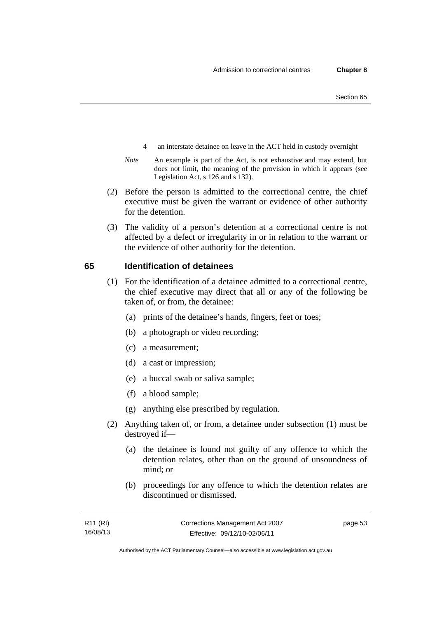- 4 an interstate detainee on leave in the ACT held in custody overnight
- *Note* An example is part of the Act, is not exhaustive and may extend, but does not limit, the meaning of the provision in which it appears (see Legislation Act, s 126 and s 132).
- (2) Before the person is admitted to the correctional centre, the chief executive must be given the warrant or evidence of other authority for the detention.
- (3) The validity of a person's detention at a correctional centre is not affected by a defect or irregularity in or in relation to the warrant or the evidence of other authority for the detention.

### **65 Identification of detainees**

- (1) For the identification of a detainee admitted to a correctional centre, the chief executive may direct that all or any of the following be taken of, or from, the detainee:
	- (a) prints of the detainee's hands, fingers, feet or toes;
	- (b) a photograph or video recording;
	- (c) a measurement;
	- (d) a cast or impression;
	- (e) a buccal swab or saliva sample;
	- (f) a blood sample;
	- (g) anything else prescribed by regulation.
- (2) Anything taken of, or from, a detainee under subsection (1) must be destroyed if—
	- (a) the detainee is found not guilty of any offence to which the detention relates, other than on the ground of unsoundness of mind; or
	- (b) proceedings for any offence to which the detention relates are discontinued or dismissed.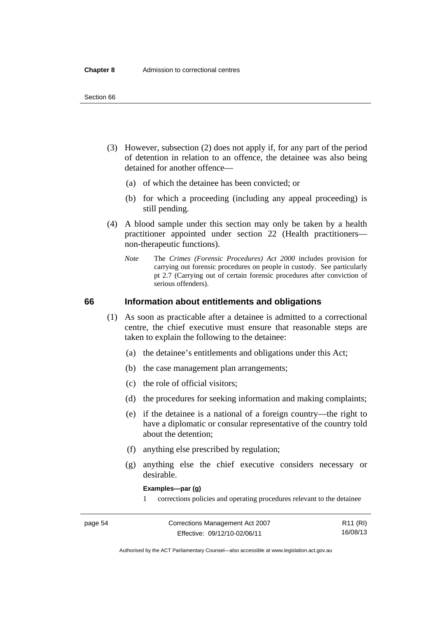- (3) However, subsection (2) does not apply if, for any part of the period of detention in relation to an offence, the detainee was also being detained for another offence—
	- (a) of which the detainee has been convicted; or
	- (b) for which a proceeding (including any appeal proceeding) is still pending.
- (4) A blood sample under this section may only be taken by a health practitioner appointed under section 22 (Health practitioners non-therapeutic functions).
	- *Note* The *Crimes (Forensic Procedures) Act 2000* includes provision for carrying out forensic procedures on people in custody. See particularly pt 2.7 (Carrying out of certain forensic procedures after conviction of serious offenders).

### **66 Information about entitlements and obligations**

- (1) As soon as practicable after a detainee is admitted to a correctional centre, the chief executive must ensure that reasonable steps are taken to explain the following to the detainee:
	- (a) the detainee's entitlements and obligations under this Act;
	- (b) the case management plan arrangements;
	- (c) the role of official visitors;
	- (d) the procedures for seeking information and making complaints;
	- (e) if the detainee is a national of a foreign country—the right to have a diplomatic or consular representative of the country told about the detention;
	- (f) anything else prescribed by regulation;
	- (g) anything else the chief executive considers necessary or desirable.

**Examples—par (g)** 

1 corrections policies and operating procedures relevant to the detainee

| page 54 | Corrections Management Act 2007 | R11 (RI) |
|---------|---------------------------------|----------|
|         | Effective: 09/12/10-02/06/11    | 16/08/13 |

Authorised by the ACT Parliamentary Counsel—also accessible at www.legislation.act.gov.au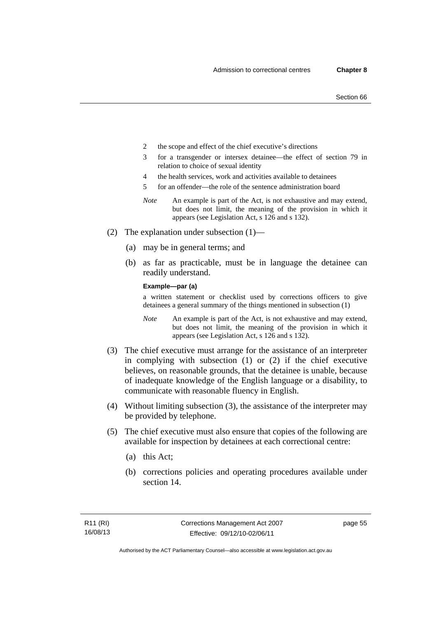- 2 the scope and effect of the chief executive's directions
- 3 for a transgender or intersex detainee—the effect of section 79 in relation to choice of sexual identity
- 4 the health services, work and activities available to detainees
- 5 for an offender—the role of the sentence administration board
- *Note* An example is part of the Act, is not exhaustive and may extend, but does not limit, the meaning of the provision in which it appears (see Legislation Act, s 126 and s 132).
- (2) The explanation under subsection (1)—
	- (a) may be in general terms; and
	- (b) as far as practicable, must be in language the detainee can readily understand.

**Example—par (a)** 

a written statement or checklist used by corrections officers to give detainees a general summary of the things mentioned in subsection (1)

- *Note* An example is part of the Act, is not exhaustive and may extend, but does not limit, the meaning of the provision in which it appears (see Legislation Act, s 126 and s 132).
- (3) The chief executive must arrange for the assistance of an interpreter in complying with subsection (1) or (2) if the chief executive believes, on reasonable grounds, that the detainee is unable, because of inadequate knowledge of the English language or a disability, to communicate with reasonable fluency in English.
- (4) Without limiting subsection (3), the assistance of the interpreter may be provided by telephone.
- (5) The chief executive must also ensure that copies of the following are available for inspection by detainees at each correctional centre:
	- (a) this Act;
	- (b) corrections policies and operating procedures available under section 14.

page 55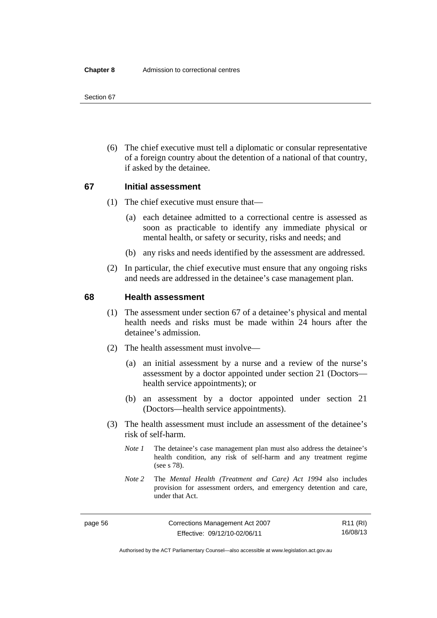(6) The chief executive must tell a diplomatic or consular representative of a foreign country about the detention of a national of that country, if asked by the detainee.

# **67 Initial assessment**

- (1) The chief executive must ensure that—
	- (a) each detainee admitted to a correctional centre is assessed as soon as practicable to identify any immediate physical or mental health, or safety or security, risks and needs; and
	- (b) any risks and needs identified by the assessment are addressed.
- (2) In particular, the chief executive must ensure that any ongoing risks and needs are addressed in the detainee's case management plan.

### **68 Health assessment**

- (1) The assessment under section 67 of a detainee's physical and mental health needs and risks must be made within 24 hours after the detainee's admission.
- (2) The health assessment must involve—
	- (a) an initial assessment by a nurse and a review of the nurse's assessment by a doctor appointed under section 21 (Doctors health service appointments); or
	- (b) an assessment by a doctor appointed under section 21 (Doctors—health service appointments).
- (3) The health assessment must include an assessment of the detainee's risk of self-harm.
	- *Note 1* The detainee's case management plan must also address the detainee's health condition, any risk of self-harm and any treatment regime (see s 78).
	- *Note 2* The *Mental Health (Treatment and Care) Act 1994* also includes provision for assessment orders, and emergency detention and care, under that Act.

R11 (RI) 16/08/13

Authorised by the ACT Parliamentary Counsel—also accessible at www.legislation.act.gov.au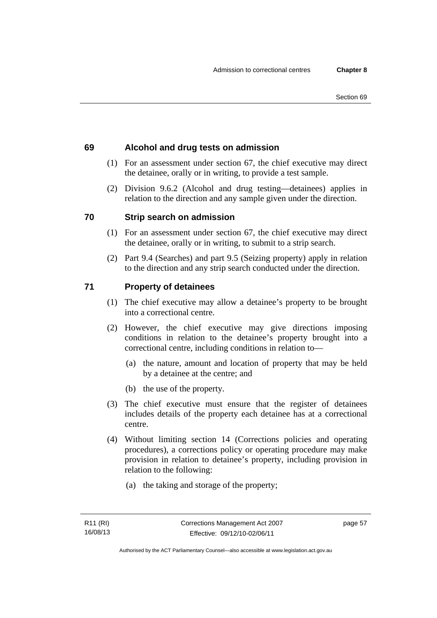# **69 Alcohol and drug tests on admission**

- (1) For an assessment under section 67, the chief executive may direct the detainee, orally or in writing, to provide a test sample.
- (2) Division 9.6.2 (Alcohol and drug testing—detainees) applies in relation to the direction and any sample given under the direction.

# **70 Strip search on admission**

- (1) For an assessment under section 67, the chief executive may direct the detainee, orally or in writing, to submit to a strip search.
- (2) Part 9.4 (Searches) and part 9.5 (Seizing property) apply in relation to the direction and any strip search conducted under the direction.

# **71 Property of detainees**

- (1) The chief executive may allow a detainee's property to be brought into a correctional centre.
- (2) However, the chief executive may give directions imposing conditions in relation to the detainee's property brought into a correctional centre, including conditions in relation to—
	- (a) the nature, amount and location of property that may be held by a detainee at the centre; and
	- (b) the use of the property.
- (3) The chief executive must ensure that the register of detainees includes details of the property each detainee has at a correctional centre.
- (4) Without limiting section 14 (Corrections policies and operating procedures), a corrections policy or operating procedure may make provision in relation to detainee's property, including provision in relation to the following:
	- (a) the taking and storage of the property;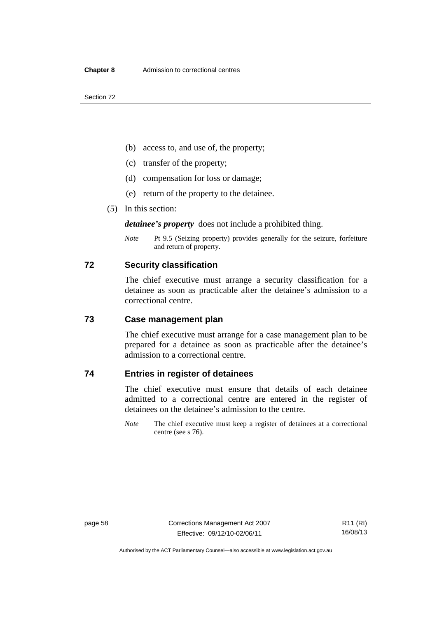- (b) access to, and use of, the property;
- (c) transfer of the property;
- (d) compensation for loss or damage;
- (e) return of the property to the detainee.
- (5) In this section:

*detainee's property* does not include a prohibited thing.

*Note* Pt 9.5 (Seizing property) provides generally for the seizure, forfeiture and return of property.

### **72 Security classification**

The chief executive must arrange a security classification for a detainee as soon as practicable after the detainee's admission to a correctional centre.

### **73 Case management plan**

The chief executive must arrange for a case management plan to be prepared for a detainee as soon as practicable after the detainee's admission to a correctional centre.

# **74 Entries in register of detainees**

The chief executive must ensure that details of each detainee admitted to a correctional centre are entered in the register of detainees on the detainee's admission to the centre.

*Note* The chief executive must keep a register of detainees at a correctional centre (see s 76).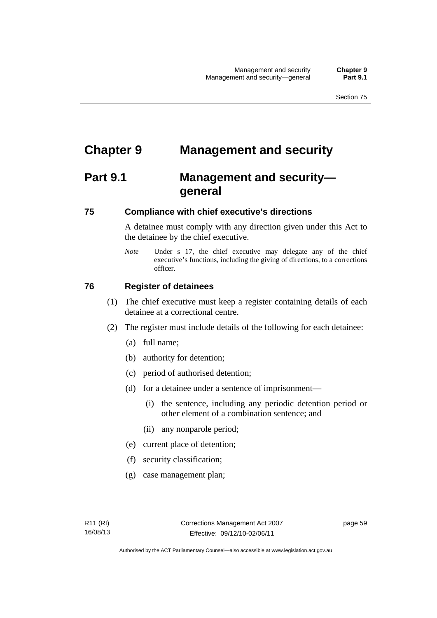# **Chapter 9 Management and security**

# **Part 9.1 Management and security general**

## **75 Compliance with chief executive's directions**

A detainee must comply with any direction given under this Act to the detainee by the chief executive.

*Note* Under s 17, the chief executive may delegate any of the chief executive's functions, including the giving of directions, to a corrections officer.

## **76 Register of detainees**

- (1) The chief executive must keep a register containing details of each detainee at a correctional centre.
- (2) The register must include details of the following for each detainee:
	- (a) full name;
	- (b) authority for detention;
	- (c) period of authorised detention;
	- (d) for a detainee under a sentence of imprisonment—
		- (i) the sentence, including any periodic detention period or other element of a combination sentence; and
		- (ii) any nonparole period;
	- (e) current place of detention;
	- (f) security classification;
	- (g) case management plan;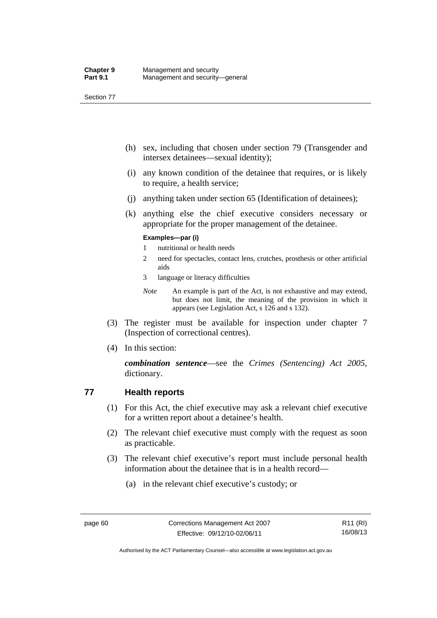- (h) sex, including that chosen under section 79 (Transgender and intersex detainees—sexual identity);
- (i) any known condition of the detainee that requires, or is likely to require, a health service;
- (j) anything taken under section 65 (Identification of detainees);
- (k) anything else the chief executive considers necessary or appropriate for the proper management of the detainee.

## **Examples—par (i)**

- 1 nutritional or health needs
- 2 need for spectacles, contact lens, crutches, prosthesis or other artificial aids
- 3 language or literacy difficulties
- *Note* An example is part of the Act, is not exhaustive and may extend, but does not limit, the meaning of the provision in which it appears (see Legislation Act, s 126 and s 132).
- (3) The register must be available for inspection under chapter 7 (Inspection of correctional centres).
- (4) In this section:

*combination sentence*—see the *Crimes (Sentencing) Act 2005*, dictionary.

# **77 Health reports**

- (1) For this Act, the chief executive may ask a relevant chief executive for a written report about a detainee's health.
- (2) The relevant chief executive must comply with the request as soon as practicable.
- (3) The relevant chief executive's report must include personal health information about the detainee that is in a health record—
	- (a) in the relevant chief executive's custody; or

Authorised by the ACT Parliamentary Counsel—also accessible at www.legislation.act.gov.au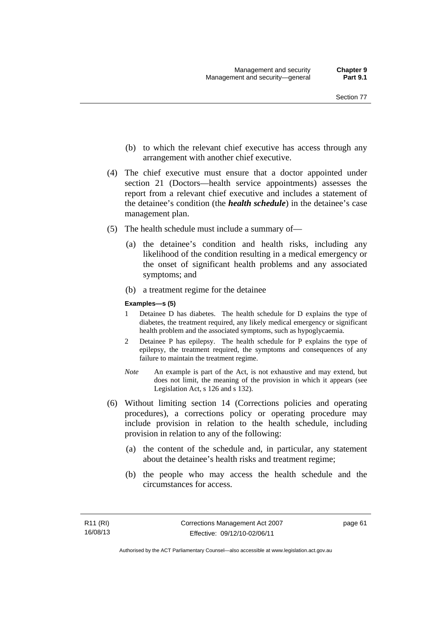- (b) to which the relevant chief executive has access through any arrangement with another chief executive.
- (4) The chief executive must ensure that a doctor appointed under section 21 (Doctors—health service appointments) assesses the report from a relevant chief executive and includes a statement of the detainee's condition (the *health schedule*) in the detainee's case management plan.
- (5) The health schedule must include a summary of—
	- (a) the detainee's condition and health risks, including any likelihood of the condition resulting in a medical emergency or the onset of significant health problems and any associated symptoms; and
	- (b) a treatment regime for the detainee

#### **Examples—s (5)**

- 1 Detainee D has diabetes. The health schedule for D explains the type of diabetes, the treatment required, any likely medical emergency or significant health problem and the associated symptoms, such as hypoglycaemia.
- 2 Detainee P has epilepsy. The health schedule for P explains the type of epilepsy, the treatment required, the symptoms and consequences of any failure to maintain the treatment regime.
- *Note* An example is part of the Act, is not exhaustive and may extend, but does not limit, the meaning of the provision in which it appears (see Legislation Act, s 126 and s 132).
- (6) Without limiting section 14 (Corrections policies and operating procedures), a corrections policy or operating procedure may include provision in relation to the health schedule, including provision in relation to any of the following:
	- (a) the content of the schedule and, in particular, any statement about the detainee's health risks and treatment regime;
	- (b) the people who may access the health schedule and the circumstances for access.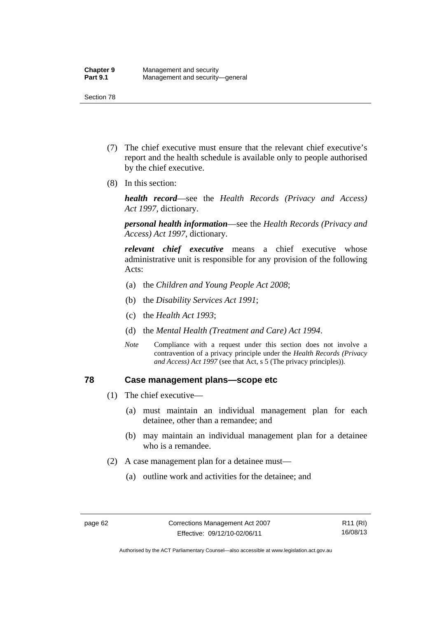- (7) The chief executive must ensure that the relevant chief executive's report and the health schedule is available only to people authorised by the chief executive.
- (8) In this section:

*health record*—see the *Health Records (Privacy and Access) Act 1997*, dictionary.

*personal health information*—see the *Health Records (Privacy and Access) Act 1997*, dictionary.

*relevant chief executive* means a chief executive whose administrative unit is responsible for any provision of the following Acts:

- (a) the *Children and Young People Act 2008*;
- (b) the *Disability Services Act 1991*;
- (c) the *Health Act 1993*;
- (d) the *Mental Health (Treatment and Care) Act 1994*.
- *Note* Compliance with a request under this section does not involve a contravention of a privacy principle under the *Health Records (Privacy and Access) Act 1997* (see that Act, s 5 (The privacy principles))*.*

## **78 Case management plans—scope etc**

- (1) The chief executive—
	- (a) must maintain an individual management plan for each detainee, other than a remandee; and
	- (b) may maintain an individual management plan for a detainee who is a remandee.
- (2) A case management plan for a detainee must—
	- (a) outline work and activities for the detainee; and

Authorised by the ACT Parliamentary Counsel—also accessible at www.legislation.act.gov.au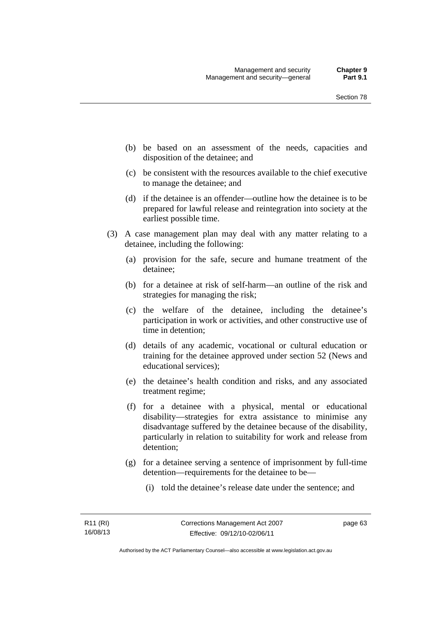- (b) be based on an assessment of the needs, capacities and disposition of the detainee; and
- (c) be consistent with the resources available to the chief executive to manage the detainee; and
- (d) if the detainee is an offender—outline how the detainee is to be prepared for lawful release and reintegration into society at the earliest possible time.
- (3) A case management plan may deal with any matter relating to a detainee, including the following:
	- (a) provision for the safe, secure and humane treatment of the detainee;
	- (b) for a detainee at risk of self-harm—an outline of the risk and strategies for managing the risk;
	- (c) the welfare of the detainee, including the detainee's participation in work or activities, and other constructive use of time in detention;
	- (d) details of any academic, vocational or cultural education or training for the detainee approved under section 52 (News and educational services);
	- (e) the detainee's health condition and risks, and any associated treatment regime;
	- (f) for a detainee with a physical, mental or educational disability—strategies for extra assistance to minimise any disadvantage suffered by the detainee because of the disability, particularly in relation to suitability for work and release from detention;
	- (g) for a detainee serving a sentence of imprisonment by full-time detention—requirements for the detainee to be—
		- (i) told the detainee's release date under the sentence; and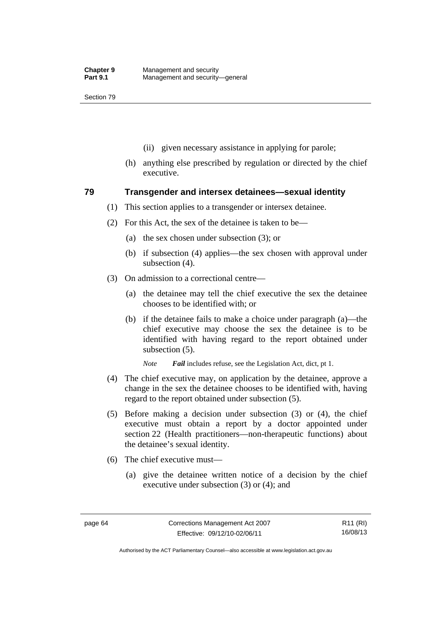- (ii) given necessary assistance in applying for parole;
- (h) anything else prescribed by regulation or directed by the chief executive.

## **79 Transgender and intersex detainees—sexual identity**

- (1) This section applies to a transgender or intersex detainee.
- (2) For this Act, the sex of the detainee is taken to be—
	- (a) the sex chosen under subsection (3); or
	- (b) if subsection (4) applies—the sex chosen with approval under subsection (4).
- (3) On admission to a correctional centre—
	- (a) the detainee may tell the chief executive the sex the detainee chooses to be identified with; or
	- (b) if the detainee fails to make a choice under paragraph (a)—the chief executive may choose the sex the detainee is to be identified with having regard to the report obtained under subsection (5).

*Note Fail* includes refuse, see the Legislation Act, dict, pt 1.

- (4) The chief executive may, on application by the detainee, approve a change in the sex the detainee chooses to be identified with, having regard to the report obtained under subsection (5).
- (5) Before making a decision under subsection (3) or (4), the chief executive must obtain a report by a doctor appointed under section 22 (Health practitioners—non-therapeutic functions) about the detainee's sexual identity.
- (6) The chief executive must—
	- (a) give the detainee written notice of a decision by the chief executive under subsection (3) or (4); and

R11 (RI) 16/08/13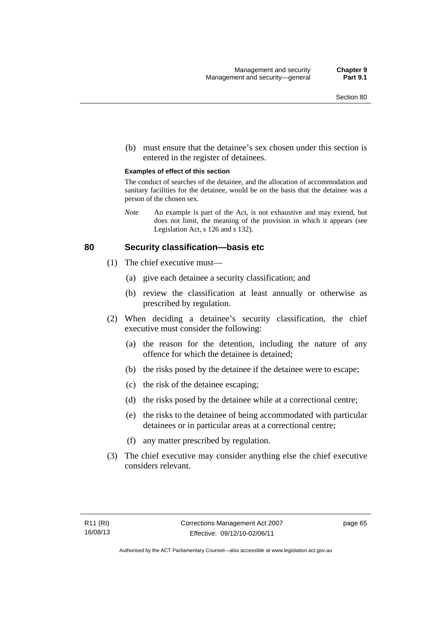(b) must ensure that the detainee's sex chosen under this section is entered in the register of detainees.

#### **Examples of effect of this section**

The conduct of searches of the detainee, and the allocation of accommodation and sanitary facilities for the detainee, would be on the basis that the detainee was a person of the chosen sex.

*Note* An example is part of the Act, is not exhaustive and may extend, but does not limit, the meaning of the provision in which it appears (see Legislation Act, s 126 and s 132).

## **80 Security classification—basis etc**

- (1) The chief executive must—
	- (a) give each detainee a security classification; and
	- (b) review the classification at least annually or otherwise as prescribed by regulation.
- (2) When deciding a detainee's security classification, the chief executive must consider the following:
	- (a) the reason for the detention, including the nature of any offence for which the detainee is detained;
	- (b) the risks posed by the detainee if the detainee were to escape;
	- (c) the risk of the detainee escaping;
	- (d) the risks posed by the detainee while at a correctional centre;
	- (e) the risks to the detainee of being accommodated with particular detainees or in particular areas at a correctional centre;
	- (f) any matter prescribed by regulation.
- (3) The chief executive may consider anything else the chief executive considers relevant.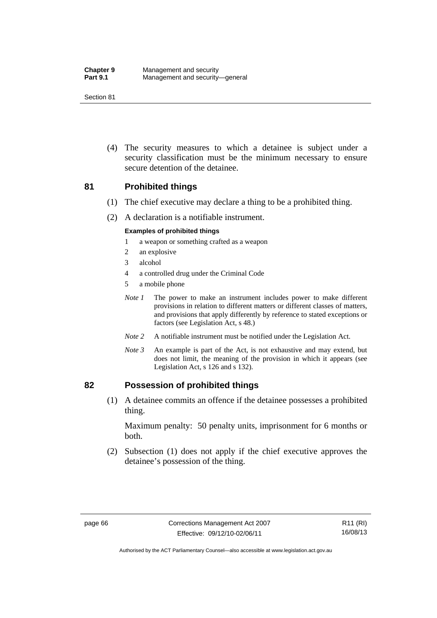(4) The security measures to which a detainee is subject under a security classification must be the minimum necessary to ensure secure detention of the detainee.

## **81 Prohibited things**

- (1) The chief executive may declare a thing to be a prohibited thing.
- (2) A declaration is a notifiable instrument.

## **Examples of prohibited things**

- 1 a weapon or something crafted as a weapon
- 2 an explosive
- 3 alcohol
- 4 a controlled drug under the Criminal Code
- 5 a mobile phone
- *Note 1* The power to make an instrument includes power to make different provisions in relation to different matters or different classes of matters, and provisions that apply differently by reference to stated exceptions or factors (see Legislation Act, s 48.)
- *Note 2* A notifiable instrument must be notified under the Legislation Act.
- *Note 3* An example is part of the Act, is not exhaustive and may extend, but does not limit, the meaning of the provision in which it appears (see Legislation Act, s 126 and s 132).

## **82 Possession of prohibited things**

 (1) A detainee commits an offence if the detainee possesses a prohibited thing.

Maximum penalty: 50 penalty units, imprisonment for 6 months or both.

 (2) Subsection (1) does not apply if the chief executive approves the detainee's possession of the thing.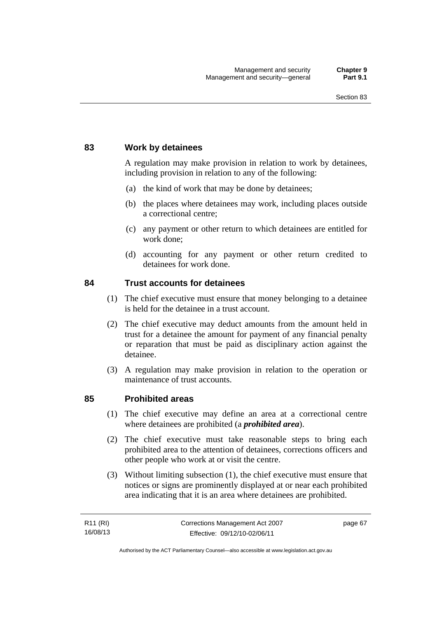## **83 Work by detainees**

A regulation may make provision in relation to work by detainees, including provision in relation to any of the following:

- (a) the kind of work that may be done by detainees;
- (b) the places where detainees may work, including places outside a correctional centre;
- (c) any payment or other return to which detainees are entitled for work done;
- (d) accounting for any payment or other return credited to detainees for work done.

## **84 Trust accounts for detainees**

- (1) The chief executive must ensure that money belonging to a detainee is held for the detainee in a trust account.
- (2) The chief executive may deduct amounts from the amount held in trust for a detainee the amount for payment of any financial penalty or reparation that must be paid as disciplinary action against the detainee.
- (3) A regulation may make provision in relation to the operation or maintenance of trust accounts.

## **85 Prohibited areas**

- (1) The chief executive may define an area at a correctional centre where detainees are prohibited (a *prohibited area*).
- (2) The chief executive must take reasonable steps to bring each prohibited area to the attention of detainees, corrections officers and other people who work at or visit the centre.
- (3) Without limiting subsection (1), the chief executive must ensure that notices or signs are prominently displayed at or near each prohibited area indicating that it is an area where detainees are prohibited.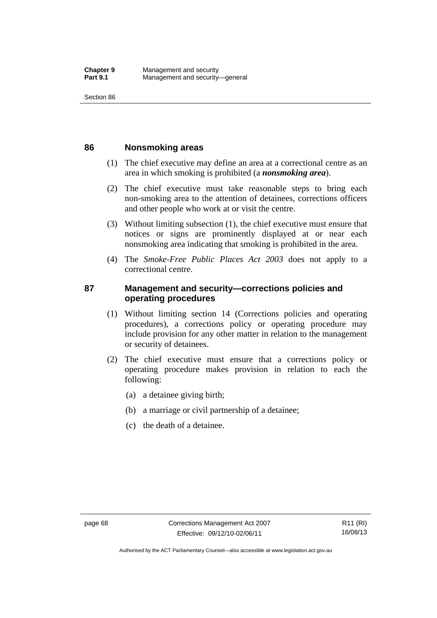## **86 Nonsmoking areas**

- (1) The chief executive may define an area at a correctional centre as an area in which smoking is prohibited (a *nonsmoking area*).
- (2) The chief executive must take reasonable steps to bring each non-smoking area to the attention of detainees, corrections officers and other people who work at or visit the centre.
- (3) Without limiting subsection (1), the chief executive must ensure that notices or signs are prominently displayed at or near each nonsmoking area indicating that smoking is prohibited in the area.
- (4) The *Smoke-Free Public Places Act 2003* does not apply to a correctional centre.

# **87 Management and security—corrections policies and operating procedures**

- (1) Without limiting section 14 (Corrections policies and operating procedures), a corrections policy or operating procedure may include provision for any other matter in relation to the management or security of detainees.
- (2) The chief executive must ensure that a corrections policy or operating procedure makes provision in relation to each the following:
	- (a) a detainee giving birth;
	- (b) a marriage or civil partnership of a detainee;
	- (c) the death of a detainee.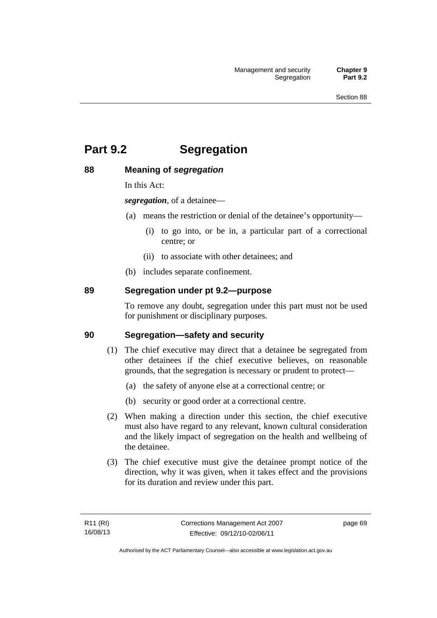# **Part 9.2 Segregation**

## **88 Meaning of** *segregation*

In this Act:

*segregation*, of a detainee—

- (a) means the restriction or denial of the detainee's opportunity—
	- (i) to go into, or be in, a particular part of a correctional centre; or
	- (ii) to associate with other detainees; and
- (b) includes separate confinement.

## **89 Segregation under pt 9.2—purpose**

To remove any doubt, segregation under this part must not be used for punishment or disciplinary purposes.

## **90 Segregation—safety and security**

- (1) The chief executive may direct that a detainee be segregated from other detainees if the chief executive believes, on reasonable grounds, that the segregation is necessary or prudent to protect—
	- (a) the safety of anyone else at a correctional centre; or
	- (b) security or good order at a correctional centre.
- (2) When making a direction under this section, the chief executive must also have regard to any relevant, known cultural consideration and the likely impact of segregation on the health and wellbeing of the detainee.
- (3) The chief executive must give the detainee prompt notice of the direction, why it was given, when it takes effect and the provisions for its duration and review under this part.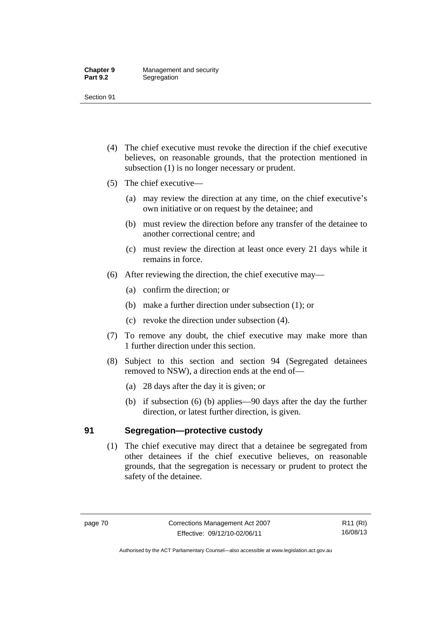- (4) The chief executive must revoke the direction if the chief executive believes, on reasonable grounds, that the protection mentioned in subsection (1) is no longer necessary or prudent.
- (5) The chief executive—
	- (a) may review the direction at any time, on the chief executive's own initiative or on request by the detainee; and
	- (b) must review the direction before any transfer of the detainee to another correctional centre; and
	- (c) must review the direction at least once every 21 days while it remains in force.
- (6) After reviewing the direction, the chief executive may—
	- (a) confirm the direction; or
	- (b) make a further direction under subsection (1); or
	- (c) revoke the direction under subsection (4).
- (7) To remove any doubt, the chief executive may make more than 1 further direction under this section.
- (8) Subject to this section and section 94 (Segregated detainees removed to NSW), a direction ends at the end of—
	- (a) 28 days after the day it is given; or
	- (b) if subsection (6) (b) applies—90 days after the day the further direction, or latest further direction, is given.

# **91 Segregation—protective custody**

 (1) The chief executive may direct that a detainee be segregated from other detainees if the chief executive believes, on reasonable grounds, that the segregation is necessary or prudent to protect the safety of the detainee.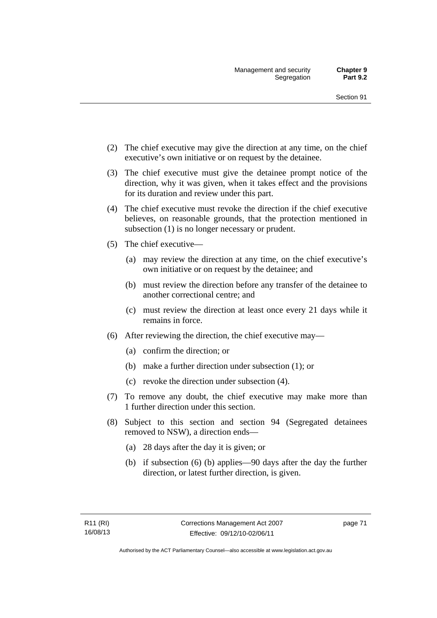- (2) The chief executive may give the direction at any time, on the chief executive's own initiative or on request by the detainee.
- (3) The chief executive must give the detainee prompt notice of the direction, why it was given, when it takes effect and the provisions for its duration and review under this part.
- (4) The chief executive must revoke the direction if the chief executive believes, on reasonable grounds, that the protection mentioned in subsection (1) is no longer necessary or prudent.
- (5) The chief executive—
	- (a) may review the direction at any time, on the chief executive's own initiative or on request by the detainee; and
	- (b) must review the direction before any transfer of the detainee to another correctional centre; and
	- (c) must review the direction at least once every 21 days while it remains in force.
- (6) After reviewing the direction, the chief executive may—
	- (a) confirm the direction; or
	- (b) make a further direction under subsection (1); or
	- (c) revoke the direction under subsection (4).
- (7) To remove any doubt, the chief executive may make more than 1 further direction under this section.
- (8) Subject to this section and section 94 (Segregated detainees removed to NSW), a direction ends—
	- (a) 28 days after the day it is given; or
	- (b) if subsection (6) (b) applies—90 days after the day the further direction, or latest further direction, is given.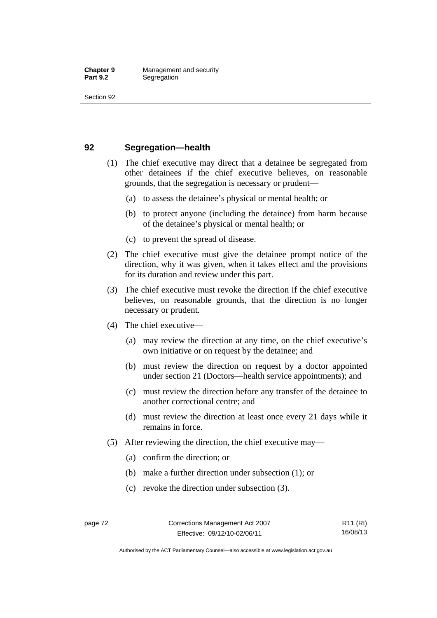## **92 Segregation—health**

- (1) The chief executive may direct that a detainee be segregated from other detainees if the chief executive believes, on reasonable grounds, that the segregation is necessary or prudent—
	- (a) to assess the detainee's physical or mental health; or
	- (b) to protect anyone (including the detainee) from harm because of the detainee's physical or mental health; or
	- (c) to prevent the spread of disease.
- (2) The chief executive must give the detainee prompt notice of the direction, why it was given, when it takes effect and the provisions for its duration and review under this part.
- (3) The chief executive must revoke the direction if the chief executive believes, on reasonable grounds, that the direction is no longer necessary or prudent.
- (4) The chief executive—
	- (a) may review the direction at any time, on the chief executive's own initiative or on request by the detainee; and
	- (b) must review the direction on request by a doctor appointed under section 21 (Doctors—health service appointments); and
	- (c) must review the direction before any transfer of the detainee to another correctional centre; and
	- (d) must review the direction at least once every 21 days while it remains in force.
- (5) After reviewing the direction, the chief executive may—
	- (a) confirm the direction; or
	- (b) make a further direction under subsection (1); or
	- (c) revoke the direction under subsection (3).

Authorised by the ACT Parliamentary Counsel—also accessible at www.legislation.act.gov.au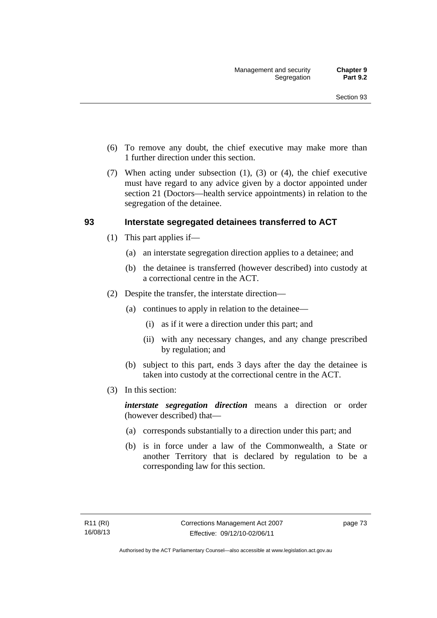- (6) To remove any doubt, the chief executive may make more than 1 further direction under this section.
- (7) When acting under subsection (1), (3) or (4), the chief executive must have regard to any advice given by a doctor appointed under section 21 (Doctors—health service appointments) in relation to the segregation of the detainee.

## **93 Interstate segregated detainees transferred to ACT**

- (1) This part applies if—
	- (a) an interstate segregation direction applies to a detainee; and
	- (b) the detainee is transferred (however described) into custody at a correctional centre in the ACT.
- (2) Despite the transfer, the interstate direction—
	- (a) continues to apply in relation to the detainee—
		- (i) as if it were a direction under this part; and
		- (ii) with any necessary changes, and any change prescribed by regulation; and
	- (b) subject to this part, ends 3 days after the day the detainee is taken into custody at the correctional centre in the ACT.
- (3) In this section:

*interstate segregation direction* means a direction or order (however described) that—

- (a) corresponds substantially to a direction under this part; and
- (b) is in force under a law of the Commonwealth, a State or another Territory that is declared by regulation to be a corresponding law for this section.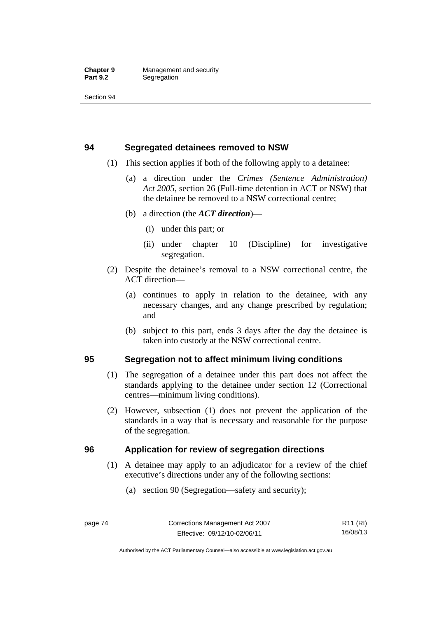## **94 Segregated detainees removed to NSW**

- (1) This section applies if both of the following apply to a detainee:
	- (a) a direction under the *Crimes (Sentence Administration) Act 2005*, section 26 (Full-time detention in ACT or NSW) that the detainee be removed to a NSW correctional centre;
	- (b) a direction (the *ACT direction*)—
		- (i) under this part; or
		- (ii) under chapter 10 (Discipline) for investigative segregation.
- (2) Despite the detainee's removal to a NSW correctional centre, the ACT direction—
	- (a) continues to apply in relation to the detainee, with any necessary changes, and any change prescribed by regulation; and
	- (b) subject to this part, ends 3 days after the day the detainee is taken into custody at the NSW correctional centre.

# **95 Segregation not to affect minimum living conditions**

- (1) The segregation of a detainee under this part does not affect the standards applying to the detainee under section 12 (Correctional centres—minimum living conditions).
- (2) However, subsection (1) does not prevent the application of the standards in a way that is necessary and reasonable for the purpose of the segregation.

# **96 Application for review of segregation directions**

- (1) A detainee may apply to an adjudicator for a review of the chief executive's directions under any of the following sections:
	- (a) section 90 (Segregation—safety and security);

Authorised by the ACT Parliamentary Counsel—also accessible at www.legislation.act.gov.au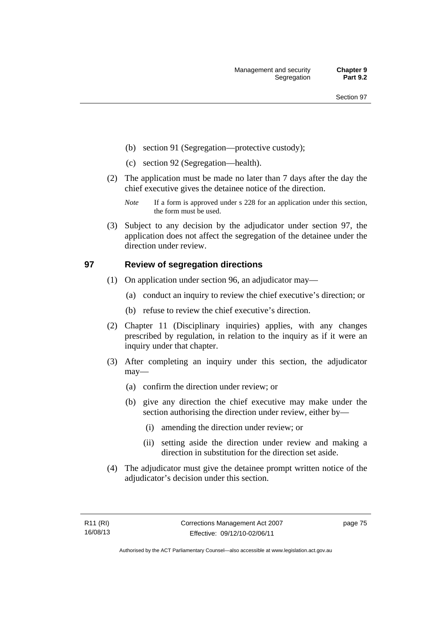- (b) section 91 (Segregation—protective custody);
- (c) section 92 (Segregation—health).
- (2) The application must be made no later than 7 days after the day the chief executive gives the detainee notice of the direction.
	- *Note* If a form is approved under s 228 for an application under this section, the form must be used.
- (3) Subject to any decision by the adjudicator under section 97, the application does not affect the segregation of the detainee under the direction under review.

## **97 Review of segregation directions**

- (1) On application under section 96, an adjudicator may—
	- (a) conduct an inquiry to review the chief executive's direction; or
	- (b) refuse to review the chief executive's direction.
- (2) Chapter 11 (Disciplinary inquiries) applies, with any changes prescribed by regulation, in relation to the inquiry as if it were an inquiry under that chapter.
- (3) After completing an inquiry under this section, the adjudicator may—
	- (a) confirm the direction under review; or
	- (b) give any direction the chief executive may make under the section authorising the direction under review, either by—
		- (i) amending the direction under review; or
		- (ii) setting aside the direction under review and making a direction in substitution for the direction set aside.
- (4) The adjudicator must give the detainee prompt written notice of the adjudicator's decision under this section.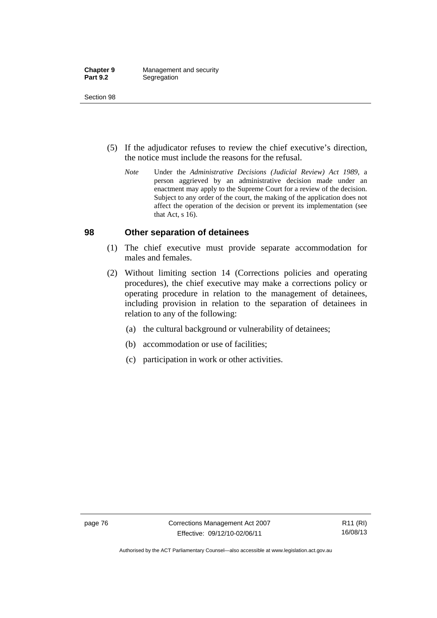- (5) If the adjudicator refuses to review the chief executive's direction, the notice must include the reasons for the refusal.
	- *Note* Under the *Administrative Decisions (Judicial Review) Act 1989*, a person aggrieved by an administrative decision made under an enactment may apply to the Supreme Court for a review of the decision. Subject to any order of the court, the making of the application does not affect the operation of the decision or prevent its implementation (see that Act, s 16).

## **98 Other separation of detainees**

- (1) The chief executive must provide separate accommodation for males and females.
- (2) Without limiting section 14 (Corrections policies and operating procedures), the chief executive may make a corrections policy or operating procedure in relation to the management of detainees, including provision in relation to the separation of detainees in relation to any of the following:
	- (a) the cultural background or vulnerability of detainees;
	- (b) accommodation or use of facilities;
	- (c) participation in work or other activities.

Authorised by the ACT Parliamentary Counsel—also accessible at www.legislation.act.gov.au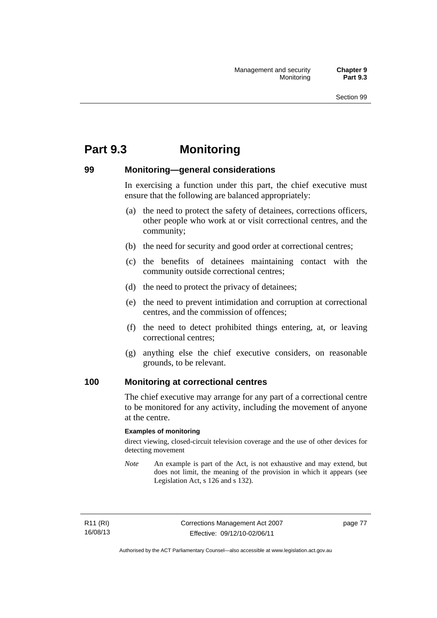# **Part 9.3 Monitoring**

## **99 Monitoring—general considerations**

In exercising a function under this part, the chief executive must ensure that the following are balanced appropriately:

- (a) the need to protect the safety of detainees, corrections officers, other people who work at or visit correctional centres, and the community;
- (b) the need for security and good order at correctional centres;
- (c) the benefits of detainees maintaining contact with the community outside correctional centres;
- (d) the need to protect the privacy of detainees;
- (e) the need to prevent intimidation and corruption at correctional centres, and the commission of offences;
- (f) the need to detect prohibited things entering, at, or leaving correctional centres;
- (g) anything else the chief executive considers, on reasonable grounds, to be relevant.

## **100 Monitoring at correctional centres**

The chief executive may arrange for any part of a correctional centre to be monitored for any activity, including the movement of anyone at the centre.

## **Examples of monitoring**

direct viewing, closed-circuit television coverage and the use of other devices for detecting movement

*Note* An example is part of the Act, is not exhaustive and may extend, but does not limit, the meaning of the provision in which it appears (see Legislation Act, s 126 and s 132).

R11 (RI) 16/08/13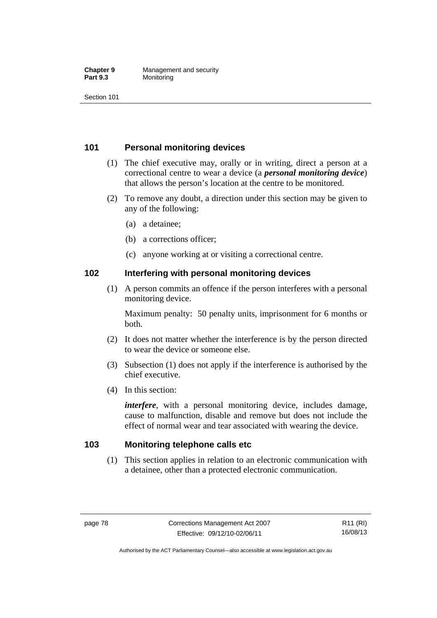## **Chapter 9 Management and security**<br>**Part 9.3 Monitoring Monitoring**

Section 101

# **101 Personal monitoring devices**

- (1) The chief executive may, orally or in writing, direct a person at a correctional centre to wear a device (a *personal monitoring device*) that allows the person's location at the centre to be monitored.
- (2) To remove any doubt, a direction under this section may be given to any of the following:
	- (a) a detainee;
	- (b) a corrections officer;
	- (c) anyone working at or visiting a correctional centre.

## **102 Interfering with personal monitoring devices**

 (1) A person commits an offence if the person interferes with a personal monitoring device.

Maximum penalty: 50 penalty units, imprisonment for 6 months or both.

- (2) It does not matter whether the interference is by the person directed to wear the device or someone else.
- (3) Subsection (1) does not apply if the interference is authorised by the chief executive.
- (4) In this section:

*interfere*, with a personal monitoring device, includes damage, cause to malfunction, disable and remove but does not include the effect of normal wear and tear associated with wearing the device.

## **103 Monitoring telephone calls etc**

 (1) This section applies in relation to an electronic communication with a detainee, other than a protected electronic communication.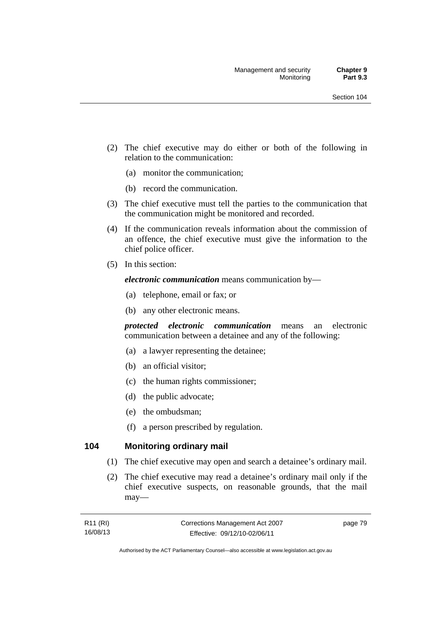- (2) The chief executive may do either or both of the following in relation to the communication:
	- (a) monitor the communication;
	- (b) record the communication.
- (3) The chief executive must tell the parties to the communication that the communication might be monitored and recorded.
- (4) If the communication reveals information about the commission of an offence, the chief executive must give the information to the chief police officer.
- (5) In this section:

*electronic communication* means communication by—

- (a) telephone, email or fax; or
- (b) any other electronic means.

*protected electronic communication* means an electronic communication between a detainee and any of the following:

- (a) a lawyer representing the detainee;
- (b) an official visitor;
- (c) the human rights commissioner;
- (d) the public advocate;
- (e) the ombudsman;
- (f) a person prescribed by regulation.

## **104 Monitoring ordinary mail**

- (1) The chief executive may open and search a detainee's ordinary mail.
- (2) The chief executive may read a detainee's ordinary mail only if the chief executive suspects, on reasonable grounds, that the mail may—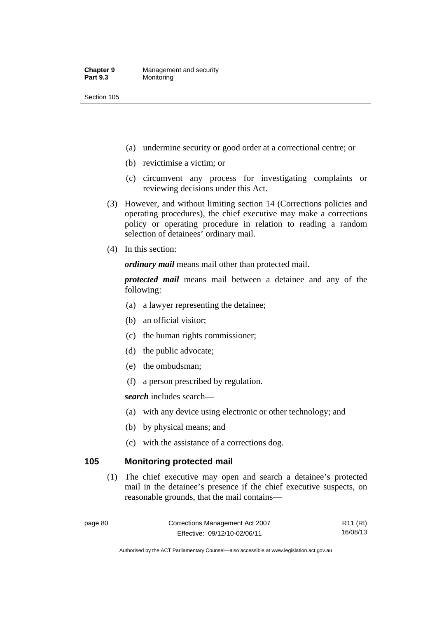- (a) undermine security or good order at a correctional centre; or
- (b) revictimise a victim; or
- (c) circumvent any process for investigating complaints or reviewing decisions under this Act.
- (3) However, and without limiting section 14 (Corrections policies and operating procedures), the chief executive may make a corrections policy or operating procedure in relation to reading a random selection of detainees' ordinary mail.
- (4) In this section:

*ordinary mail* means mail other than protected mail.

*protected mail* means mail between a detainee and any of the following:

- (a) a lawyer representing the detainee;
- (b) an official visitor;
- (c) the human rights commissioner;
- (d) the public advocate;
- (e) the ombudsman;
- (f) a person prescribed by regulation.

*search* includes search—

- (a) with any device using electronic or other technology; and
- (b) by physical means; and
- (c) with the assistance of a corrections dog.

## **105 Monitoring protected mail**

 (1) The chief executive may open and search a detainee's protected mail in the detainee's presence if the chief executive suspects, on reasonable grounds, that the mail contains—

R11 (RI) 16/08/13

Authorised by the ACT Parliamentary Counsel—also accessible at www.legislation.act.gov.au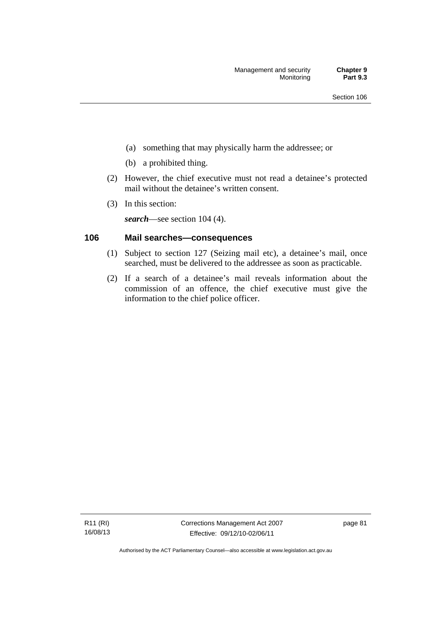- (a) something that may physically harm the addressee; or
- (b) a prohibited thing.
- (2) However, the chief executive must not read a detainee's protected mail without the detainee's written consent.
- (3) In this section:

*search*—see section 104 (4).

# **106 Mail searches—consequences**

- (1) Subject to section 127 (Seizing mail etc), a detainee's mail, once searched, must be delivered to the addressee as soon as practicable.
- (2) If a search of a detainee's mail reveals information about the commission of an offence, the chief executive must give the information to the chief police officer.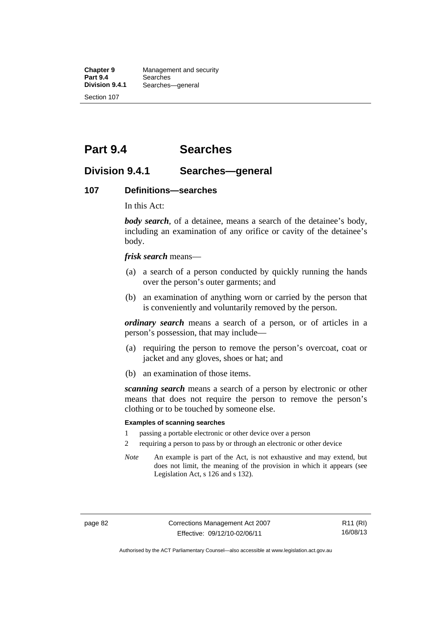**Chapter 9 Management and security**<br>**Part 9.4 Searches Part 9.4 Searches**<br>**Division 9.4.1 Searches Division 9.4.1** Searches—general Section 107

**Part 9.4 Searches** 

# **Division 9.4.1 Searches—general**

## **107 Definitions—searches**

In this Act:

*body search*, of a detainee, means a search of the detainee's body, including an examination of any orifice or cavity of the detainee's body.

*frisk search* means—

- (a) a search of a person conducted by quickly running the hands over the person's outer garments; and
- (b) an examination of anything worn or carried by the person that is conveniently and voluntarily removed by the person.

*ordinary search* means a search of a person, or of articles in a person's possession, that may include—

- (a) requiring the person to remove the person's overcoat, coat or jacket and any gloves, shoes or hat; and
- (b) an examination of those items.

*scanning search* means a search of a person by electronic or other means that does not require the person to remove the person's clothing or to be touched by someone else.

## **Examples of scanning searches**

- 1 passing a portable electronic or other device over a person
- 2 requiring a person to pass by or through an electronic or other device
- *Note* An example is part of the Act, is not exhaustive and may extend, but does not limit, the meaning of the provision in which it appears (see Legislation Act, s 126 and s 132).

page 82 Corrections Management Act 2007 Effective: 09/12/10-02/06/11

R11 (RI) 16/08/13

Authorised by the ACT Parliamentary Counsel—also accessible at www.legislation.act.gov.au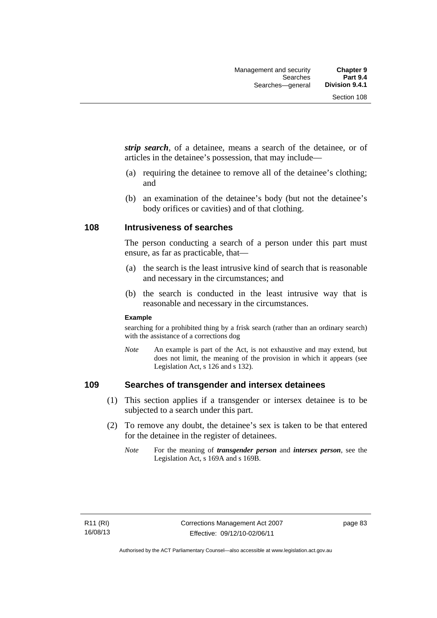*strip search*, of a detainee, means a search of the detainee, or of articles in the detainee's possession, that may include—

- (a) requiring the detainee to remove all of the detainee's clothing; and
- (b) an examination of the detainee's body (but not the detainee's body orifices or cavities) and of that clothing.

## **108 Intrusiveness of searches**

The person conducting a search of a person under this part must ensure, as far as practicable, that—

- (a) the search is the least intrusive kind of search that is reasonable and necessary in the circumstances; and
- (b) the search is conducted in the least intrusive way that is reasonable and necessary in the circumstances.

## **Example**

searching for a prohibited thing by a frisk search (rather than an ordinary search) with the assistance of a corrections dog

*Note* An example is part of the Act, is not exhaustive and may extend, but does not limit, the meaning of the provision in which it appears (see Legislation Act, s 126 and s 132).

## **109 Searches of transgender and intersex detainees**

- (1) This section applies if a transgender or intersex detainee is to be subjected to a search under this part.
- (2) To remove any doubt, the detainee's sex is taken to be that entered for the detainee in the register of detainees.
	- *Note* For the meaning of *transgender person* and *intersex person*, see the Legislation Act, s 169A and s 169B.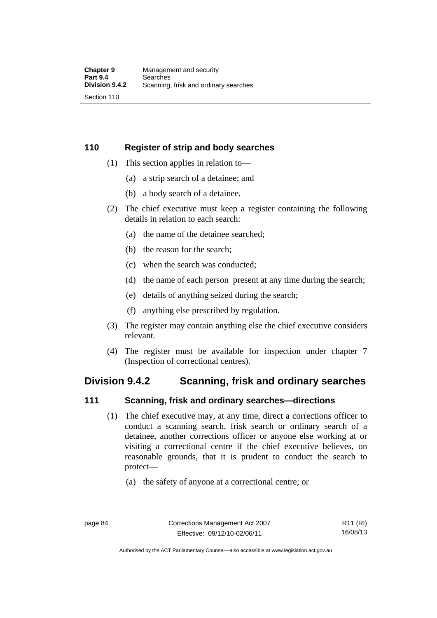# **110 Register of strip and body searches**

- (1) This section applies in relation to—
	- (a) a strip search of a detainee; and
	- (b) a body search of a detainee.
- (2) The chief executive must keep a register containing the following details in relation to each search:
	- (a) the name of the detainee searched;
	- (b) the reason for the search;
	- (c) when the search was conducted;
	- (d) the name of each person present at any time during the search;
	- (e) details of anything seized during the search;
	- (f) anything else prescribed by regulation.
- (3) The register may contain anything else the chief executive considers relevant.
- (4) The register must be available for inspection under chapter 7 (Inspection of correctional centres).

# **Division 9.4.2 Scanning, frisk and ordinary searches**

## **111 Scanning, frisk and ordinary searches—directions**

- (1) The chief executive may, at any time, direct a corrections officer to conduct a scanning search, frisk search or ordinary search of a detainee, another corrections officer or anyone else working at or visiting a correctional centre if the chief executive believes, on reasonable grounds, that it is prudent to conduct the search to protect—
	- (a) the safety of anyone at a correctional centre; or

Authorised by the ACT Parliamentary Counsel—also accessible at www.legislation.act.gov.au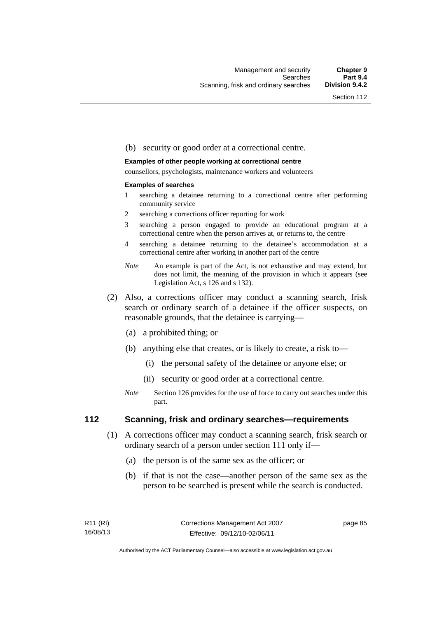## (b) security or good order at a correctional centre.

#### **Examples of other people working at correctional centre**

counsellors, psychologists, maintenance workers and volunteers

#### **Examples of searches**

- 1 searching a detainee returning to a correctional centre after performing community service
- 2 searching a corrections officer reporting for work
- 3 searching a person engaged to provide an educational program at a correctional centre when the person arrives at, or returns to, the centre
- 4 searching a detainee returning to the detainee's accommodation at a correctional centre after working in another part of the centre
- *Note* An example is part of the Act, is not exhaustive and may extend, but does not limit, the meaning of the provision in which it appears (see Legislation Act, s 126 and s 132).
- (2) Also, a corrections officer may conduct a scanning search, frisk search or ordinary search of a detainee if the officer suspects, on reasonable grounds, that the detainee is carrying—
	- (a) a prohibited thing; or
	- (b) anything else that creates, or is likely to create, a risk to—
		- (i) the personal safety of the detainee or anyone else; or
		- (ii) security or good order at a correctional centre.
	- *Note* Section 126 provides for the use of force to carry out searches under this part.

## **112 Scanning, frisk and ordinary searches—requirements**

- (1) A corrections officer may conduct a scanning search, frisk search or ordinary search of a person under section 111 only if—
	- (a) the person is of the same sex as the officer; or
	- (b) if that is not the case—another person of the same sex as the person to be searched is present while the search is conducted.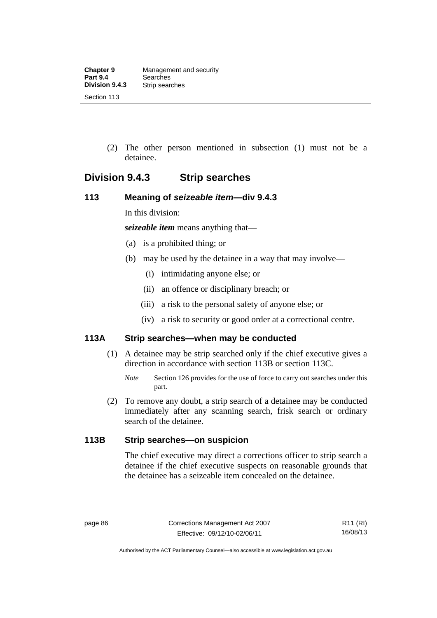(2) The other person mentioned in subsection (1) must not be a detainee.

# **Division 9.4.3 Strip searches**

## **113 Meaning of** *seizeable item***—div 9.4.3**

In this division:

*seizeable item* means anything that—

- (a) is a prohibited thing; or
- (b) may be used by the detainee in a way that may involve—
	- (i) intimidating anyone else; or
	- (ii) an offence or disciplinary breach; or
	- (iii) a risk to the personal safety of anyone else; or
	- (iv) a risk to security or good order at a correctional centre.

# **113A Strip searches—when may be conducted**

- (1) A detainee may be strip searched only if the chief executive gives a direction in accordance with section 113B or section 113C.
	- *Note* Section 126 provides for the use of force to carry out searches under this part.
- (2) To remove any doubt, a strip search of a detainee may be conducted immediately after any scanning search, frisk search or ordinary search of the detainee.

# **113B Strip searches—on suspicion**

The chief executive may direct a corrections officer to strip search a detainee if the chief executive suspects on reasonable grounds that the detainee has a seizeable item concealed on the detainee.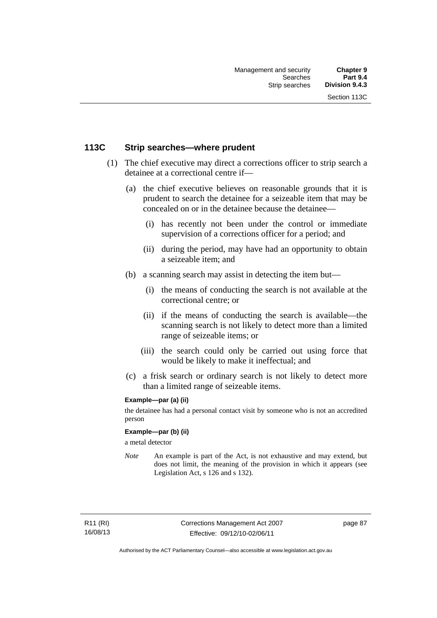## **113C Strip searches—where prudent**

- (1) The chief executive may direct a corrections officer to strip search a detainee at a correctional centre if—
	- (a) the chief executive believes on reasonable grounds that it is prudent to search the detainee for a seizeable item that may be concealed on or in the detainee because the detainee—
		- (i) has recently not been under the control or immediate supervision of a corrections officer for a period; and
		- (ii) during the period, may have had an opportunity to obtain a seizeable item; and
	- (b) a scanning search may assist in detecting the item but—
		- (i) the means of conducting the search is not available at the correctional centre; or
		- (ii) if the means of conducting the search is available—the scanning search is not likely to detect more than a limited range of seizeable items; or
		- (iii) the search could only be carried out using force that would be likely to make it ineffectual; and
	- (c) a frisk search or ordinary search is not likely to detect more than a limited range of seizeable items.

## **Example—par (a) (ii)**

the detainee has had a personal contact visit by someone who is not an accredited person

## **Example—par (b) (ii)**

a metal detector

*Note* An example is part of the Act, is not exhaustive and may extend, but does not limit, the meaning of the provision in which it appears (see Legislation Act, s 126 and s 132).

R11 (RI) 16/08/13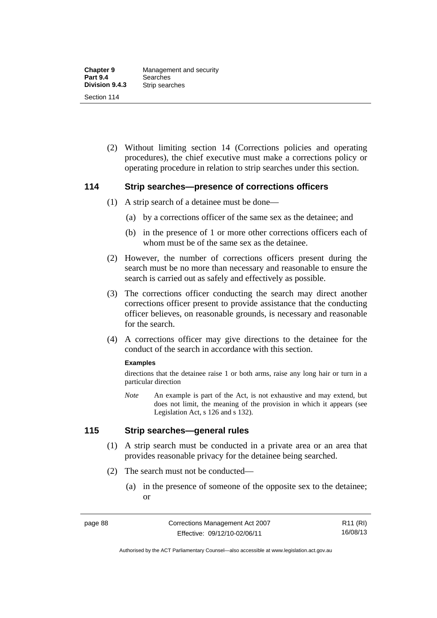(2) Without limiting section 14 (Corrections policies and operating procedures), the chief executive must make a corrections policy or operating procedure in relation to strip searches under this section.

## **114 Strip searches—presence of corrections officers**

- (1) A strip search of a detainee must be done—
	- (a) by a corrections officer of the same sex as the detainee; and
	- (b) in the presence of 1 or more other corrections officers each of whom must be of the same sex as the detainee.
- (2) However, the number of corrections officers present during the search must be no more than necessary and reasonable to ensure the search is carried out as safely and effectively as possible.
- (3) The corrections officer conducting the search may direct another corrections officer present to provide assistance that the conducting officer believes, on reasonable grounds, is necessary and reasonable for the search.
- (4) A corrections officer may give directions to the detainee for the conduct of the search in accordance with this section.

## **Examples**

directions that the detainee raise 1 or both arms, raise any long hair or turn in a particular direction

*Note* An example is part of the Act, is not exhaustive and may extend, but does not limit, the meaning of the provision in which it appears (see Legislation Act, s 126 and s 132).

## **115 Strip searches—general rules**

- (1) A strip search must be conducted in a private area or an area that provides reasonable privacy for the detainee being searched.
- (2) The search must not be conducted—
	- (a) in the presence of someone of the opposite sex to the detainee; or

R11 (RI) 16/08/13

Authorised by the ACT Parliamentary Counsel—also accessible at www.legislation.act.gov.au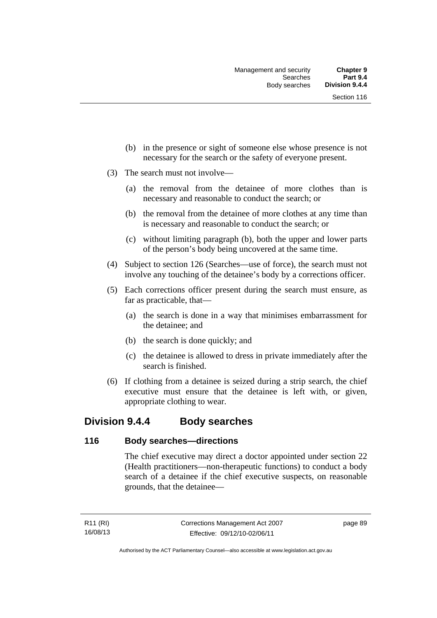- (b) in the presence or sight of someone else whose presence is not necessary for the search or the safety of everyone present.
- (3) The search must not involve—
	- (a) the removal from the detainee of more clothes than is necessary and reasonable to conduct the search; or
	- (b) the removal from the detainee of more clothes at any time than is necessary and reasonable to conduct the search; or
	- (c) without limiting paragraph (b), both the upper and lower parts of the person's body being uncovered at the same time.
- (4) Subject to section 126 (Searches—use of force), the search must not involve any touching of the detainee's body by a corrections officer.
- (5) Each corrections officer present during the search must ensure, as far as practicable, that—
	- (a) the search is done in a way that minimises embarrassment for the detainee; and
	- (b) the search is done quickly; and
	- (c) the detainee is allowed to dress in private immediately after the search is finished.
- (6) If clothing from a detainee is seized during a strip search, the chief executive must ensure that the detainee is left with, or given, appropriate clothing to wear.

# **Division 9.4.4 Body searches**

## **116 Body searches—directions**

The chief executive may direct a doctor appointed under section 22 (Health practitioners—non-therapeutic functions) to conduct a body search of a detainee if the chief executive suspects, on reasonable grounds, that the detainee—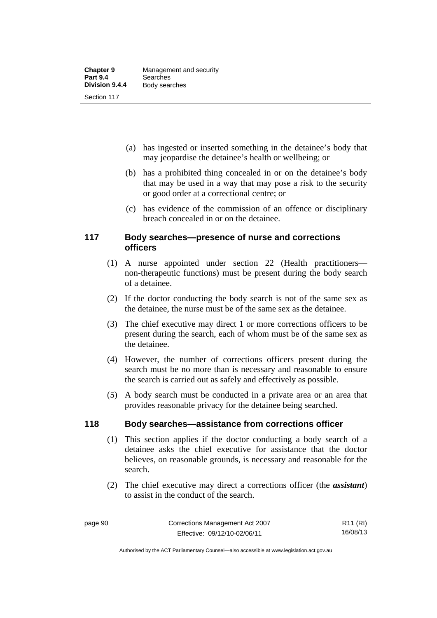- (a) has ingested or inserted something in the detainee's body that may jeopardise the detainee's health or wellbeing; or
- (b) has a prohibited thing concealed in or on the detainee's body that may be used in a way that may pose a risk to the security or good order at a correctional centre; or
- (c) has evidence of the commission of an offence or disciplinary breach concealed in or on the detainee.

## **117 Body searches—presence of nurse and corrections officers**

- (1) A nurse appointed under section 22 (Health practitioners non-therapeutic functions) must be present during the body search of a detainee.
- (2) If the doctor conducting the body search is not of the same sex as the detainee, the nurse must be of the same sex as the detainee.
- (3) The chief executive may direct 1 or more corrections officers to be present during the search, each of whom must be of the same sex as the detainee.
- (4) However, the number of corrections officers present during the search must be no more than is necessary and reasonable to ensure the search is carried out as safely and effectively as possible.
- (5) A body search must be conducted in a private area or an area that provides reasonable privacy for the detainee being searched.

# **118 Body searches—assistance from corrections officer**

- (1) This section applies if the doctor conducting a body search of a detainee asks the chief executive for assistance that the doctor believes, on reasonable grounds, is necessary and reasonable for the search.
- (2) The chief executive may direct a corrections officer (the *assistant*) to assist in the conduct of the search.

Authorised by the ACT Parliamentary Counsel—also accessible at www.legislation.act.gov.au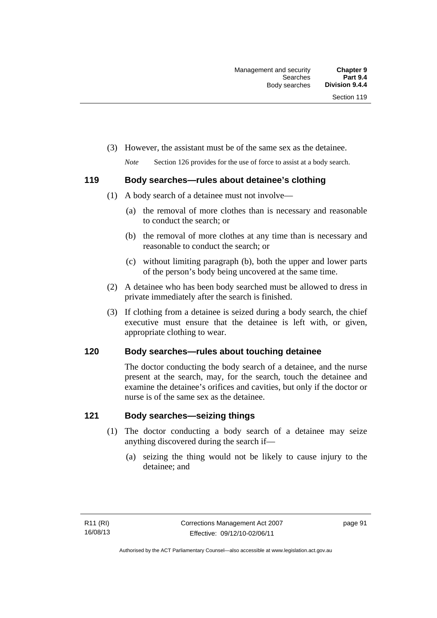- (3) However, the assistant must be of the same sex as the detainee.
	- *Note* Section 126 provides for the use of force to assist at a body search.

# **119 Body searches—rules about detainee's clothing**

- (1) A body search of a detainee must not involve—
	- (a) the removal of more clothes than is necessary and reasonable to conduct the search; or
	- (b) the removal of more clothes at any time than is necessary and reasonable to conduct the search; or
	- (c) without limiting paragraph (b), both the upper and lower parts of the person's body being uncovered at the same time.
- (2) A detainee who has been body searched must be allowed to dress in private immediately after the search is finished.
- (3) If clothing from a detainee is seized during a body search, the chief executive must ensure that the detainee is left with, or given, appropriate clothing to wear.

# **120 Body searches—rules about touching detainee**

The doctor conducting the body search of a detainee, and the nurse present at the search, may, for the search, touch the detainee and examine the detainee's orifices and cavities, but only if the doctor or nurse is of the same sex as the detainee.

# **121 Body searches—seizing things**

- (1) The doctor conducting a body search of a detainee may seize anything discovered during the search if—
	- (a) seizing the thing would not be likely to cause injury to the detainee; and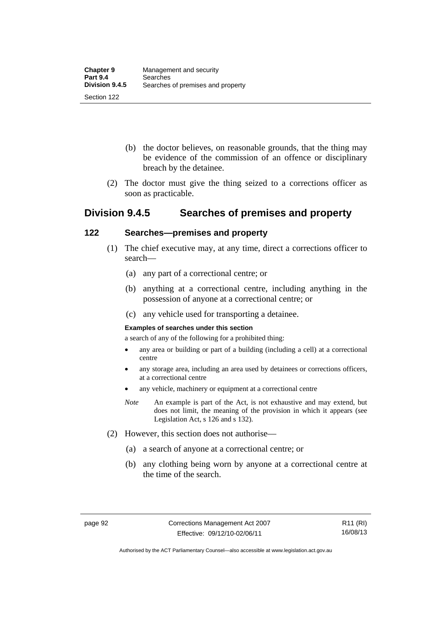- (b) the doctor believes, on reasonable grounds, that the thing may be evidence of the commission of an offence or disciplinary breach by the detainee.
- (2) The doctor must give the thing seized to a corrections officer as soon as practicable.

# **Division 9.4.5 Searches of premises and property**

## **122 Searches—premises and property**

- (1) The chief executive may, at any time, direct a corrections officer to search—
	- (a) any part of a correctional centre; or
	- (b) anything at a correctional centre, including anything in the possession of anyone at a correctional centre; or
	- (c) any vehicle used for transporting a detainee.

## **Examples of searches under this section**

a search of any of the following for a prohibited thing:

- any area or building or part of a building (including a cell) at a correctional centre
- any storage area, including an area used by detainees or corrections officers, at a correctional centre
- any vehicle, machinery or equipment at a correctional centre
- *Note* An example is part of the Act, is not exhaustive and may extend, but does not limit, the meaning of the provision in which it appears (see Legislation Act, s 126 and s 132).
- (2) However, this section does not authorise—
	- (a) a search of anyone at a correctional centre; or
	- (b) any clothing being worn by anyone at a correctional centre at the time of the search.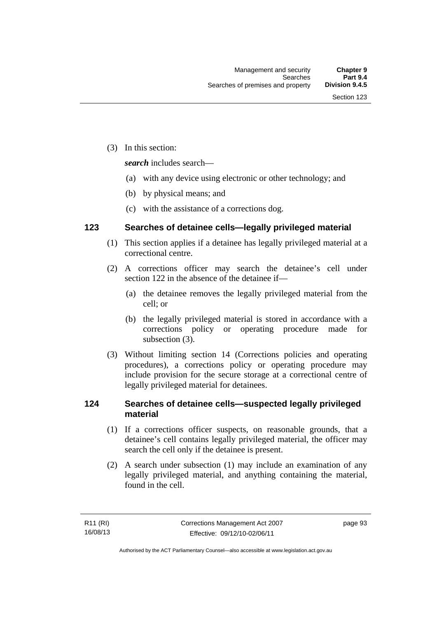(3) In this section:

*search* includes search—

- (a) with any device using electronic or other technology; and
- (b) by physical means; and
- (c) with the assistance of a corrections dog.

## **123 Searches of detainee cells—legally privileged material**

- (1) This section applies if a detainee has legally privileged material at a correctional centre.
- (2) A corrections officer may search the detainee's cell under section 122 in the absence of the detainee if—
	- (a) the detainee removes the legally privileged material from the cell; or
	- (b) the legally privileged material is stored in accordance with a corrections policy or operating procedure made for subsection (3).
- (3) Without limiting section 14 (Corrections policies and operating procedures), a corrections policy or operating procedure may include provision for the secure storage at a correctional centre of legally privileged material for detainees.

# **124 Searches of detainee cells—suspected legally privileged material**

- (1) If a corrections officer suspects, on reasonable grounds, that a detainee's cell contains legally privileged material, the officer may search the cell only if the detainee is present.
- (2) A search under subsection (1) may include an examination of any legally privileged material, and anything containing the material, found in the cell.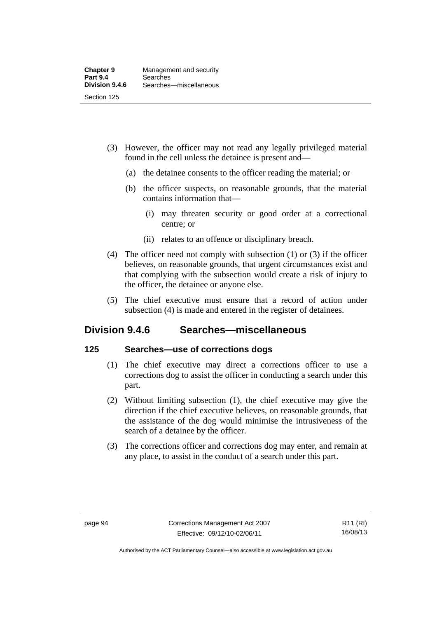- (3) However, the officer may not read any legally privileged material found in the cell unless the detainee is present and—
	- (a) the detainee consents to the officer reading the material; or
	- (b) the officer suspects, on reasonable grounds, that the material contains information that—
		- (i) may threaten security or good order at a correctional centre; or
		- (ii) relates to an offence or disciplinary breach.
- (4) The officer need not comply with subsection (1) or (3) if the officer believes, on reasonable grounds, that urgent circumstances exist and that complying with the subsection would create a risk of injury to the officer, the detainee or anyone else.
- (5) The chief executive must ensure that a record of action under subsection (4) is made and entered in the register of detainees.

# **Division 9.4.6 Searches—miscellaneous**

## **125 Searches—use of corrections dogs**

- (1) The chief executive may direct a corrections officer to use a corrections dog to assist the officer in conducting a search under this part.
- (2) Without limiting subsection (1), the chief executive may give the direction if the chief executive believes, on reasonable grounds, that the assistance of the dog would minimise the intrusiveness of the search of a detainee by the officer.
- (3) The corrections officer and corrections dog may enter, and remain at any place, to assist in the conduct of a search under this part.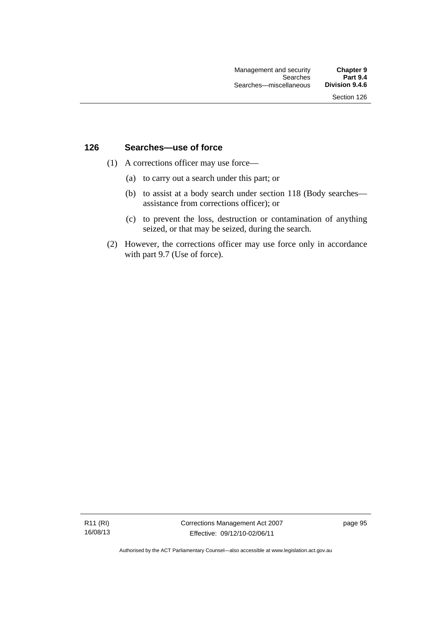## **126 Searches—use of force**

- (1) A corrections officer may use force—
	- (a) to carry out a search under this part; or
	- (b) to assist at a body search under section 118 (Body searches assistance from corrections officer); or
	- (c) to prevent the loss, destruction or contamination of anything seized, or that may be seized, during the search.
- (2) However, the corrections officer may use force only in accordance with part 9.7 (Use of force).

R11 (RI) 16/08/13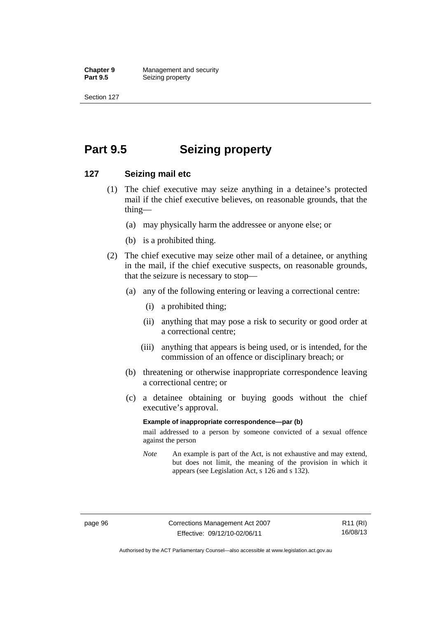**Chapter 9 Management and security**<br>**Part 9.5 Seizing property Seizing property** 

Section 127

# **Part 9.5 Seizing property**

### **127 Seizing mail etc**

- (1) The chief executive may seize anything in a detainee's protected mail if the chief executive believes, on reasonable grounds, that the thing—
	- (a) may physically harm the addressee or anyone else; or
	- (b) is a prohibited thing.
- (2) The chief executive may seize other mail of a detainee, or anything in the mail, if the chief executive suspects, on reasonable grounds, that the seizure is necessary to stop—
	- (a) any of the following entering or leaving a correctional centre:
		- (i) a prohibited thing;
		- (ii) anything that may pose a risk to security or good order at a correctional centre;
		- (iii) anything that appears is being used, or is intended, for the commission of an offence or disciplinary breach; or
	- (b) threatening or otherwise inappropriate correspondence leaving a correctional centre; or
	- (c) a detainee obtaining or buying goods without the chief executive's approval.

#### **Example of inappropriate correspondence—par (b)**

mail addressed to a person by someone convicted of a sexual offence against the person

*Note* An example is part of the Act, is not exhaustive and may extend, but does not limit, the meaning of the provision in which it appears (see Legislation Act, s 126 and s 132).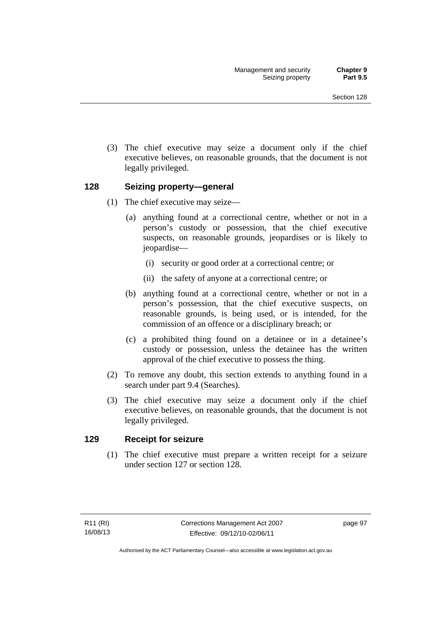(3) The chief executive may seize a document only if the chief executive believes, on reasonable grounds, that the document is not legally privileged.

# **128 Seizing property—general**

- (1) The chief executive may seize—
	- (a) anything found at a correctional centre, whether or not in a person's custody or possession, that the chief executive suspects, on reasonable grounds, jeopardises or is likely to jeopardise—
		- (i) security or good order at a correctional centre; or
		- (ii) the safety of anyone at a correctional centre; or
	- (b) anything found at a correctional centre, whether or not in a person's possession, that the chief executive suspects, on reasonable grounds, is being used, or is intended, for the commission of an offence or a disciplinary breach; or
	- (c) a prohibited thing found on a detainee or in a detainee's custody or possession, unless the detainee has the written approval of the chief executive to possess the thing.
- (2) To remove any doubt, this section extends to anything found in a search under part 9.4 (Searches).
- (3) The chief executive may seize a document only if the chief executive believes, on reasonable grounds, that the document is not legally privileged.

# **129 Receipt for seizure**

 (1) The chief executive must prepare a written receipt for a seizure under section 127 or section 128.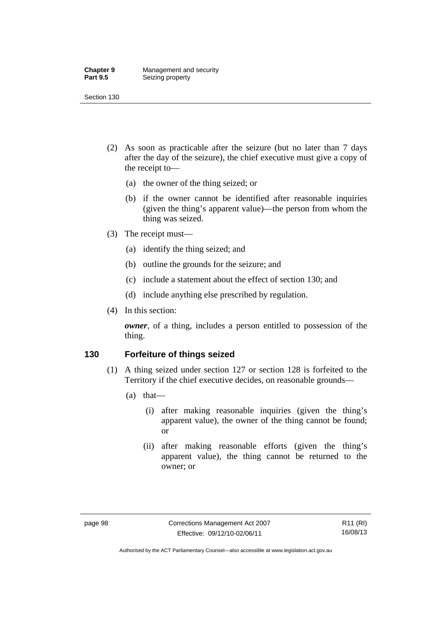#### **Chapter 9 Management and security**<br>**Part 9.5 Seizing property Seizing property**

Section 130

- (2) As soon as practicable after the seizure (but no later than 7 days after the day of the seizure), the chief executive must give a copy of the receipt to—
	- (a) the owner of the thing seized; or
	- (b) if the owner cannot be identified after reasonable inquiries (given the thing's apparent value)—the person from whom the thing was seized.
- (3) The receipt must—
	- (a) identify the thing seized; and
	- (b) outline the grounds for the seizure; and
	- (c) include a statement about the effect of section 130; and
	- (d) include anything else prescribed by regulation.
- (4) In this section:

*owner*, of a thing, includes a person entitled to possession of the thing.

# **130 Forfeiture of things seized**

- (1) A thing seized under section 127 or section 128 is forfeited to the Territory if the chief executive decides, on reasonable grounds—
	- (a) that—
		- (i) after making reasonable inquiries (given the thing's apparent value), the owner of the thing cannot be found; or
		- (ii) after making reasonable efforts (given the thing's apparent value), the thing cannot be returned to the owner; or

Authorised by the ACT Parliamentary Counsel—also accessible at www.legislation.act.gov.au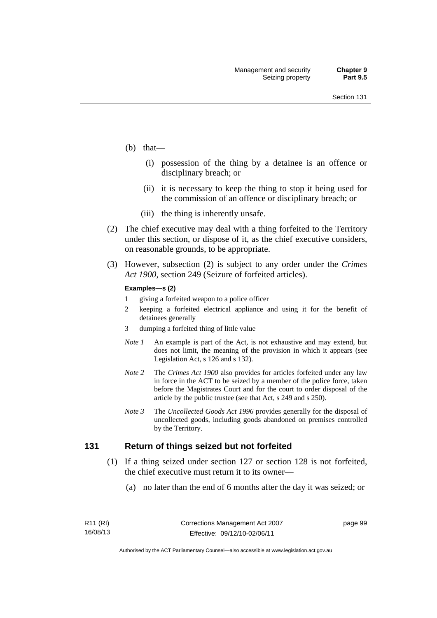- (b) that—
	- (i) possession of the thing by a detainee is an offence or disciplinary breach; or
	- (ii) it is necessary to keep the thing to stop it being used for the commission of an offence or disciplinary breach; or
	- (iii) the thing is inherently unsafe.
- (2) The chief executive may deal with a thing forfeited to the Territory under this section, or dispose of it, as the chief executive considers, on reasonable grounds, to be appropriate.
- (3) However, subsection (2) is subject to any order under the *Crimes Act 1900,* section 249 (Seizure of forfeited articles).

#### **Examples—s (2)**

- 1 giving a forfeited weapon to a police officer
- 2 keeping a forfeited electrical appliance and using it for the benefit of detainees generally
- 3 dumping a forfeited thing of little value
- *Note 1* An example is part of the Act, is not exhaustive and may extend, but does not limit, the meaning of the provision in which it appears (see Legislation Act, s 126 and s 132).
- *Note 2* The *Crimes Act 1900* also provides for articles forfeited under any law in force in the ACT to be seized by a member of the police force, taken before the Magistrates Court and for the court to order disposal of the article by the public trustee (see that Act, s 249 and s 250).
- *Note 3* The *Uncollected Goods Act 1996* provides generally for the disposal of uncollected goods, including goods abandoned on premises controlled by the Territory.

### **131 Return of things seized but not forfeited**

- (1) If a thing seized under section 127 or section 128 is not forfeited, the chief executive must return it to its owner—
	- (a) no later than the end of 6 months after the day it was seized; or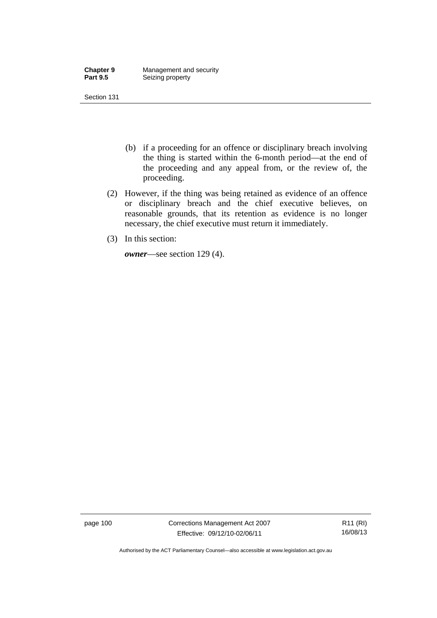| <b>Chapter 9</b> | Management and security |
|------------------|-------------------------|
| <b>Part 9.5</b>  | Seizing property        |

- (b) if a proceeding for an offence or disciplinary breach involving the thing is started within the 6-month period—at the end of the proceeding and any appeal from, or the review of, the proceeding.
- (2) However, if the thing was being retained as evidence of an offence or disciplinary breach and the chief executive believes, on reasonable grounds, that its retention as evidence is no longer necessary, the chief executive must return it immediately.
- (3) In this section:

*owner*—see section 129 (4).

page 100 Corrections Management Act 2007 Effective: 09/12/10-02/06/11

R11 (RI) 16/08/13

Authorised by the ACT Parliamentary Counsel—also accessible at www.legislation.act.gov.au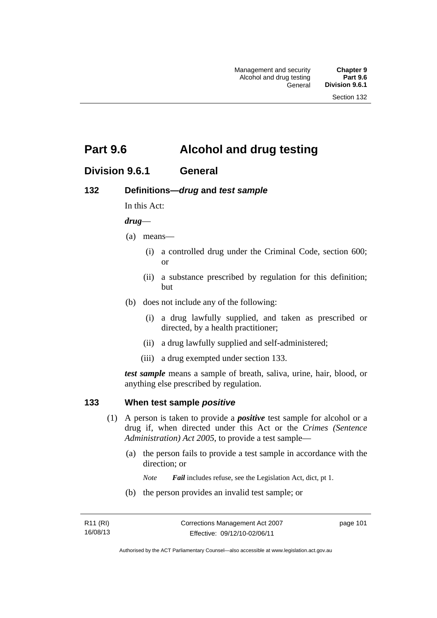# **Part 9.6 Alcohol and drug testing**

# **Division 9.6.1 General**

# **132 Definitions—***drug* **and** *test sample*

In this Act:

### *drug*—

- (a) means—
	- (i) a controlled drug under the Criminal Code, section 600; or
	- (ii) a substance prescribed by regulation for this definition; but
- (b) does not include any of the following:
	- (i) a drug lawfully supplied, and taken as prescribed or directed, by a health practitioner;
	- (ii) a drug lawfully supplied and self-administered;
	- (iii) a drug exempted under section 133.

*test sample* means a sample of breath, saliva, urine, hair, blood, or anything else prescribed by regulation.

### **133 When test sample** *positive*

- (1) A person is taken to provide a *positive* test sample for alcohol or a drug if, when directed under this Act or the *Crimes (Sentence Administration) Act 2005*, to provide a test sample—
	- (a) the person fails to provide a test sample in accordance with the direction; or
		- *Note Fail* includes refuse, see the Legislation Act, dict, pt 1.
	- (b) the person provides an invalid test sample; or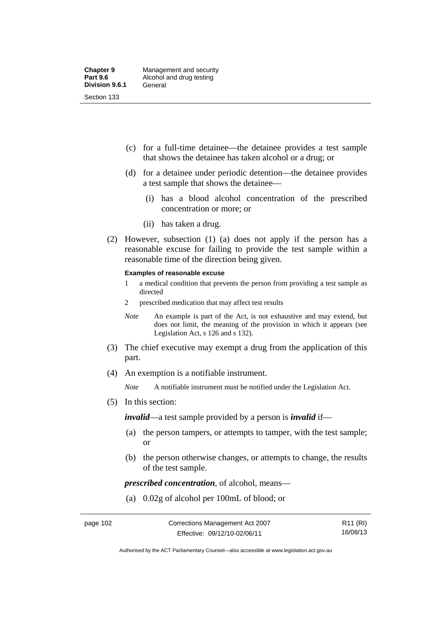- (c) for a full-time detainee—the detainee provides a test sample that shows the detainee has taken alcohol or a drug; or
- (d) for a detainee under periodic detention—the detainee provides a test sample that shows the detainee—
	- (i) has a blood alcohol concentration of the prescribed concentration or more; or
	- (ii) has taken a drug.
- (2) However, subsection (1) (a) does not apply if the person has a reasonable excuse for failing to provide the test sample within a reasonable time of the direction being given.

#### **Examples of reasonable excuse**

- 1 a medical condition that prevents the person from providing a test sample as directed
- 2 prescribed medication that may affect test results
- *Note* An example is part of the Act, is not exhaustive and may extend, but does not limit, the meaning of the provision in which it appears (see Legislation Act, s 126 and s 132).
- (3) The chief executive may exempt a drug from the application of this part.
- (4) An exemption is a notifiable instrument.

*Note* A notifiable instrument must be notified under the Legislation Act.

(5) In this section:

*invalid*—a test sample provided by a person is *invalid* if—

- (a) the person tampers, or attempts to tamper, with the test sample; or
- (b) the person otherwise changes, or attempts to change, the results of the test sample.

*prescribed concentration*, of alcohol, means—

(a) 0.02g of alcohol per 100mL of blood; or

Authorised by the ACT Parliamentary Counsel—also accessible at www.legislation.act.gov.au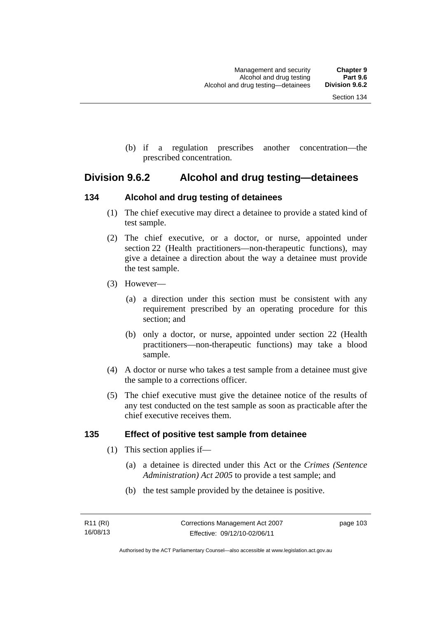(b) if a regulation prescribes another concentration—the prescribed concentration.

# **Division 9.6.2 Alcohol and drug testing—detainees**

# **134 Alcohol and drug testing of detainees**

- (1) The chief executive may direct a detainee to provide a stated kind of test sample.
- (2) The chief executive, or a doctor, or nurse, appointed under section 22 (Health practitioners—non-therapeutic functions), may give a detainee a direction about the way a detainee must provide the test sample.
- (3) However—
	- (a) a direction under this section must be consistent with any requirement prescribed by an operating procedure for this section; and
	- (b) only a doctor, or nurse, appointed under section 22 (Health practitioners—non-therapeutic functions) may take a blood sample.
- (4) A doctor or nurse who takes a test sample from a detainee must give the sample to a corrections officer.
- (5) The chief executive must give the detainee notice of the results of any test conducted on the test sample as soon as practicable after the chief executive receives them.

# **135 Effect of positive test sample from detainee**

- (1) This section applies if—
	- (a) a detainee is directed under this Act or the *Crimes (Sentence Administration) Act 2005* to provide a test sample; and
	- (b) the test sample provided by the detainee is positive.

page 103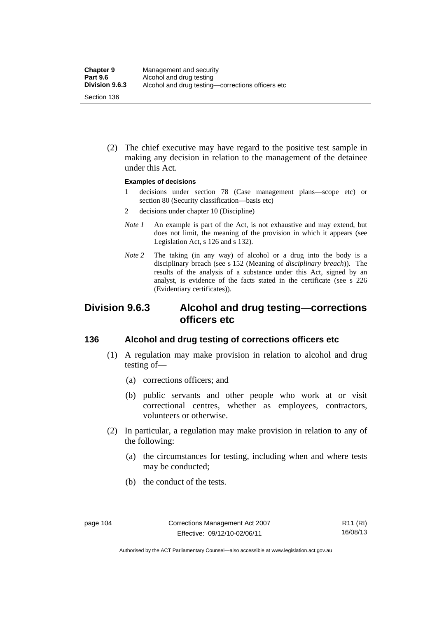(2) The chief executive may have regard to the positive test sample in making any decision in relation to the management of the detainee under this Act.

#### **Examples of decisions**

- 1 decisions under section 78 (Case management plans—scope etc) or section 80 (Security classification—basis etc)
- 2 decisions under chapter 10 (Discipline)
- *Note 1* An example is part of the Act, is not exhaustive and may extend, but does not limit, the meaning of the provision in which it appears (see Legislation Act, s 126 and s 132).
- *Note* 2 The taking (in any way) of alcohol or a drug into the body is a disciplinary breach (see s 152 (Meaning of *disciplinary breach*)). The results of the analysis of a substance under this Act, signed by an analyst, is evidence of the facts stated in the certificate (see s 226 (Evidentiary certificates)).

# **Division 9.6.3 Alcohol and drug testing—corrections officers etc**

# **136 Alcohol and drug testing of corrections officers etc**

- (1) A regulation may make provision in relation to alcohol and drug testing of—
	- (a) corrections officers; and
	- (b) public servants and other people who work at or visit correctional centres, whether as employees, contractors, volunteers or otherwise.
- (2) In particular, a regulation may make provision in relation to any of the following:
	- (a) the circumstances for testing, including when and where tests may be conducted;
	- (b) the conduct of the tests.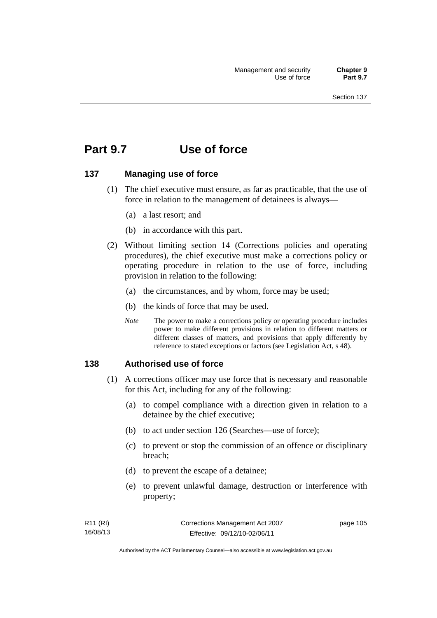# **Part 9.7 Use of force**

# **137 Managing use of force**

- (1) The chief executive must ensure, as far as practicable, that the use of force in relation to the management of detainees is always—
	- (a) a last resort; and
	- (b) in accordance with this part.
- (2) Without limiting section 14 (Corrections policies and operating procedures), the chief executive must make a corrections policy or operating procedure in relation to the use of force, including provision in relation to the following:
	- (a) the circumstances, and by whom, force may be used;
	- (b) the kinds of force that may be used.
	- *Note* The power to make a corrections policy or operating procedure includes power to make different provisions in relation to different matters or different classes of matters, and provisions that apply differently by reference to stated exceptions or factors (see Legislation Act, s 48).

# **138 Authorised use of force**

- (1) A corrections officer may use force that is necessary and reasonable for this Act, including for any of the following:
	- (a) to compel compliance with a direction given in relation to a detainee by the chief executive;
	- (b) to act under section 126 (Searches—use of force);
	- (c) to prevent or stop the commission of an offence or disciplinary breach;
	- (d) to prevent the escape of a detainee;
	- (e) to prevent unlawful damage, destruction or interference with property;

| R11 (RI) | Corrections Management Act 2007 | page 105 |
|----------|---------------------------------|----------|
| 16/08/13 | Effective: 09/12/10-02/06/11    |          |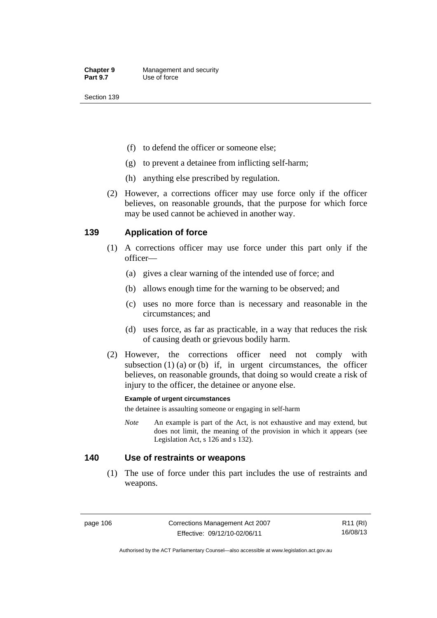- (f) to defend the officer or someone else;
- (g) to prevent a detainee from inflicting self-harm;
- (h) anything else prescribed by regulation.
- (2) However, a corrections officer may use force only if the officer believes, on reasonable grounds, that the purpose for which force may be used cannot be achieved in another way.

# **139 Application of force**

- (1) A corrections officer may use force under this part only if the officer—
	- (a) gives a clear warning of the intended use of force; and
	- (b) allows enough time for the warning to be observed; and
	- (c) uses no more force than is necessary and reasonable in the circumstances; and
	- (d) uses force, as far as practicable, in a way that reduces the risk of causing death or grievous bodily harm.
- (2) However, the corrections officer need not comply with subsection  $(1)$   $(a)$  or  $(b)$  if, in urgent circumstances, the officer believes, on reasonable grounds, that doing so would create a risk of injury to the officer, the detainee or anyone else.

### **Example of urgent circumstances**

the detainee is assaulting someone or engaging in self-harm

*Note* An example is part of the Act, is not exhaustive and may extend, but does not limit, the meaning of the provision in which it appears (see Legislation Act, s 126 and s 132).

# **140 Use of restraints or weapons**

 (1) The use of force under this part includes the use of restraints and weapons.

page 106 Corrections Management Act 2007 Effective: 09/12/10-02/06/11

R11 (RI) 16/08/13

Authorised by the ACT Parliamentary Counsel—also accessible at www.legislation.act.gov.au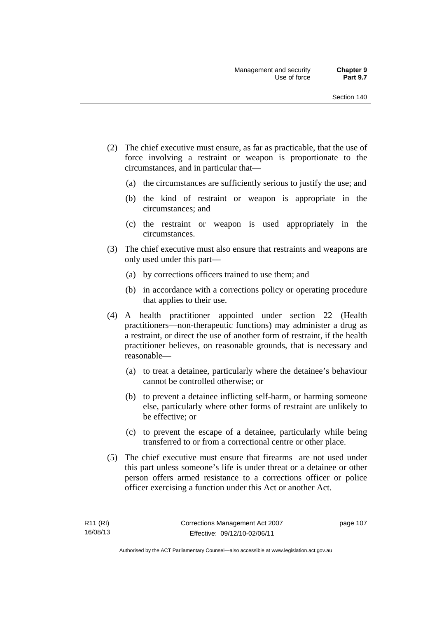- (2) The chief executive must ensure, as far as practicable, that the use of force involving a restraint or weapon is proportionate to the circumstances, and in particular that—
	- (a) the circumstances are sufficiently serious to justify the use; and
	- (b) the kind of restraint or weapon is appropriate in the circumstances; and
	- (c) the restraint or weapon is used appropriately in the circumstances.
- (3) The chief executive must also ensure that restraints and weapons are only used under this part—
	- (a) by corrections officers trained to use them; and
	- (b) in accordance with a corrections policy or operating procedure that applies to their use.
- (4) A health practitioner appointed under section 22 (Health practitioners—non-therapeutic functions) may administer a drug as a restraint, or direct the use of another form of restraint, if the health practitioner believes, on reasonable grounds, that is necessary and reasonable—
	- (a) to treat a detainee, particularly where the detainee's behaviour cannot be controlled otherwise; or
	- (b) to prevent a detainee inflicting self-harm, or harming someone else, particularly where other forms of restraint are unlikely to be effective; or
	- (c) to prevent the escape of a detainee, particularly while being transferred to or from a correctional centre or other place.
- (5) The chief executive must ensure that firearms are not used under this part unless someone's life is under threat or a detainee or other person offers armed resistance to a corrections officer or police officer exercising a function under this Act or another Act.

page 107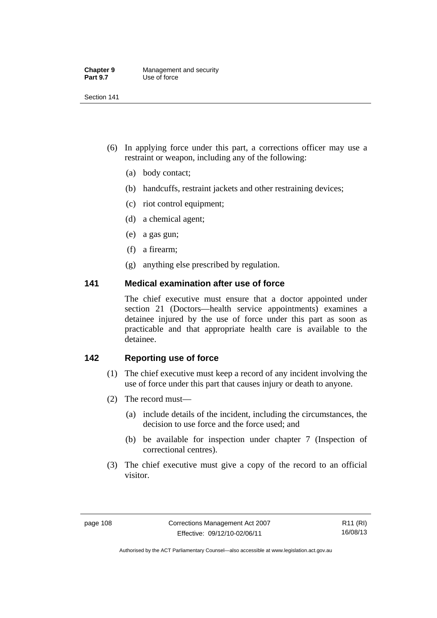| <b>Chapter 9</b> | Management and security |
|------------------|-------------------------|
| <b>Part 9.7</b>  | Use of force            |

- (6) In applying force under this part, a corrections officer may use a restraint or weapon, including any of the following:
	- (a) body contact;
	- (b) handcuffs, restraint jackets and other restraining devices;
	- (c) riot control equipment;
	- (d) a chemical agent;
	- (e) a gas gun;
	- (f) a firearm;
	- (g) anything else prescribed by regulation.

# **141 Medical examination after use of force**

The chief executive must ensure that a doctor appointed under section 21 (Doctors—health service appointments) examines a detainee injured by the use of force under this part as soon as practicable and that appropriate health care is available to the detainee.

# **142 Reporting use of force**

- (1) The chief executive must keep a record of any incident involving the use of force under this part that causes injury or death to anyone.
- (2) The record must—
	- (a) include details of the incident, including the circumstances, the decision to use force and the force used; and
	- (b) be available for inspection under chapter 7 (Inspection of correctional centres).
- (3) The chief executive must give a copy of the record to an official visitor.

R11 (RI) 16/08/13

Authorised by the ACT Parliamentary Counsel—also accessible at www.legislation.act.gov.au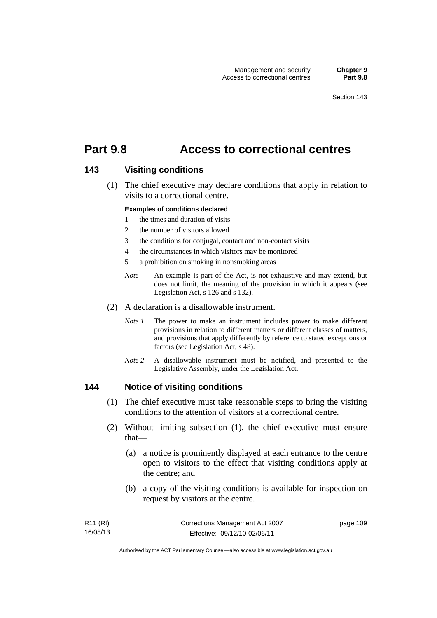# **Part 9.8 Access to correctional centres**

### **143 Visiting conditions**

 (1) The chief executive may declare conditions that apply in relation to visits to a correctional centre.

#### **Examples of conditions declared**

- 1 the times and duration of visits
- 2 the number of visitors allowed
- 3 the conditions for conjugal, contact and non-contact visits
- 4 the circumstances in which visitors may be monitored
- 5 a prohibition on smoking in nonsmoking areas
- *Note* An example is part of the Act, is not exhaustive and may extend, but does not limit, the meaning of the provision in which it appears (see Legislation Act, s 126 and s 132).
- (2) A declaration is a disallowable instrument.
	- *Note I* The power to make an instrument includes power to make different provisions in relation to different matters or different classes of matters, and provisions that apply differently by reference to stated exceptions or factors (see Legislation Act, s 48).
	- *Note 2* A disallowable instrument must be notified, and presented to the Legislative Assembly, under the Legislation Act.

### **144 Notice of visiting conditions**

- (1) The chief executive must take reasonable steps to bring the visiting conditions to the attention of visitors at a correctional centre.
- (2) Without limiting subsection (1), the chief executive must ensure that—
	- (a) a notice is prominently displayed at each entrance to the centre open to visitors to the effect that visiting conditions apply at the centre; and
	- (b) a copy of the visiting conditions is available for inspection on request by visitors at the centre.

| R11 (RI) | Corrections Management Act 2007 | page 109 |
|----------|---------------------------------|----------|
| 16/08/13 | Effective: 09/12/10-02/06/11    |          |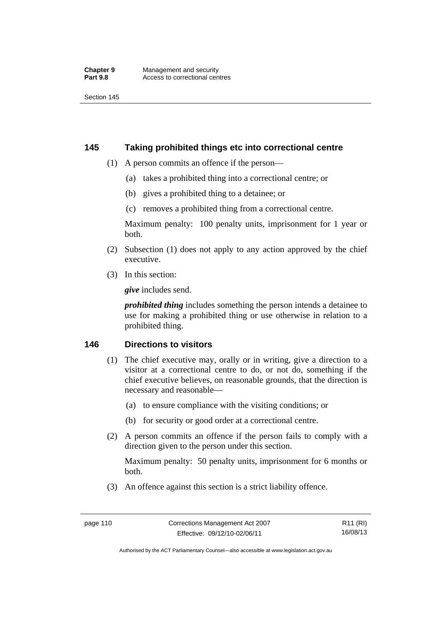# **145 Taking prohibited things etc into correctional centre**

- (1) A person commits an offence if the person—
	- (a) takes a prohibited thing into a correctional centre; or
	- (b) gives a prohibited thing to a detainee; or
	- (c) removes a prohibited thing from a correctional centre.

Maximum penalty: 100 penalty units, imprisonment for 1 year or both.

- (2) Subsection (1) does not apply to any action approved by the chief executive.
- (3) In this section:

*give* includes send.

*prohibited thing* includes something the person intends a detainee to use for making a prohibited thing or use otherwise in relation to a prohibited thing.

# **146 Directions to visitors**

- (1) The chief executive may, orally or in writing, give a direction to a visitor at a correctional centre to do, or not do, something if the chief executive believes, on reasonable grounds, that the direction is necessary and reasonable—
	- (a) to ensure compliance with the visiting conditions; or
	- (b) for security or good order at a correctional centre.
- (2) A person commits an offence if the person fails to comply with a direction given to the person under this section.

Maximum penalty: 50 penalty units, imprisonment for 6 months or both.

(3) An offence against this section is a strict liability offence.

Authorised by the ACT Parliamentary Counsel—also accessible at www.legislation.act.gov.au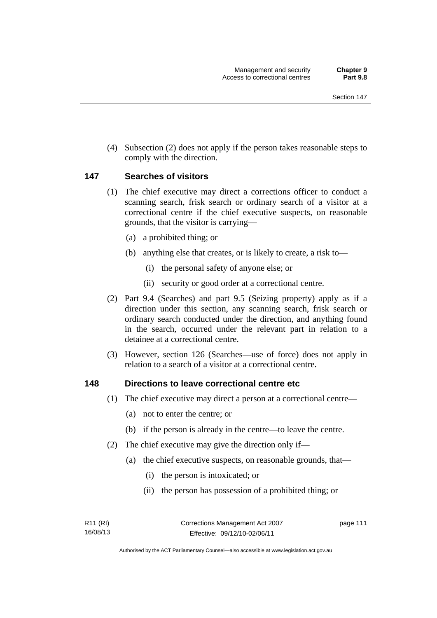(4) Subsection (2) does not apply if the person takes reasonable steps to comply with the direction.

## **147 Searches of visitors**

- (1) The chief executive may direct a corrections officer to conduct a scanning search, frisk search or ordinary search of a visitor at a correctional centre if the chief executive suspects, on reasonable grounds, that the visitor is carrying—
	- (a) a prohibited thing; or
	- (b) anything else that creates, or is likely to create, a risk to—
		- (i) the personal safety of anyone else; or
		- (ii) security or good order at a correctional centre.
- (2) Part 9.4 (Searches) and part 9.5 (Seizing property) apply as if a direction under this section, any scanning search, frisk search or ordinary search conducted under the direction, and anything found in the search, occurred under the relevant part in relation to a detainee at a correctional centre.
- (3) However, section 126 (Searches—use of force) does not apply in relation to a search of a visitor at a correctional centre.

### **148 Directions to leave correctional centre etc**

- (1) The chief executive may direct a person at a correctional centre—
	- (a) not to enter the centre; or
	- (b) if the person is already in the centre—to leave the centre.
- (2) The chief executive may give the direction only if—
	- (a) the chief executive suspects, on reasonable grounds, that—
		- (i) the person is intoxicated; or
		- (ii) the person has possession of a prohibited thing; or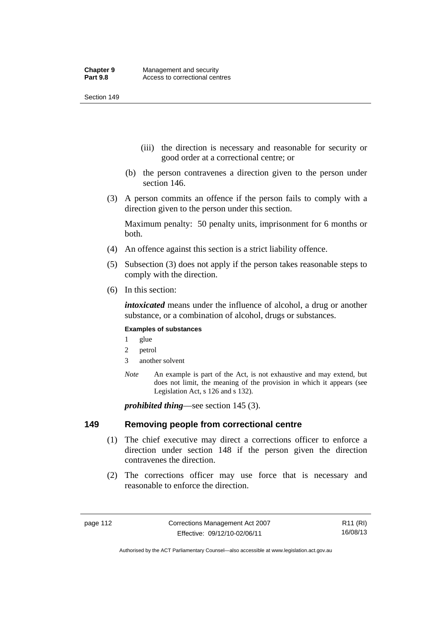- (iii) the direction is necessary and reasonable for security or good order at a correctional centre; or
- (b) the person contravenes a direction given to the person under section 146.
- (3) A person commits an offence if the person fails to comply with a direction given to the person under this section.

Maximum penalty: 50 penalty units, imprisonment for 6 months or both.

- (4) An offence against this section is a strict liability offence.
- (5) Subsection (3) does not apply if the person takes reasonable steps to comply with the direction.
- (6) In this section:

*intoxicated* means under the influence of alcohol, a drug or another substance, or a combination of alcohol, drugs or substances.

### **Examples of substances**

- 1 glue
- 2 petrol
- 3 another solvent
- *Note* An example is part of the Act, is not exhaustive and may extend, but does not limit, the meaning of the provision in which it appears (see Legislation Act, s 126 and s 132).

*prohibited thing*—see section 145 (3).

### **149 Removing people from correctional centre**

- (1) The chief executive may direct a corrections officer to enforce a direction under section 148 if the person given the direction contravenes the direction.
- (2) The corrections officer may use force that is necessary and reasonable to enforce the direction.

Authorised by the ACT Parliamentary Counsel—also accessible at www.legislation.act.gov.au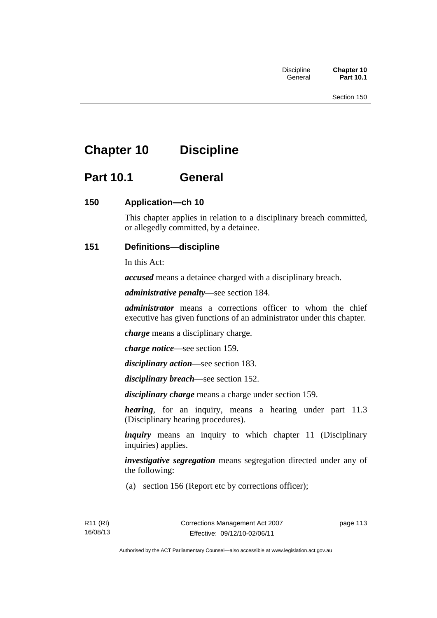# **Chapter 10 Discipline**

# **Part 10.1 General**

# **150 Application—ch 10**

This chapter applies in relation to a disciplinary breach committed, or allegedly committed, by a detainee.

# **151 Definitions—discipline**

In this Act:

*accused* means a detainee charged with a disciplinary breach.

*administrative penalty*—see section 184.

*administrator* means a corrections officer to whom the chief executive has given functions of an administrator under this chapter.

*charge* means a disciplinary charge.

*charge notice*—see section 159.

*disciplinary action*—see section 183.

*disciplinary breach*—see section 152.

*disciplinary charge* means a charge under section 159.

*hearing*, for an inquiry, means a hearing under part 11.3 (Disciplinary hearing procedures).

*inquiry* means an inquiry to which chapter 11 (Disciplinary inquiries) applies.

*investigative segregation* means segregation directed under any of the following:

(a) section 156 (Report etc by corrections officer);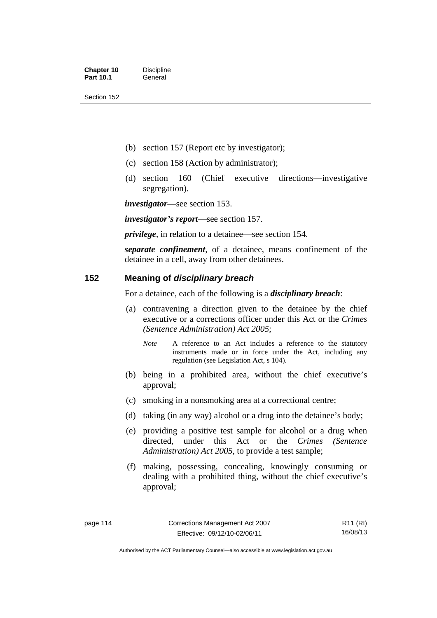- (b) section 157 (Report etc by investigator);
- (c) section 158 (Action by administrator);
- (d) section 160 (Chief executive directions—investigative segregation).

*investigator*—see section 153.

*investigator's report*—see section 157.

*privilege*, in relation to a detainee—see section 154.

*separate confinement*, of a detainee, means confinement of the detainee in a cell, away from other detainees.

# **152 Meaning of** *disciplinary breach*

For a detainee, each of the following is a *disciplinary breach*:

- (a) contravening a direction given to the detainee by the chief executive or a corrections officer under this Act or the *Crimes (Sentence Administration) Act 2005*;
	- *Note* A reference to an Act includes a reference to the statutory instruments made or in force under the Act, including any regulation (see Legislation Act, s 104).
- (b) being in a prohibited area, without the chief executive's approval;
- (c) smoking in a nonsmoking area at a correctional centre;
- (d) taking (in any way) alcohol or a drug into the detainee's body;
- (e) providing a positive test sample for alcohol or a drug when directed, under this Act or the *Crimes (Sentence Administration) Act 2005*, to provide a test sample;
- (f) making, possessing, concealing, knowingly consuming or dealing with a prohibited thing, without the chief executive's approval;

R11 (RI) 16/08/13

Authorised by the ACT Parliamentary Counsel—also accessible at www.legislation.act.gov.au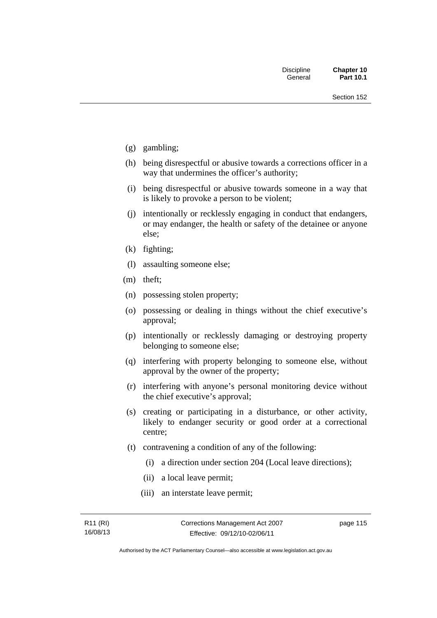- (g) gambling;
- (h) being disrespectful or abusive towards a corrections officer in a way that undermines the officer's authority;
- (i) being disrespectful or abusive towards someone in a way that is likely to provoke a person to be violent;
- (j) intentionally or recklessly engaging in conduct that endangers, or may endanger, the health or safety of the detainee or anyone else;
- (k) fighting;
- (l) assaulting someone else;
- (m) theft;
- (n) possessing stolen property;
- (o) possessing or dealing in things without the chief executive's approval;
- (p) intentionally or recklessly damaging or destroying property belonging to someone else;
- (q) interfering with property belonging to someone else, without approval by the owner of the property;
- (r) interfering with anyone's personal monitoring device without the chief executive's approval;
- (s) creating or participating in a disturbance, or other activity, likely to endanger security or good order at a correctional centre;
- (t) contravening a condition of any of the following:
	- (i) a direction under section 204 (Local leave directions);
	- (ii) a local leave permit;
	- (iii) an interstate leave permit;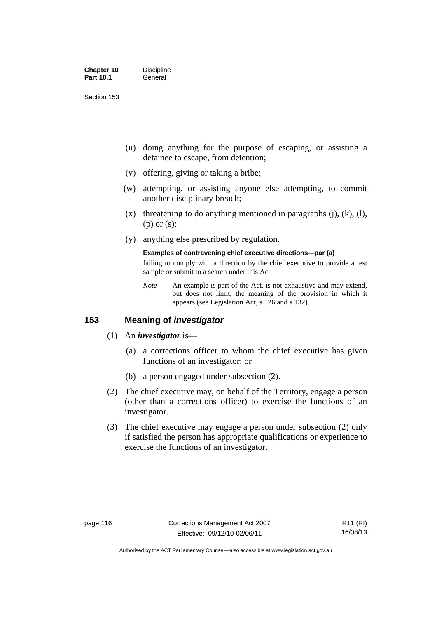| <b>Chapter 10</b> | <b>Discipline</b> |
|-------------------|-------------------|
| <b>Part 10.1</b>  | General           |

- (u) doing anything for the purpose of escaping, or assisting a detainee to escape, from detention;
- (v) offering, giving or taking a bribe;
- (w) attempting, or assisting anyone else attempting, to commit another disciplinary breach;
- $(x)$  threatening to do anything mentioned in paragraphs (j), (k), (l), (p) or (s);
- (y) anything else prescribed by regulation.

#### **Examples of contravening chief executive directions—par (a)**

failing to comply with a direction by the chief executive to provide a test sample or submit to a search under this Act

*Note* An example is part of the Act, is not exhaustive and may extend, but does not limit, the meaning of the provision in which it appears (see Legislation Act, s 126 and s 132).

# **153 Meaning of** *investigator*

- (1) An *investigator* is—
	- (a) a corrections officer to whom the chief executive has given functions of an investigator; or
	- (b) a person engaged under subsection (2).
- (2) The chief executive may, on behalf of the Territory, engage a person (other than a corrections officer) to exercise the functions of an investigator.
- (3) The chief executive may engage a person under subsection (2) only if satisfied the person has appropriate qualifications or experience to exercise the functions of an investigator.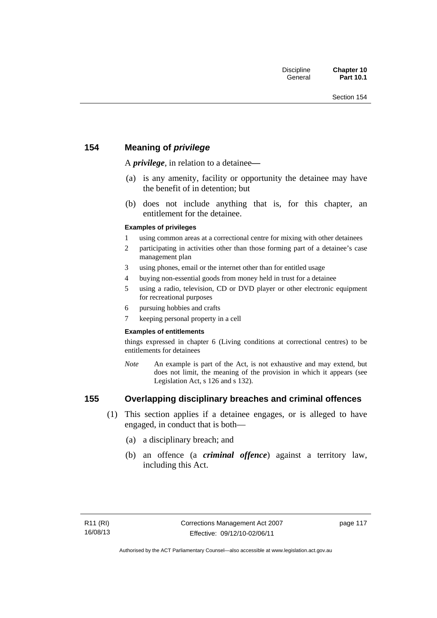# **154 Meaning of** *privilege*

A *privilege*, in relation to a detainee*—*

- (a) is any amenity, facility or opportunity the detainee may have the benefit of in detention; but
- (b) does not include anything that is, for this chapter, an entitlement for the detainee.

### **Examples of privileges**

- 1 using common areas at a correctional centre for mixing with other detainees
- 2 participating in activities other than those forming part of a detainee's case management plan
- 3 using phones, email or the internet other than for entitled usage
- 4 buying non-essential goods from money held in trust for a detainee
- 5 using a radio, television, CD or DVD player or other electronic equipment for recreational purposes
- 6 pursuing hobbies and crafts
- 7 keeping personal property in a cell

### **Examples of entitlements**

things expressed in chapter 6 (Living conditions at correctional centres) to be entitlements for detainees

*Note* An example is part of the Act, is not exhaustive and may extend, but does not limit, the meaning of the provision in which it appears (see Legislation Act, s 126 and s 132).

# **155 Overlapping disciplinary breaches and criminal offences**

- (1) This section applies if a detainee engages, or is alleged to have engaged, in conduct that is both—
	- (a) a disciplinary breach; and
	- (b) an offence (a *criminal offence*) against a territory law, including this Act.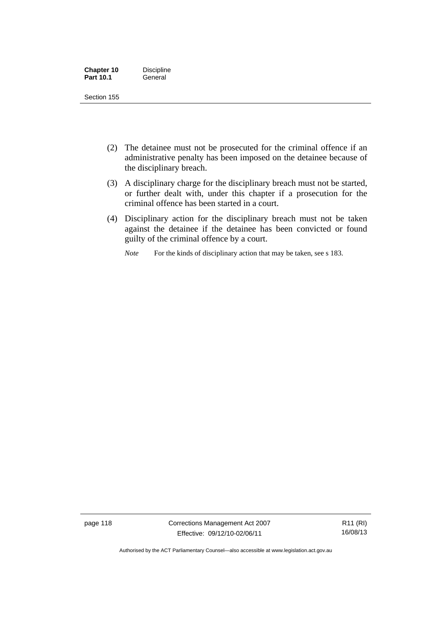| <b>Chapter 10</b> | <b>Discipline</b> |
|-------------------|-------------------|
| <b>Part 10.1</b>  | General           |

- (2) The detainee must not be prosecuted for the criminal offence if an administrative penalty has been imposed on the detainee because of the disciplinary breach.
- (3) A disciplinary charge for the disciplinary breach must not be started, or further dealt with, under this chapter if a prosecution for the criminal offence has been started in a court.
- (4) Disciplinary action for the disciplinary breach must not be taken against the detainee if the detainee has been convicted or found guilty of the criminal offence by a court.

*Note* For the kinds of disciplinary action that may be taken, see s 183.

page 118 Corrections Management Act 2007 Effective: 09/12/10-02/06/11

Authorised by the ACT Parliamentary Counsel—also accessible at www.legislation.act.gov.au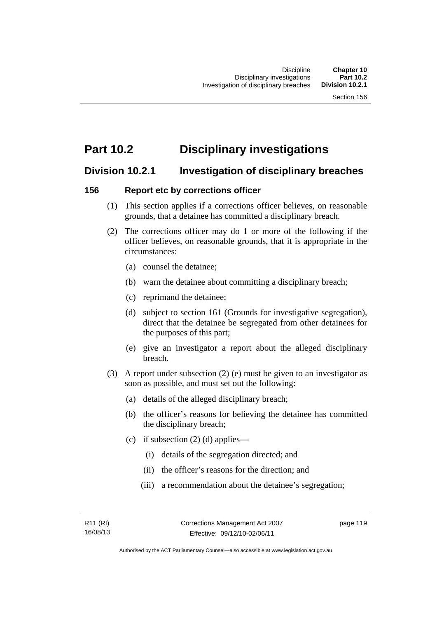# **Part 10.2 Disciplinary investigations**

# **Division 10.2.1 Investigation of disciplinary breaches**

# **156 Report etc by corrections officer**

- (1) This section applies if a corrections officer believes, on reasonable grounds, that a detainee has committed a disciplinary breach.
- (2) The corrections officer may do 1 or more of the following if the officer believes, on reasonable grounds, that it is appropriate in the circumstances:
	- (a) counsel the detainee;
	- (b) warn the detainee about committing a disciplinary breach;
	- (c) reprimand the detainee;
	- (d) subject to section 161 (Grounds for investigative segregation), direct that the detainee be segregated from other detainees for the purposes of this part;
	- (e) give an investigator a report about the alleged disciplinary breach.
- (3) A report under subsection (2) (e) must be given to an investigator as soon as possible, and must set out the following:
	- (a) details of the alleged disciplinary breach;
	- (b) the officer's reasons for believing the detainee has committed the disciplinary breach;
	- (c) if subsection  $(2)$  (d) applies—
		- (i) details of the segregation directed; and
		- (ii) the officer's reasons for the direction; and
		- (iii) a recommendation about the detainee's segregation;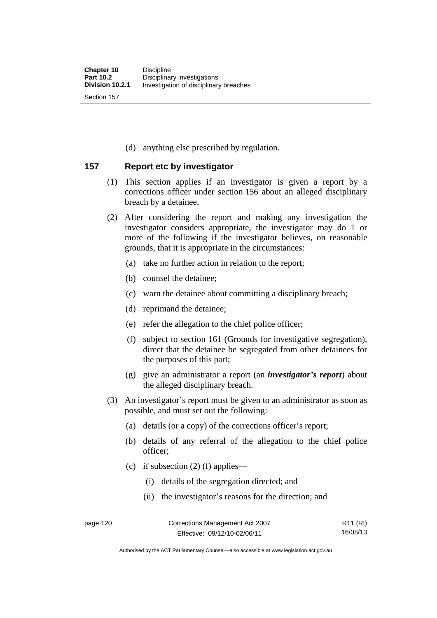(d) anything else prescribed by regulation.

# **157 Report etc by investigator**

- (1) This section applies if an investigator is given a report by a corrections officer under section 156 about an alleged disciplinary breach by a detainee.
- (2) After considering the report and making any investigation the investigator considers appropriate, the investigator may do 1 or more of the following if the investigator believes, on reasonable grounds, that it is appropriate in the circumstances:
	- (a) take no further action in relation to the report;
	- (b) counsel the detainee;
	- (c) warn the detainee about committing a disciplinary breach;
	- (d) reprimand the detainee;
	- (e) refer the allegation to the chief police officer;
	- (f) subject to section 161 (Grounds for investigative segregation), direct that the detainee be segregated from other detainees for the purposes of this part;
	- (g) give an administrator a report (an *investigator's report*) about the alleged disciplinary breach.
- (3) An investigator's report must be given to an administrator as soon as possible, and must set out the following:
	- (a) details (or a copy) of the corrections officer's report;
	- (b) details of any referral of the allegation to the chief police officer;
	- (c) if subsection  $(2)$  (f) applies—
		- (i) details of the segregation directed; and
		- (ii) the investigator's reasons for the direction; and

Authorised by the ACT Parliamentary Counsel—also accessible at www.legislation.act.gov.au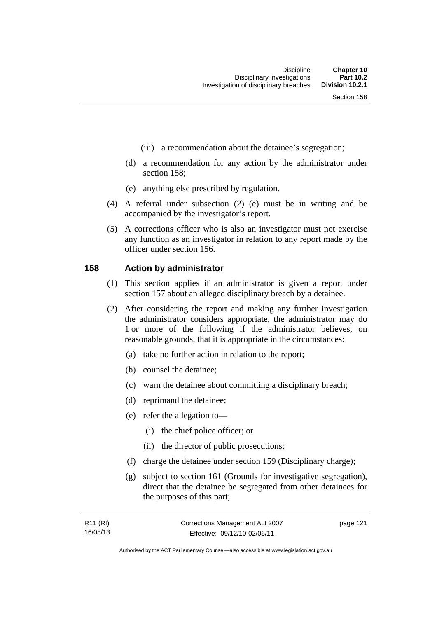- (iii) a recommendation about the detainee's segregation;
- (d) a recommendation for any action by the administrator under section 158;
- (e) anything else prescribed by regulation.
- (4) A referral under subsection (2) (e) must be in writing and be accompanied by the investigator's report.
- (5) A corrections officer who is also an investigator must not exercise any function as an investigator in relation to any report made by the officer under section 156.

### **158 Action by administrator**

- (1) This section applies if an administrator is given a report under section 157 about an alleged disciplinary breach by a detainee.
- (2) After considering the report and making any further investigation the administrator considers appropriate, the administrator may do 1 or more of the following if the administrator believes, on reasonable grounds, that it is appropriate in the circumstances:
	- (a) take no further action in relation to the report;
	- (b) counsel the detainee;
	- (c) warn the detainee about committing a disciplinary breach;
	- (d) reprimand the detainee;
	- (e) refer the allegation to—
		- (i) the chief police officer; or
		- (ii) the director of public prosecutions;
	- (f) charge the detainee under section 159 (Disciplinary charge);
	- (g) subject to section 161 (Grounds for investigative segregation), direct that the detainee be segregated from other detainees for the purposes of this part;

| R11 (RI) | Corrections Management Act 2007 | page 121 |
|----------|---------------------------------|----------|
| 16/08/13 | Effective: 09/12/10-02/06/11    |          |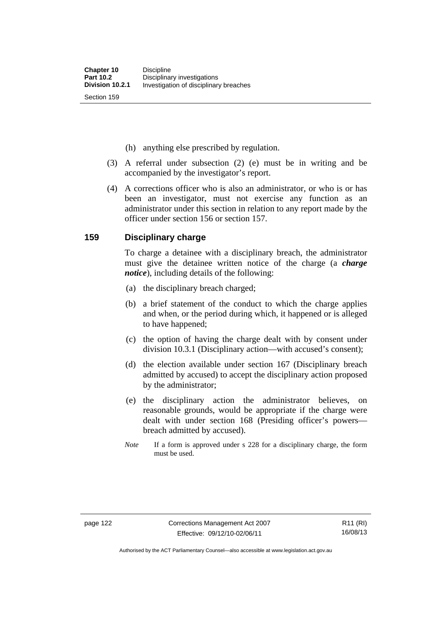(h) anything else prescribed by regulation.

- (3) A referral under subsection (2) (e) must be in writing and be accompanied by the investigator's report.
- (4) A corrections officer who is also an administrator, or who is or has been an investigator, must not exercise any function as an administrator under this section in relation to any report made by the officer under section 156 or section 157.

## **159 Disciplinary charge**

To charge a detainee with a disciplinary breach, the administrator must give the detainee written notice of the charge (a *charge notice*), including details of the following:

- (a) the disciplinary breach charged;
- (b) a brief statement of the conduct to which the charge applies and when, or the period during which, it happened or is alleged to have happened;
- (c) the option of having the charge dealt with by consent under division 10.3.1 (Disciplinary action—with accused's consent);
- (d) the election available under section 167 (Disciplinary breach admitted by accused) to accept the disciplinary action proposed by the administrator;
- (e) the disciplinary action the administrator believes, on reasonable grounds, would be appropriate if the charge were dealt with under section 168 (Presiding officer's powers breach admitted by accused).
- *Note* If a form is approved under s 228 for a disciplinary charge, the form must be used.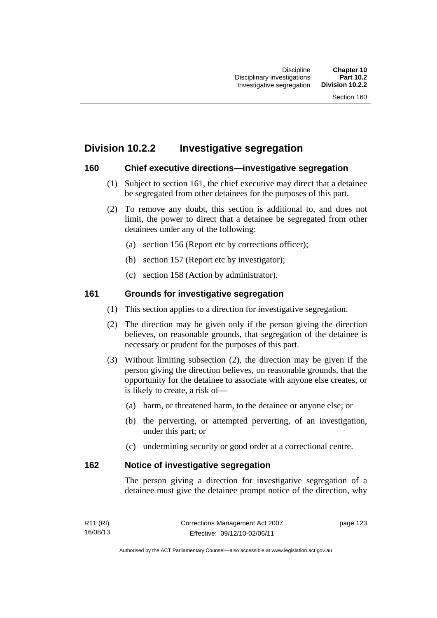# **Division 10.2.2 Investigative segregation**

# **160 Chief executive directions—investigative segregation**

- (1) Subject to section 161, the chief executive may direct that a detainee be segregated from other detainees for the purposes of this part.
- (2) To remove any doubt, this section is additional to, and does not limit, the power to direct that a detainee be segregated from other detainees under any of the following:
	- (a) section 156 (Report etc by corrections officer);
	- (b) section 157 (Report etc by investigator);
	- (c) section 158 (Action by administrator).

# **161 Grounds for investigative segregation**

- (1) This section applies to a direction for investigative segregation.
- (2) The direction may be given only if the person giving the direction believes, on reasonable grounds, that segregation of the detainee is necessary or prudent for the purposes of this part.
- (3) Without limiting subsection (2), the direction may be given if the person giving the direction believes, on reasonable grounds, that the opportunity for the detainee to associate with anyone else creates, or is likely to create, a risk of—
	- (a) harm, or threatened harm, to the detainee or anyone else; or
	- (b) the perverting, or attempted perverting, of an investigation, under this part; or
	- (c) undermining security or good order at a correctional centre.

# **162 Notice of investigative segregation**

The person giving a direction for investigative segregation of a detainee must give the detainee prompt notice of the direction, why

| R <sub>11</sub> (RI) | Corrections Management Act 2007 | page 123 |
|----------------------|---------------------------------|----------|
| 16/08/13             | Effective: 09/12/10-02/06/11    |          |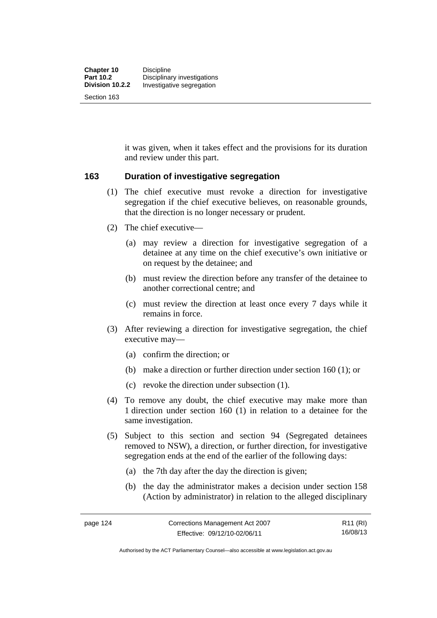it was given, when it takes effect and the provisions for its duration and review under this part.

# **163 Duration of investigative segregation**

- (1) The chief executive must revoke a direction for investigative segregation if the chief executive believes, on reasonable grounds, that the direction is no longer necessary or prudent.
- (2) The chief executive—
	- (a) may review a direction for investigative segregation of a detainee at any time on the chief executive's own initiative or on request by the detainee; and
	- (b) must review the direction before any transfer of the detainee to another correctional centre; and
	- (c) must review the direction at least once every 7 days while it remains in force.
- (3) After reviewing a direction for investigative segregation, the chief executive may—
	- (a) confirm the direction; or
	- (b) make a direction or further direction under section 160 (1); or
	- (c) revoke the direction under subsection (1).
- (4) To remove any doubt, the chief executive may make more than 1 direction under section 160 (1) in relation to a detainee for the same investigation.
- (5) Subject to this section and section 94 (Segregated detainees removed to NSW), a direction, or further direction, for investigative segregation ends at the end of the earlier of the following days:
	- (a) the 7th day after the day the direction is given;
	- (b) the day the administrator makes a decision under section 158 (Action by administrator) in relation to the alleged disciplinary

R11 (RI) 16/08/13

Authorised by the ACT Parliamentary Counsel—also accessible at www.legislation.act.gov.au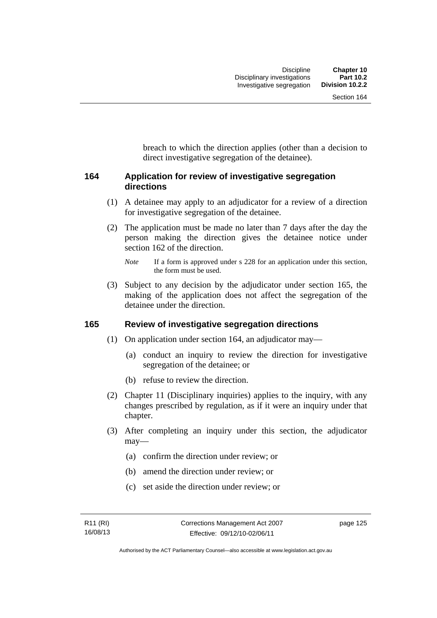breach to which the direction applies (other than a decision to direct investigative segregation of the detainee).

# **164 Application for review of investigative segregation directions**

- (1) A detainee may apply to an adjudicator for a review of a direction for investigative segregation of the detainee.
- (2) The application must be made no later than 7 days after the day the person making the direction gives the detainee notice under section 162 of the direction.

 (3) Subject to any decision by the adjudicator under section 165, the making of the application does not affect the segregation of the detainee under the direction.

# **165 Review of investigative segregation directions**

- (1) On application under section 164, an adjudicator may—
	- (a) conduct an inquiry to review the direction for investigative segregation of the detainee; or
	- (b) refuse to review the direction.
- (2) Chapter 11 (Disciplinary inquiries) applies to the inquiry, with any changes prescribed by regulation, as if it were an inquiry under that chapter.
- (3) After completing an inquiry under this section, the adjudicator may—
	- (a) confirm the direction under review; or
	- (b) amend the direction under review; or
	- (c) set aside the direction under review; or

*Note* If a form is approved under s 228 for an application under this section, the form must be used.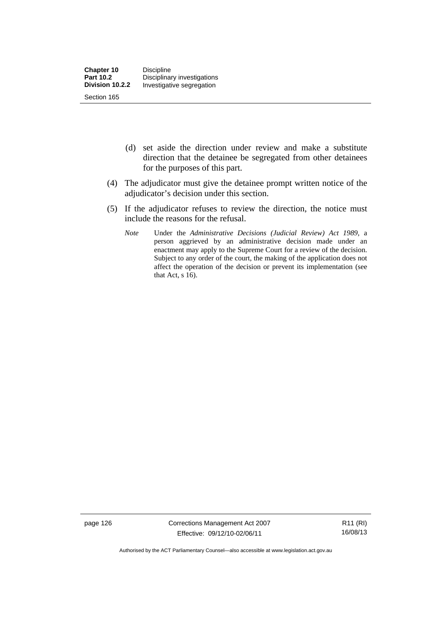- (d) set aside the direction under review and make a substitute direction that the detainee be segregated from other detainees for the purposes of this part.
- (4) The adjudicator must give the detainee prompt written notice of the adjudicator's decision under this section.
- (5) If the adjudicator refuses to review the direction, the notice must include the reasons for the refusal.
	- *Note* Under the *Administrative Decisions (Judicial Review) Act 1989*, a person aggrieved by an administrative decision made under an enactment may apply to the Supreme Court for a review of the decision. Subject to any order of the court, the making of the application does not affect the operation of the decision or prevent its implementation (see that Act,  $s$  16).

page 126 Corrections Management Act 2007 Effective: 09/12/10-02/06/11

R11 (RI) 16/08/13

Authorised by the ACT Parliamentary Counsel—also accessible at www.legislation.act.gov.au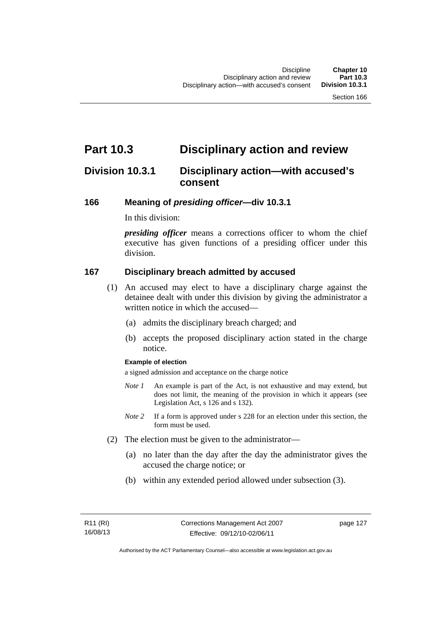# **Part 10.3 Disciplinary action and review**

# **Division 10.3.1 Disciplinary action—with accused's consent**

## **166 Meaning of** *presiding officer***—div 10.3.1**

In this division:

*presiding officer* means a corrections officer to whom the chief executive has given functions of a presiding officer under this division.

## **167 Disciplinary breach admitted by accused**

- (1) An accused may elect to have a disciplinary charge against the detainee dealt with under this division by giving the administrator a written notice in which the accused—
	- (a) admits the disciplinary breach charged; and
	- (b) accepts the proposed disciplinary action stated in the charge notice.

### **Example of election**

a signed admission and acceptance on the charge notice

- *Note 1* An example is part of the Act, is not exhaustive and may extend, but does not limit, the meaning of the provision in which it appears (see Legislation Act, s 126 and s 132).
- *Note* 2 If a form is approved under s 228 for an election under this section, the form must be used.
- (2) The election must be given to the administrator—
	- (a) no later than the day after the day the administrator gives the accused the charge notice; or
	- (b) within any extended period allowed under subsection (3).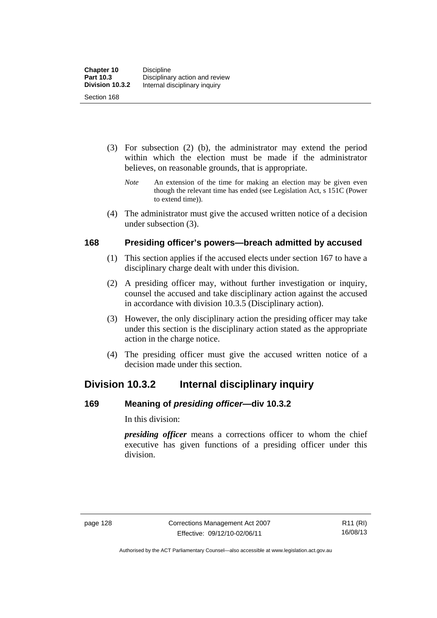- (3) For subsection (2) (b), the administrator may extend the period within which the election must be made if the administrator believes, on reasonable grounds, that is appropriate.
	- *Note* An extension of the time for making an election may be given even though the relevant time has ended (see Legislation Act, s 151C (Power to extend time)).
- (4) The administrator must give the accused written notice of a decision under subsection (3).

# **168 Presiding officer's powers—breach admitted by accused**

- (1) This section applies if the accused elects under section 167 to have a disciplinary charge dealt with under this division.
- (2) A presiding officer may, without further investigation or inquiry, counsel the accused and take disciplinary action against the accused in accordance with division 10.3.5 (Disciplinary action).
- (3) However, the only disciplinary action the presiding officer may take under this section is the disciplinary action stated as the appropriate action in the charge notice.
- (4) The presiding officer must give the accused written notice of a decision made under this section.

# **Division 10.3.2 Internal disciplinary inquiry**

# **169 Meaning of** *presiding officer***—div 10.3.2**

In this division:

*presiding officer* means a corrections officer to whom the chief executive has given functions of a presiding officer under this division.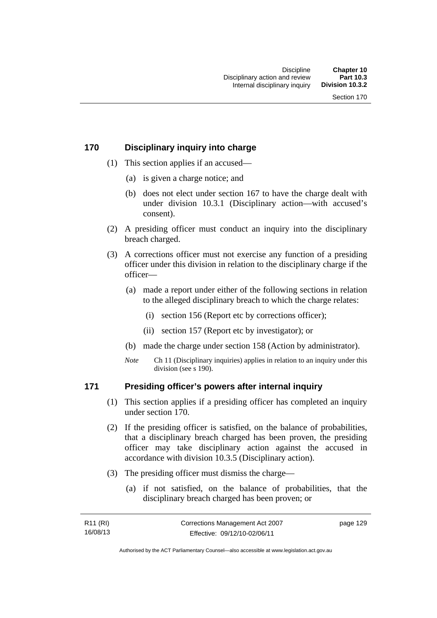# **170 Disciplinary inquiry into charge**

- (1) This section applies if an accused—
	- (a) is given a charge notice; and
	- (b) does not elect under section 167 to have the charge dealt with under division 10.3.1 (Disciplinary action—with accused's consent).
- (2) A presiding officer must conduct an inquiry into the disciplinary breach charged.
- (3) A corrections officer must not exercise any function of a presiding officer under this division in relation to the disciplinary charge if the officer—
	- (a) made a report under either of the following sections in relation to the alleged disciplinary breach to which the charge relates:
		- (i) section 156 (Report etc by corrections officer);
		- (ii) section 157 (Report etc by investigator); or
	- (b) made the charge under section 158 (Action by administrator).
	- *Note* Ch 11 (Disciplinary inquiries) applies in relation to an inquiry under this division (see s 190).

# **171 Presiding officer's powers after internal inquiry**

- (1) This section applies if a presiding officer has completed an inquiry under section 170.
- (2) If the presiding officer is satisfied, on the balance of probabilities, that a disciplinary breach charged has been proven, the presiding officer may take disciplinary action against the accused in accordance with division 10.3.5 (Disciplinary action).
- (3) The presiding officer must dismiss the charge—
	- (a) if not satisfied, on the balance of probabilities, that the disciplinary breach charged has been proven; or

| R11 (RI) | Corrections Management Act 2007 | page 129 |
|----------|---------------------------------|----------|
| 16/08/13 | Effective: 09/12/10-02/06/11    |          |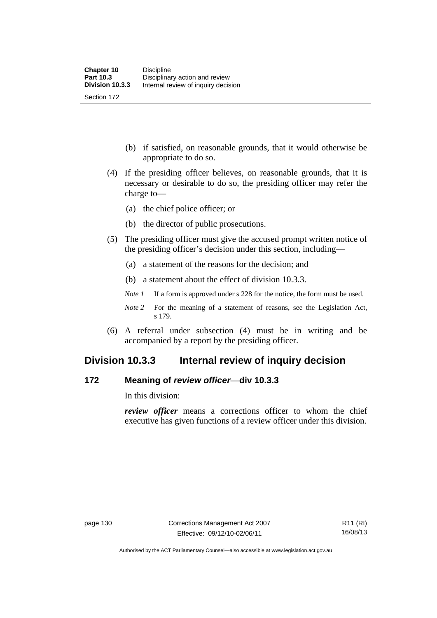(b) if satisfied, on reasonable grounds, that it would otherwise be appropriate to do so.

- (4) If the presiding officer believes, on reasonable grounds, that it is necessary or desirable to do so, the presiding officer may refer the charge to—
	- (a) the chief police officer; or
	- (b) the director of public prosecutions.
- (5) The presiding officer must give the accused prompt written notice of the presiding officer's decision under this section, including—
	- (a) a statement of the reasons for the decision; and
	- (b) a statement about the effect of division 10.3.3.
	- *Note 1* If a form is approved under s 228 for the notice, the form must be used.
	- *Note 2* For the meaning of a statement of reasons, see the Legislation Act, s 179.
- (6) A referral under subsection (4) must be in writing and be accompanied by a report by the presiding officer.

# **Division 10.3.3 Internal review of inquiry decision**

# **172 Meaning of** *review officer*—**div 10.3.3**

In this division:

*review officer* means a corrections officer to whom the chief executive has given functions of a review officer under this division.

Authorised by the ACT Parliamentary Counsel—also accessible at www.legislation.act.gov.au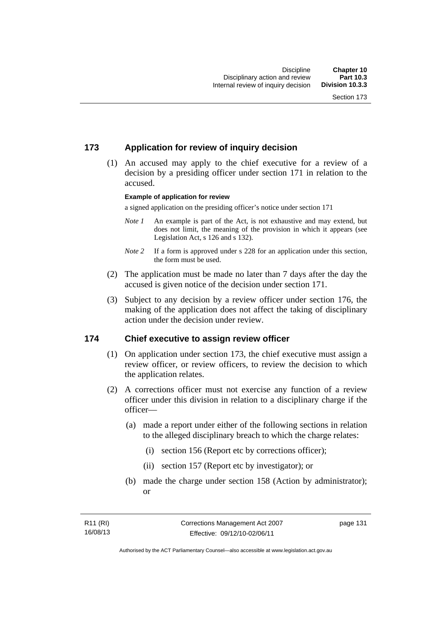# **173 Application for review of inquiry decision**

 (1) An accused may apply to the chief executive for a review of a decision by a presiding officer under section 171 in relation to the accused.

#### **Example of application for review**

a signed application on the presiding officer's notice under section 171

- *Note 1* An example is part of the Act, is not exhaustive and may extend, but does not limit, the meaning of the provision in which it appears (see Legislation Act, s 126 and s 132).
- *Note* 2 If a form is approved under s 228 for an application under this section, the form must be used.
- (2) The application must be made no later than 7 days after the day the accused is given notice of the decision under section 171.
- (3) Subject to any decision by a review officer under section 176, the making of the application does not affect the taking of disciplinary action under the decision under review.

## **174 Chief executive to assign review officer**

- (1) On application under section 173, the chief executive must assign a review officer, or review officers, to review the decision to which the application relates.
- (2) A corrections officer must not exercise any function of a review officer under this division in relation to a disciplinary charge if the officer—
	- (a) made a report under either of the following sections in relation to the alleged disciplinary breach to which the charge relates:
		- (i) section 156 (Report etc by corrections officer);
		- (ii) section 157 (Report etc by investigator); or
	- (b) made the charge under section 158 (Action by administrator); or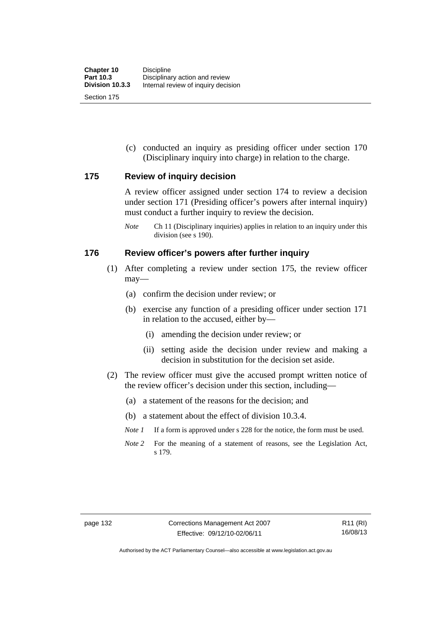(c) conducted an inquiry as presiding officer under section 170 (Disciplinary inquiry into charge) in relation to the charge.

# **175 Review of inquiry decision**

A review officer assigned under section 174 to review a decision under section 171 (Presiding officer's powers after internal inquiry) must conduct a further inquiry to review the decision.

*Note* Ch 11 (Disciplinary inquiries) applies in relation to an inquiry under this division (see s 190).

## **176 Review officer's powers after further inquiry**

- (1) After completing a review under section 175, the review officer may—
	- (a) confirm the decision under review; or
	- (b) exercise any function of a presiding officer under section 171 in relation to the accused, either by—
		- (i) amending the decision under review; or
		- (ii) setting aside the decision under review and making a decision in substitution for the decision set aside.
- (2) The review officer must give the accused prompt written notice of the review officer's decision under this section, including—
	- (a) a statement of the reasons for the decision; and
	- (b) a statement about the effect of division 10.3.4.
	- *Note 1* If a form is approved under s 228 for the notice, the form must be used.
	- *Note 2* For the meaning of a statement of reasons, see the Legislation Act, s 179.

Authorised by the ACT Parliamentary Counsel—also accessible at www.legislation.act.gov.au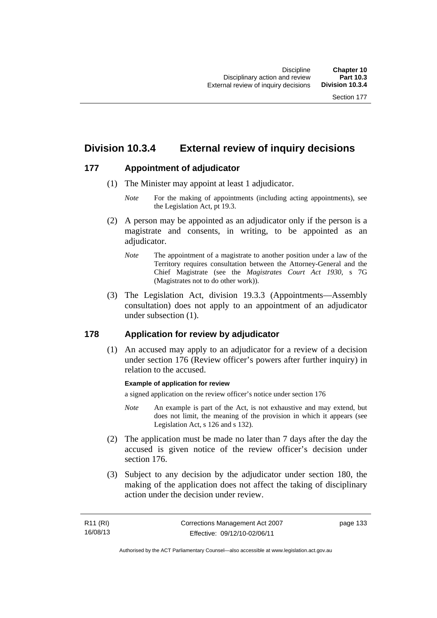# **Division 10.3.4 External review of inquiry decisions**

# **177 Appointment of adjudicator**

- (1) The Minister may appoint at least 1 adjudicator.
	- *Note* For the making of appointments (including acting appointments), see the Legislation Act, pt 19.3.
- (2) A person may be appointed as an adjudicator only if the person is a magistrate and consents, in writing, to be appointed as an adiudicator.
	- *Note* The appointment of a magistrate to another position under a law of the Territory requires consultation between the Attorney-General and the Chief Magistrate (see the *Magistrates Court Act 1930*, s 7G (Magistrates not to do other work)).
- (3) The Legislation Act, division 19.3.3 (Appointments—Assembly consultation) does not apply to an appointment of an adjudicator under subsection (1).

# **178 Application for review by adjudicator**

 (1) An accused may apply to an adjudicator for a review of a decision under section 176 (Review officer's powers after further inquiry) in relation to the accused.

## **Example of application for review**

a signed application on the review officer's notice under section 176

- *Note* An example is part of the Act, is not exhaustive and may extend, but does not limit, the meaning of the provision in which it appears (see Legislation Act, s 126 and s 132).
- (2) The application must be made no later than 7 days after the day the accused is given notice of the review officer's decision under section 176.
- (3) Subject to any decision by the adjudicator under section 180, the making of the application does not affect the taking of disciplinary action under the decision under review.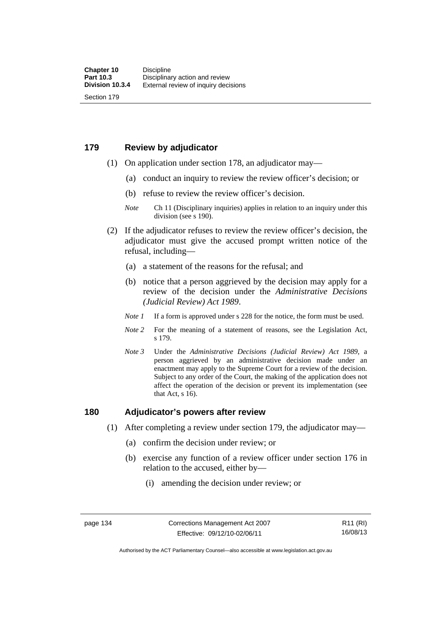# **179 Review by adjudicator**

Section 179

- (1) On application under section 178, an adjudicator may—
	- (a) conduct an inquiry to review the review officer's decision; or
	- (b) refuse to review the review officer's decision.

- (2) If the adjudicator refuses to review the review officer's decision, the adjudicator must give the accused prompt written notice of the refusal, including—
	- (a) a statement of the reasons for the refusal; and
	- (b) notice that a person aggrieved by the decision may apply for a review of the decision under the *Administrative Decisions (Judicial Review) Act 1989*.
	- *Note 1* If a form is approved under s 228 for the notice, the form must be used.
	- *Note 2* For the meaning of a statement of reasons, see the Legislation Act, s 179.
	- *Note 3* Under the *Administrative Decisions (Judicial Review) Act 1989*, a person aggrieved by an administrative decision made under an enactment may apply to the Supreme Court for a review of the decision. Subject to any order of the Court, the making of the application does not affect the operation of the decision or prevent its implementation (see that Act, s 16).

## **180 Adjudicator's powers after review**

- (1) After completing a review under section 179, the adjudicator may—
	- (a) confirm the decision under review; or
	- (b) exercise any function of a review officer under section 176 in relation to the accused, either by—
		- (i) amending the decision under review; or

R11 (RI) 16/08/13

*Note* Ch 11 (Disciplinary inquiries) applies in relation to an inquiry under this division (see s 190).

Authorised by the ACT Parliamentary Counsel—also accessible at www.legislation.act.gov.au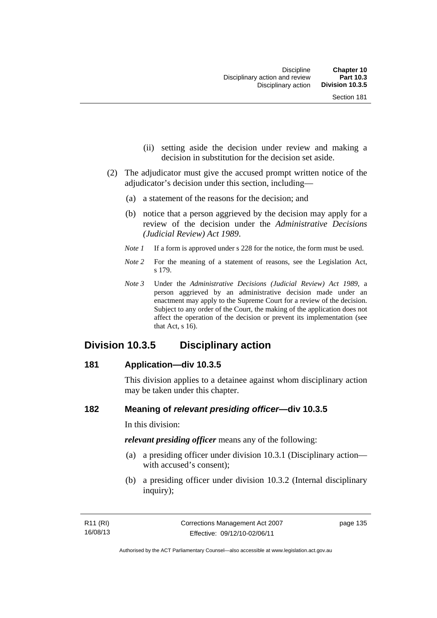- (ii) setting aside the decision under review and making a decision in substitution for the decision set aside.
- (2) The adjudicator must give the accused prompt written notice of the adjudicator's decision under this section, including—
	- (a) a statement of the reasons for the decision; and
	- (b) notice that a person aggrieved by the decision may apply for a review of the decision under the *Administrative Decisions (Judicial Review) Act 1989*.
	- *Note 1* If a form is approved under s 228 for the notice, the form must be used.
	- *Note* 2 For the meaning of a statement of reasons, see the Legislation Act, s 179.
	- *Note 3* Under the *Administrative Decisions (Judicial Review) Act 1989*, a person aggrieved by an administrative decision made under an enactment may apply to the Supreme Court for a review of the decision. Subject to any order of the Court, the making of the application does not affect the operation of the decision or prevent its implementation (see that Act, s 16).

# **Division 10.3.5 Disciplinary action**

## **181 Application—div 10.3.5**

This division applies to a detainee against whom disciplinary action may be taken under this chapter.

# **182 Meaning of** *relevant presiding officer***—div 10.3.5**

In this division:

*relevant presiding officer* means any of the following:

- (a) a presiding officer under division 10.3.1 (Disciplinary action with accused's consent);
- (b) a presiding officer under division 10.3.2 (Internal disciplinary inquiry);

page 135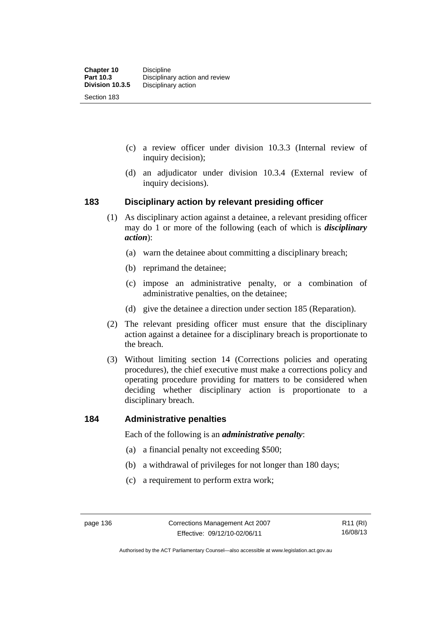- (c) a review officer under division 10.3.3 (Internal review of inquiry decision);
- (d) an adjudicator under division 10.3.4 (External review of inquiry decisions).

# **183 Disciplinary action by relevant presiding officer**

- (1) As disciplinary action against a detainee, a relevant presiding officer may do 1 or more of the following (each of which is *disciplinary action*):
	- (a) warn the detainee about committing a disciplinary breach;
	- (b) reprimand the detainee;
	- (c) impose an administrative penalty, or a combination of administrative penalties, on the detainee;
	- (d) give the detainee a direction under section 185 (Reparation).
- (2) The relevant presiding officer must ensure that the disciplinary action against a detainee for a disciplinary breach is proportionate to the breach.
- (3) Without limiting section 14 (Corrections policies and operating procedures), the chief executive must make a corrections policy and operating procedure providing for matters to be considered when deciding whether disciplinary action is proportionate to a disciplinary breach.

## **184 Administrative penalties**

Each of the following is an *administrative penalty*:

- (a) a financial penalty not exceeding \$500;
- (b) a withdrawal of privileges for not longer than 180 days;
- (c) a requirement to perform extra work;

Authorised by the ACT Parliamentary Counsel—also accessible at www.legislation.act.gov.au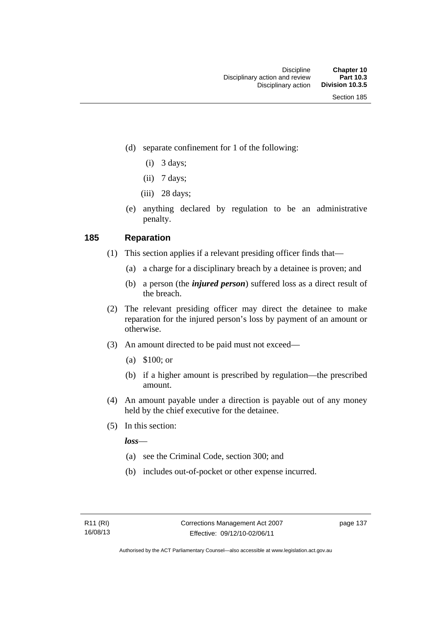- (d) separate confinement for 1 of the following:
	- $(i)$  3 days;
	- $(ii)$  7 days;
	- $(iii)$  28 days;
- (e) anything declared by regulation to be an administrative penalty.

# **185 Reparation**

- (1) This section applies if a relevant presiding officer finds that—
	- (a) a charge for a disciplinary breach by a detainee is proven; and
	- (b) a person (the *injured person*) suffered loss as a direct result of the breach.
- (2) The relevant presiding officer may direct the detainee to make reparation for the injured person's loss by payment of an amount or otherwise.
- (3) An amount directed to be paid must not exceed—
	- (a) \$100; or
	- (b) if a higher amount is prescribed by regulation—the prescribed amount.
- (4) An amount payable under a direction is payable out of any money held by the chief executive for the detainee.
- (5) In this section:

*loss*—

- (a) see the Criminal Code, section 300; and
- (b) includes out-of-pocket or other expense incurred.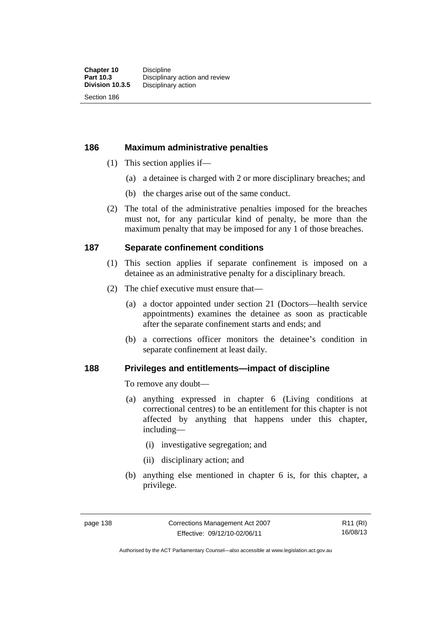Section 186

# **186 Maximum administrative penalties**

- (1) This section applies if—
	- (a) a detainee is charged with 2 or more disciplinary breaches; and
	- (b) the charges arise out of the same conduct.
- (2) The total of the administrative penalties imposed for the breaches must not, for any particular kind of penalty, be more than the maximum penalty that may be imposed for any 1 of those breaches.

# **187 Separate confinement conditions**

- (1) This section applies if separate confinement is imposed on a detainee as an administrative penalty for a disciplinary breach.
- (2) The chief executive must ensure that—
	- (a) a doctor appointed under section 21 (Doctors—health service appointments) examines the detainee as soon as practicable after the separate confinement starts and ends; and
	- (b) a corrections officer monitors the detainee's condition in separate confinement at least daily.

# **188 Privileges and entitlements—impact of discipline**

To remove any doubt—

- (a) anything expressed in chapter 6 (Living conditions at correctional centres) to be an entitlement for this chapter is not affected by anything that happens under this chapter, including—
	- (i) investigative segregation; and
	- (ii) disciplinary action; and
- (b) anything else mentioned in chapter 6 is, for this chapter, a privilege.

R11 (RI) 16/08/13

Authorised by the ACT Parliamentary Counsel—also accessible at www.legislation.act.gov.au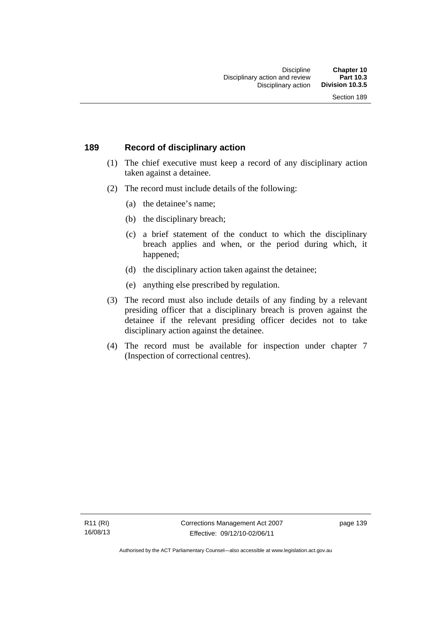# **189 Record of disciplinary action**

- (1) The chief executive must keep a record of any disciplinary action taken against a detainee.
- (2) The record must include details of the following:
	- (a) the detainee's name;
	- (b) the disciplinary breach;
	- (c) a brief statement of the conduct to which the disciplinary breach applies and when, or the period during which, it happened;
	- (d) the disciplinary action taken against the detainee;
	- (e) anything else prescribed by regulation.
- (3) The record must also include details of any finding by a relevant presiding officer that a disciplinary breach is proven against the detainee if the relevant presiding officer decides not to take disciplinary action against the detainee.
- (4) The record must be available for inspection under chapter 7 (Inspection of correctional centres).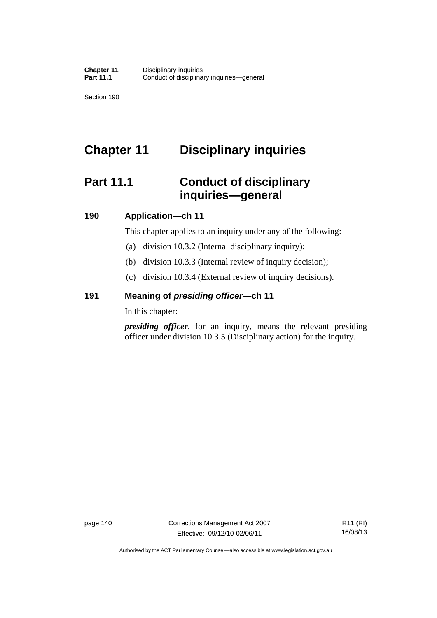Section 190

# **Chapter 11 Disciplinary inquiries**

# **Part 11.1 Conduct of disciplinary inquiries—general**

# **190 Application—ch 11**

This chapter applies to an inquiry under any of the following:

- (a) division 10.3.2 (Internal disciplinary inquiry);
- (b) division 10.3.3 (Internal review of inquiry decision);
- (c) division 10.3.4 (External review of inquiry decisions).

# **191 Meaning of** *presiding officer—***ch 11**

In this chapter:

*presiding officer*, for an inquiry, means the relevant presiding officer under division 10.3.5 (Disciplinary action) for the inquiry.

page 140 Corrections Management Act 2007 Effective: 09/12/10-02/06/11

R11 (RI) 16/08/13

Authorised by the ACT Parliamentary Counsel—also accessible at www.legislation.act.gov.au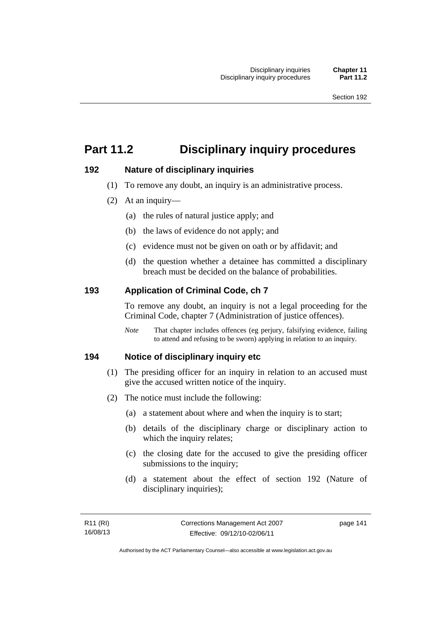# **Part 11.2 Disciplinary inquiry procedures**

# **192 Nature of disciplinary inquiries**

- (1) To remove any doubt, an inquiry is an administrative process.
- (2) At an inquiry—
	- (a) the rules of natural justice apply; and
	- (b) the laws of evidence do not apply; and
	- (c) evidence must not be given on oath or by affidavit; and
	- (d) the question whether a detainee has committed a disciplinary breach must be decided on the balance of probabilities.

# **193 Application of Criminal Code, ch 7**

To remove any doubt, an inquiry is not a legal proceeding for the Criminal Code, chapter 7 (Administration of justice offences).

*Note* That chapter includes offences (eg perjury, falsifying evidence, failing to attend and refusing to be sworn) applying in relation to an inquiry.

# **194 Notice of disciplinary inquiry etc**

- (1) The presiding officer for an inquiry in relation to an accused must give the accused written notice of the inquiry.
- (2) The notice must include the following:
	- (a) a statement about where and when the inquiry is to start;
	- (b) details of the disciplinary charge or disciplinary action to which the inquiry relates;
	- (c) the closing date for the accused to give the presiding officer submissions to the inquiry;
	- (d) a statement about the effect of section 192 (Nature of disciplinary inquiries);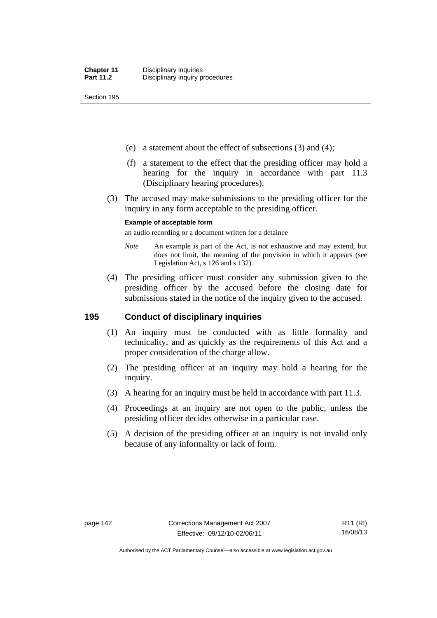Section 195

- (e) a statement about the effect of subsections (3) and (4);
- (f) a statement to the effect that the presiding officer may hold a hearing for the inquiry in accordance with part 11.3 (Disciplinary hearing procedures).
- (3) The accused may make submissions to the presiding officer for the inquiry in any form acceptable to the presiding officer.

#### **Example of acceptable form**

an audio recording or a document written for a detainee

- *Note* An example is part of the Act, is not exhaustive and may extend, but does not limit, the meaning of the provision in which it appears (see Legislation Act, s 126 and s 132).
- (4) The presiding officer must consider any submission given to the presiding officer by the accused before the closing date for submissions stated in the notice of the inquiry given to the accused.

# **195 Conduct of disciplinary inquiries**

- (1) An inquiry must be conducted with as little formality and technicality, and as quickly as the requirements of this Act and a proper consideration of the charge allow.
- (2) The presiding officer at an inquiry may hold a hearing for the inquiry.
- (3) A hearing for an inquiry must be held in accordance with part 11.3.
- (4) Proceedings at an inquiry are not open to the public, unless the presiding officer decides otherwise in a particular case.
- (5) A decision of the presiding officer at an inquiry is not invalid only because of any informality or lack of form.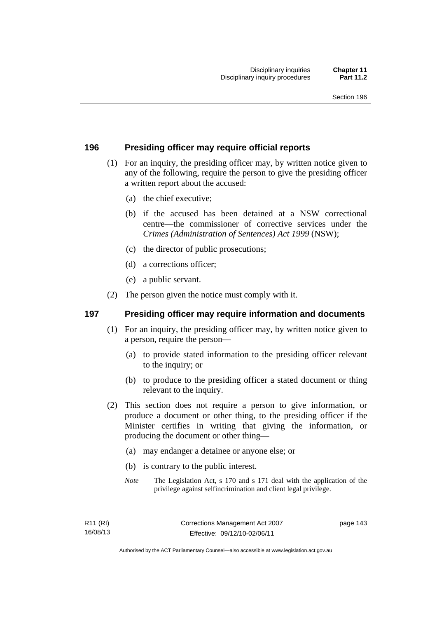# **196 Presiding officer may require official reports**

- (1) For an inquiry, the presiding officer may, by written notice given to any of the following, require the person to give the presiding officer a written report about the accused:
	- (a) the chief executive;
	- (b) if the accused has been detained at a NSW correctional centre—the commissioner of corrective services under the *Crimes (Administration of Sentences) Act 1999* (NSW);
	- (c) the director of public prosecutions;
	- (d) a corrections officer;
	- (e) a public servant.
- (2) The person given the notice must comply with it.

# **197 Presiding officer may require information and documents**

- (1) For an inquiry, the presiding officer may, by written notice given to a person, require the person—
	- (a) to provide stated information to the presiding officer relevant to the inquiry; or
	- (b) to produce to the presiding officer a stated document or thing relevant to the inquiry.
- (2) This section does not require a person to give information, or produce a document or other thing, to the presiding officer if the Minister certifies in writing that giving the information, or producing the document or other thing—
	- (a) may endanger a detainee or anyone else; or
	- (b) is contrary to the public interest.
	- *Note* The Legislation Act, s 170 and s 171 deal with the application of the privilege against selfincrimination and client legal privilege.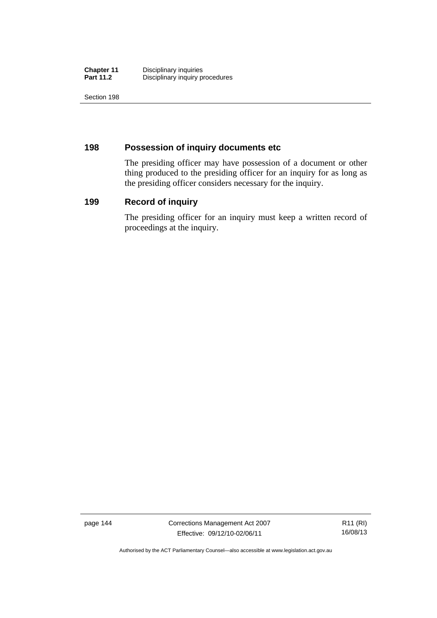| <b>Chapter 11</b> | Disciplinary inquiries          |
|-------------------|---------------------------------|
| <b>Part 11.2</b>  | Disciplinary inquiry procedures |

Section 198

# **198 Possession of inquiry documents etc**

The presiding officer may have possession of a document or other thing produced to the presiding officer for an inquiry for as long as the presiding officer considers necessary for the inquiry.

# **199 Record of inquiry**

The presiding officer for an inquiry must keep a written record of proceedings at the inquiry.

page 144 Corrections Management Act 2007 Effective: 09/12/10-02/06/11

R11 (RI) 16/08/13

Authorised by the ACT Parliamentary Counsel—also accessible at www.legislation.act.gov.au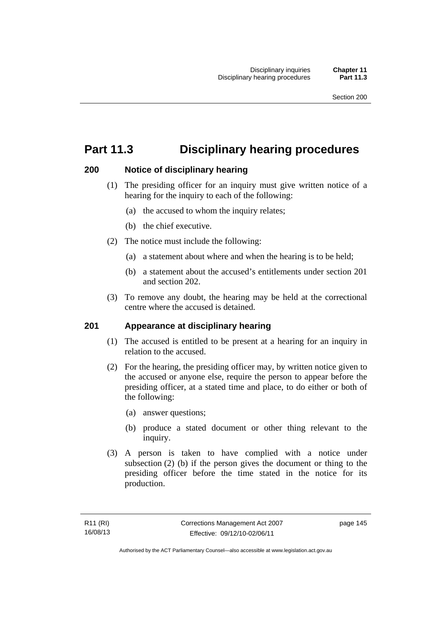# **Part 11.3 Disciplinary hearing procedures**

# **200 Notice of disciplinary hearing**

- (1) The presiding officer for an inquiry must give written notice of a hearing for the inquiry to each of the following:
	- (a) the accused to whom the inquiry relates;
	- (b) the chief executive.
- (2) The notice must include the following:
	- (a) a statement about where and when the hearing is to be held;
	- (b) a statement about the accused's entitlements under section 201 and section 202.
- (3) To remove any doubt, the hearing may be held at the correctional centre where the accused is detained.

# **201 Appearance at disciplinary hearing**

- (1) The accused is entitled to be present at a hearing for an inquiry in relation to the accused.
- (2) For the hearing, the presiding officer may, by written notice given to the accused or anyone else, require the person to appear before the presiding officer, at a stated time and place, to do either or both of the following:
	- (a) answer questions;
	- (b) produce a stated document or other thing relevant to the inquiry.
- (3) A person is taken to have complied with a notice under subsection (2) (b) if the person gives the document or thing to the presiding officer before the time stated in the notice for its production.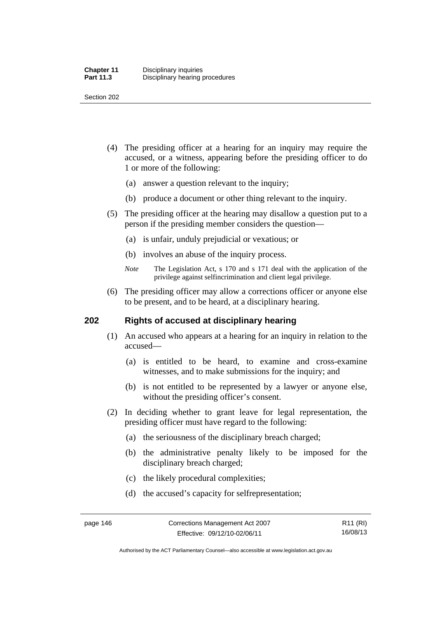Section 202

- (4) The presiding officer at a hearing for an inquiry may require the accused, or a witness, appearing before the presiding officer to do 1 or more of the following:
	- (a) answer a question relevant to the inquiry;
	- (b) produce a document or other thing relevant to the inquiry.
- (5) The presiding officer at the hearing may disallow a question put to a person if the presiding member considers the question—
	- (a) is unfair, unduly prejudicial or vexatious; or
	- (b) involves an abuse of the inquiry process.
	- *Note* The Legislation Act, s 170 and s 171 deal with the application of the privilege against selfincrimination and client legal privilege.
- (6) The presiding officer may allow a corrections officer or anyone else to be present, and to be heard, at a disciplinary hearing.

# **202 Rights of accused at disciplinary hearing**

- (1) An accused who appears at a hearing for an inquiry in relation to the accused—
	- (a) is entitled to be heard, to examine and cross-examine witnesses, and to make submissions for the inquiry; and
	- (b) is not entitled to be represented by a lawyer or anyone else, without the presiding officer's consent.
- (2) In deciding whether to grant leave for legal representation, the presiding officer must have regard to the following:
	- (a) the seriousness of the disciplinary breach charged;
	- (b) the administrative penalty likely to be imposed for the disciplinary breach charged;
	- (c) the likely procedural complexities;
	- (d) the accused's capacity for selfrepresentation;

Authorised by the ACT Parliamentary Counsel—also accessible at www.legislation.act.gov.au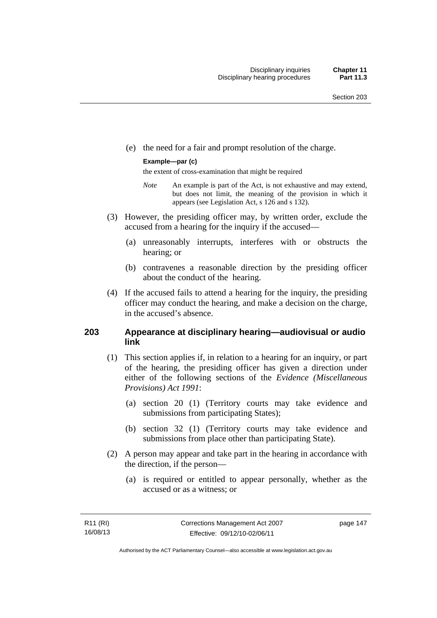(e) the need for a fair and prompt resolution of the charge.

#### **Example—par (c)**

the extent of cross-examination that might be required

- *Note* An example is part of the Act, is not exhaustive and may extend, but does not limit, the meaning of the provision in which it appears (see Legislation Act, s 126 and s 132).
- (3) However, the presiding officer may, by written order, exclude the accused from a hearing for the inquiry if the accused—
	- (a) unreasonably interrupts, interferes with or obstructs the hearing; or
	- (b) contravenes a reasonable direction by the presiding officer about the conduct of the hearing.
- (4) If the accused fails to attend a hearing for the inquiry, the presiding officer may conduct the hearing, and make a decision on the charge, in the accused's absence.

# **203 Appearance at disciplinary hearing—audiovisual or audio link**

- (1) This section applies if, in relation to a hearing for an inquiry, or part of the hearing, the presiding officer has given a direction under either of the following sections of the *Evidence (Miscellaneous Provisions) Act 1991*:
	- (a) section 20 (1) (Territory courts may take evidence and submissions from participating States);
	- (b) section 32 (1) (Territory courts may take evidence and submissions from place other than participating State).
- (2) A person may appear and take part in the hearing in accordance with the direction, if the person—
	- (a) is required or entitled to appear personally, whether as the accused or as a witness; or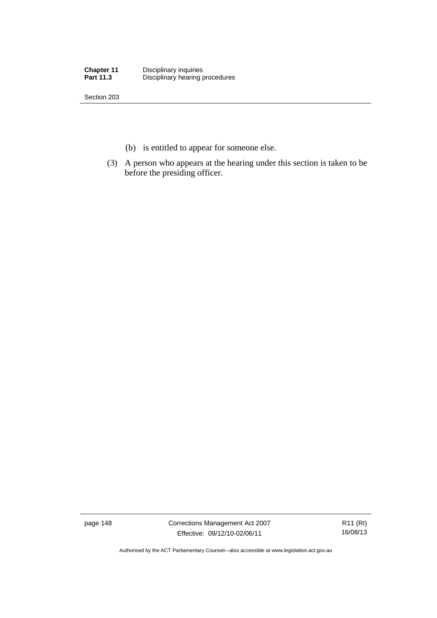| <b>Chapter 11</b> | Disciplinary inquiries          |
|-------------------|---------------------------------|
| <b>Part 11.3</b>  | Disciplinary hearing procedures |

Section 203

- (b) is entitled to appear for someone else.
- (3) A person who appears at the hearing under this section is taken to be before the presiding officer.

page 148 Corrections Management Act 2007 Effective: 09/12/10-02/06/11

R11 (RI) 16/08/13

Authorised by the ACT Parliamentary Counsel—also accessible at www.legislation.act.gov.au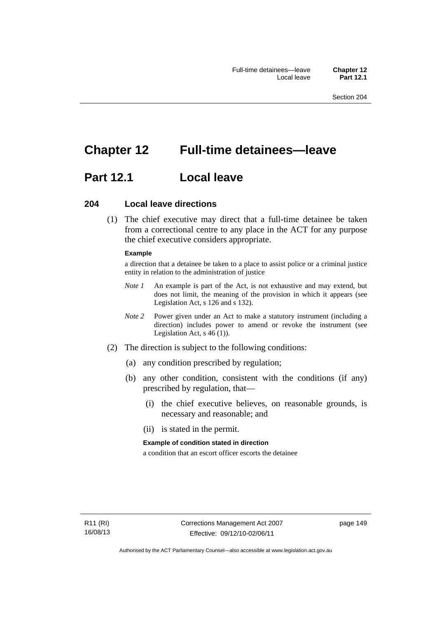# **Chapter 12 Full-time detainees—leave**

# **Part 12.1 Local leave**

## **204 Local leave directions**

 (1) The chief executive may direct that a full-time detainee be taken from a correctional centre to any place in the ACT for any purpose the chief executive considers appropriate.

#### **Example**

a direction that a detainee be taken to a place to assist police or a criminal justice entity in relation to the administration of justice

- *Note 1* An example is part of the Act, is not exhaustive and may extend, but does not limit, the meaning of the provision in which it appears (see Legislation Act, s 126 and s 132).
- *Note 2* Power given under an Act to make a statutory instrument (including a direction) includes power to amend or revoke the instrument (see Legislation Act, s 46 (1)).
- (2) The direction is subject to the following conditions:
	- (a) any condition prescribed by regulation;
	- (b) any other condition, consistent with the conditions (if any) prescribed by regulation, that—
		- (i) the chief executive believes, on reasonable grounds, is necessary and reasonable; and
		- (ii) is stated in the permit.

#### **Example of condition stated in direction**

a condition that an escort officer escorts the detainee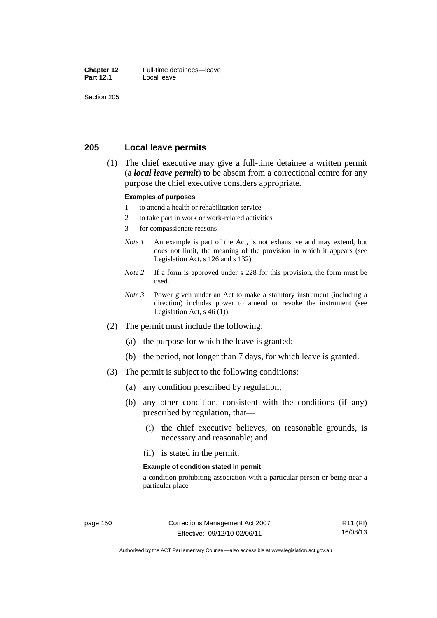#### **Chapter 12** Full-time detainees—leave<br>**Part 12.1** Local leave **Local leave**

Section 205

# **205 Local leave permits**

 (1) The chief executive may give a full-time detainee a written permit (a *local leave permit*) to be absent from a correctional centre for any purpose the chief executive considers appropriate.

#### **Examples of purposes**

- 1 to attend a health or rehabilitation service
- 2 to take part in work or work-related activities
- 3 for compassionate reasons
- *Note 1* An example is part of the Act, is not exhaustive and may extend, but does not limit, the meaning of the provision in which it appears (see Legislation Act, s 126 and s 132).
- *Note* 2 If a form is approved under s 228 for this provision, the form must be used.
- *Note 3* Power given under an Act to make a statutory instrument (including a direction) includes power to amend or revoke the instrument (see Legislation Act,  $s$  46 (1)).
- (2) The permit must include the following:
	- (a) the purpose for which the leave is granted;
	- (b) the period, not longer than 7 days, for which leave is granted.
- (3) The permit is subject to the following conditions:
	- (a) any condition prescribed by regulation;
	- (b) any other condition, consistent with the conditions (if any) prescribed by regulation, that—
		- (i) the chief executive believes, on reasonable grounds, is necessary and reasonable; and
		- (ii) is stated in the permit.

#### **Example of condition stated in permit**

a condition prohibiting association with a particular person or being near a particular place

R11 (RI) 16/08/13

Authorised by the ACT Parliamentary Counsel—also accessible at www.legislation.act.gov.au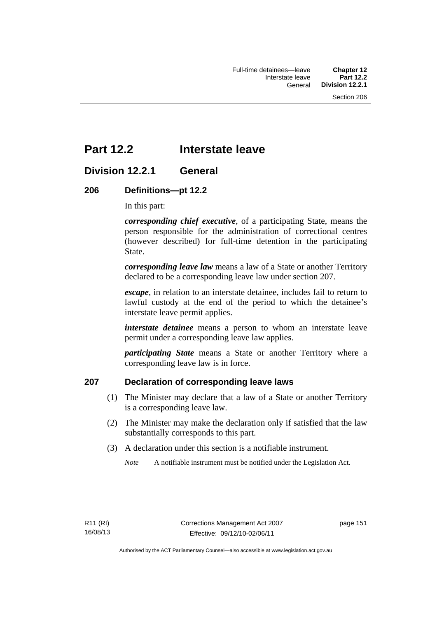# **Part 12.2 Interstate leave**

# **Division 12.2.1 General**

# **206 Definitions—pt 12.2**

In this part:

*corresponding chief executive*, of a participating State, means the person responsible for the administration of correctional centres (however described) for full-time detention in the participating State.

*corresponding leave law* means a law of a State or another Territory declared to be a corresponding leave law under section 207.

*escape*, in relation to an interstate detainee, includes fail to return to lawful custody at the end of the period to which the detainee's interstate leave permit applies.

*interstate detainee* means a person to whom an interstate leave permit under a corresponding leave law applies.

*participating State* means a State or another Territory where a corresponding leave law is in force.

# **207 Declaration of corresponding leave laws**

- (1) The Minister may declare that a law of a State or another Territory is a corresponding leave law.
- (2) The Minister may make the declaration only if satisfied that the law substantially corresponds to this part.
- (3) A declaration under this section is a notifiable instrument.

*Note* A notifiable instrument must be notified under the Legislation Act.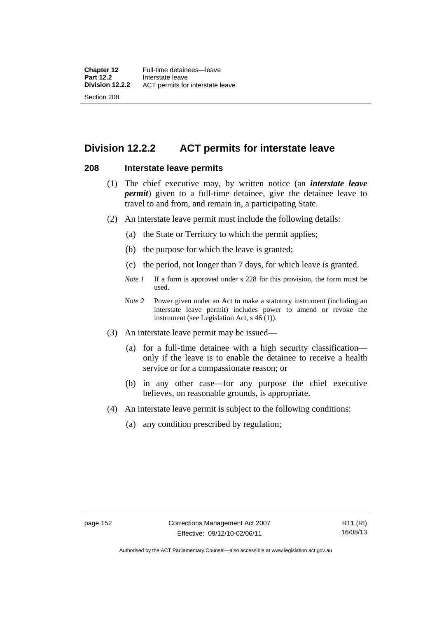# **Division 12.2.2 ACT permits for interstate leave**

## **208 Interstate leave permits**

- (1) The chief executive may, by written notice (an *interstate leave permit*) given to a full-time detainee, give the detainee leave to travel to and from, and remain in, a participating State.
- (2) An interstate leave permit must include the following details:
	- (a) the State or Territory to which the permit applies;
	- (b) the purpose for which the leave is granted;
	- (c) the period, not longer than 7 days, for which leave is granted.
	- *Note 1* If a form is approved under s 228 for this provision, the form must be used.
	- *Note 2* Power given under an Act to make a statutory instrument (including an interstate leave permit) includes power to amend or revoke the instrument (see Legislation Act, s 46 (1)).
- (3) An interstate leave permit may be issued—
	- (a) for a full-time detainee with a high security classification only if the leave is to enable the detainee to receive a health service or for a compassionate reason; or
	- (b) in any other case—for any purpose the chief executive believes, on reasonable grounds, is appropriate.
- (4) An interstate leave permit is subject to the following conditions:
	- (a) any condition prescribed by regulation;

Authorised by the ACT Parliamentary Counsel—also accessible at www.legislation.act.gov.au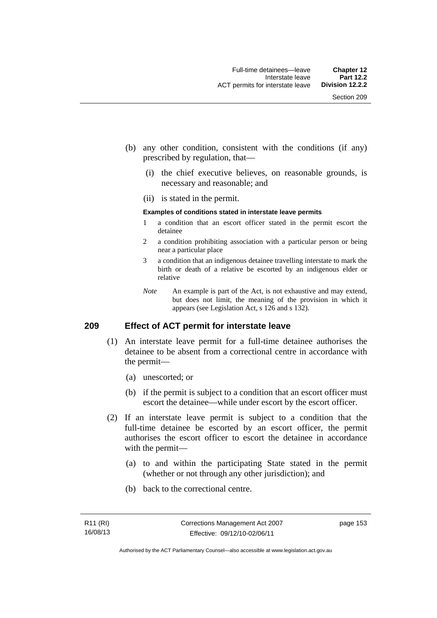- (b) any other condition, consistent with the conditions (if any) prescribed by regulation, that—
	- (i) the chief executive believes, on reasonable grounds, is necessary and reasonable; and
	- (ii) is stated in the permit.

#### **Examples of conditions stated in interstate leave permits**

- 1 a condition that an escort officer stated in the permit escort the detainee
- 2 a condition prohibiting association with a particular person or being near a particular place
- 3 a condition that an indigenous detainee travelling interstate to mark the birth or death of a relative be escorted by an indigenous elder or relative
- *Note* An example is part of the Act, is not exhaustive and may extend, but does not limit, the meaning of the provision in which it appears (see Legislation Act, s 126 and s 132).

# **209 Effect of ACT permit for interstate leave**

- (1) An interstate leave permit for a full-time detainee authorises the detainee to be absent from a correctional centre in accordance with the permit—
	- (a) unescorted; or
	- (b) if the permit is subject to a condition that an escort officer must escort the detainee—while under escort by the escort officer.
- (2) If an interstate leave permit is subject to a condition that the full-time detainee be escorted by an escort officer, the permit authorises the escort officer to escort the detainee in accordance with the permit—
	- (a) to and within the participating State stated in the permit (whether or not through any other jurisdiction); and
	- (b) back to the correctional centre.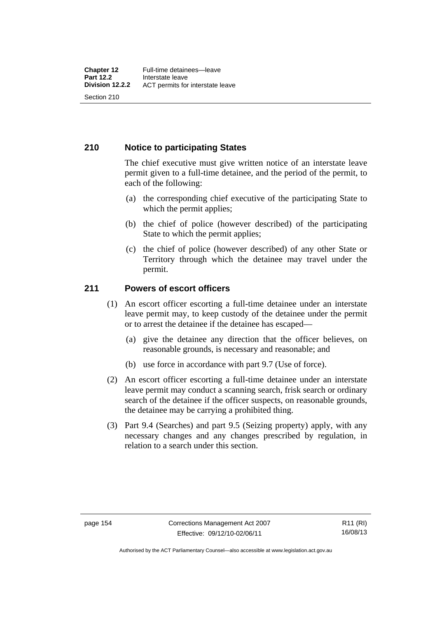# **210 Notice to participating States**

The chief executive must give written notice of an interstate leave permit given to a full-time detainee, and the period of the permit, to each of the following:

- (a) the corresponding chief executive of the participating State to which the permit applies;
- (b) the chief of police (however described) of the participating State to which the permit applies;
- (c) the chief of police (however described) of any other State or Territory through which the detainee may travel under the permit.

# **211 Powers of escort officers**

- (1) An escort officer escorting a full-time detainee under an interstate leave permit may, to keep custody of the detainee under the permit or to arrest the detainee if the detainee has escaped—
	- (a) give the detainee any direction that the officer believes, on reasonable grounds, is necessary and reasonable; and
	- (b) use force in accordance with part 9.7 (Use of force).
- (2) An escort officer escorting a full-time detainee under an interstate leave permit may conduct a scanning search, frisk search or ordinary search of the detainee if the officer suspects, on reasonable grounds, the detainee may be carrying a prohibited thing.
- (3) Part 9.4 (Searches) and part 9.5 (Seizing property) apply, with any necessary changes and any changes prescribed by regulation, in relation to a search under this section.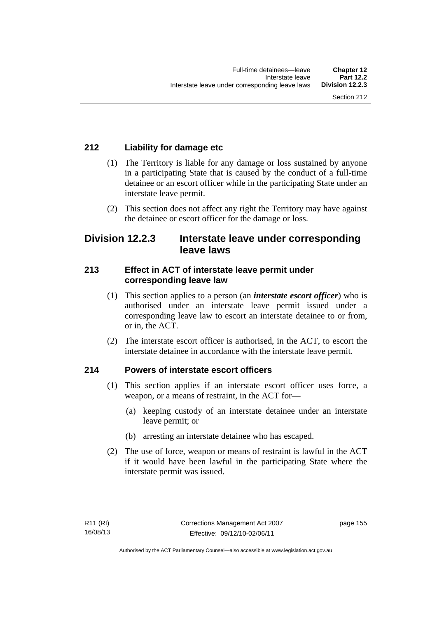# **212 Liability for damage etc**

- (1) The Territory is liable for any damage or loss sustained by anyone in a participating State that is caused by the conduct of a full-time detainee or an escort officer while in the participating State under an interstate leave permit.
- (2) This section does not affect any right the Territory may have against the detainee or escort officer for the damage or loss.

# **Division 12.2.3 Interstate leave under corresponding leave laws**

# **213 Effect in ACT of interstate leave permit under corresponding leave law**

- (1) This section applies to a person (an *interstate escort officer*) who is authorised under an interstate leave permit issued under a corresponding leave law to escort an interstate detainee to or from, or in, the ACT.
- (2) The interstate escort officer is authorised, in the ACT, to escort the interstate detainee in accordance with the interstate leave permit.

# **214 Powers of interstate escort officers**

- (1) This section applies if an interstate escort officer uses force, a weapon, or a means of restraint, in the ACT for—
	- (a) keeping custody of an interstate detainee under an interstate leave permit; or
	- (b) arresting an interstate detainee who has escaped.
- (2) The use of force, weapon or means of restraint is lawful in the ACT if it would have been lawful in the participating State where the interstate permit was issued.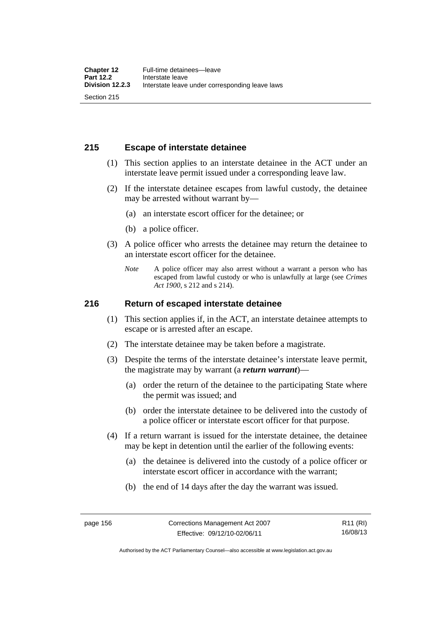# **215 Escape of interstate detainee**

- (1) This section applies to an interstate detainee in the ACT under an interstate leave permit issued under a corresponding leave law.
- (2) If the interstate detainee escapes from lawful custody, the detainee may be arrested without warrant by—
	- (a) an interstate escort officer for the detainee; or
	- (b) a police officer.
- (3) A police officer who arrests the detainee may return the detainee to an interstate escort officer for the detainee.
	- *Note* A police officer may also arrest without a warrant a person who has escaped from lawful custody or who is unlawfully at large (see *Crimes Act 1900*, s 212 and s 214).

## **216 Return of escaped interstate detainee**

- (1) This section applies if, in the ACT, an interstate detainee attempts to escape or is arrested after an escape.
- (2) The interstate detainee may be taken before a magistrate.
- (3) Despite the terms of the interstate detainee's interstate leave permit, the magistrate may by warrant (a *return warrant*)—
	- (a) order the return of the detainee to the participating State where the permit was issued; and
	- (b) order the interstate detainee to be delivered into the custody of a police officer or interstate escort officer for that purpose.
- (4) If a return warrant is issued for the interstate detainee, the detainee may be kept in detention until the earlier of the following events:
	- (a) the detainee is delivered into the custody of a police officer or interstate escort officer in accordance with the warrant;
	- (b) the end of 14 days after the day the warrant was issued.

Authorised by the ACT Parliamentary Counsel—also accessible at www.legislation.act.gov.au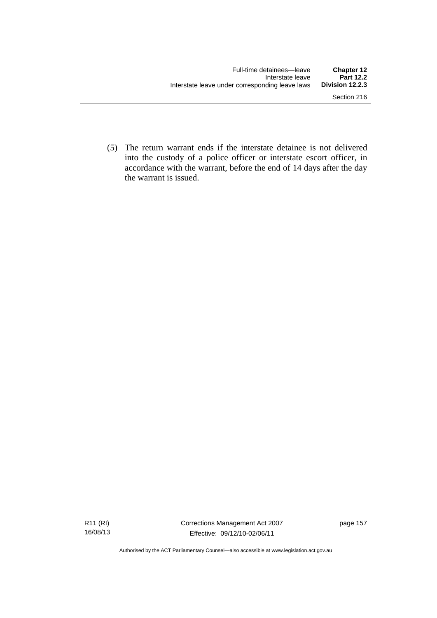(5) The return warrant ends if the interstate detainee is not delivered into the custody of a police officer or interstate escort officer, in accordance with the warrant, before the end of 14 days after the day the warrant is issued.

Authorised by the ACT Parliamentary Counsel—also accessible at www.legislation.act.gov.au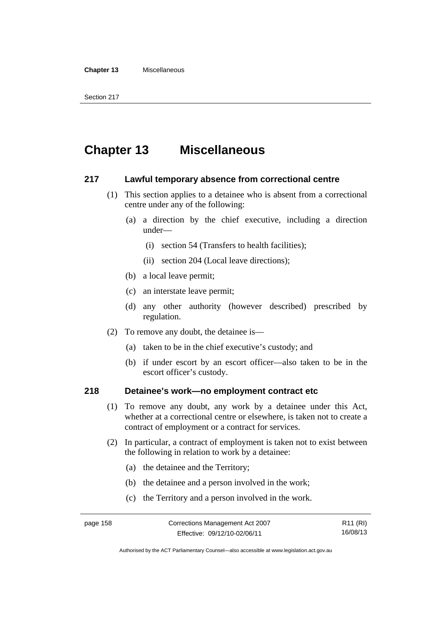#### **Chapter 13** Miscellaneous

# **Chapter 13 Miscellaneous**

## **217 Lawful temporary absence from correctional centre**

- (1) This section applies to a detainee who is absent from a correctional centre under any of the following:
	- (a) a direction by the chief executive, including a direction under—
		- (i) section 54 (Transfers to health facilities);
		- (ii) section 204 (Local leave directions);
	- (b) a local leave permit;
	- (c) an interstate leave permit;
	- (d) any other authority (however described) prescribed by regulation.
- (2) To remove any doubt, the detainee is—
	- (a) taken to be in the chief executive's custody; and
	- (b) if under escort by an escort officer—also taken to be in the escort officer's custody.

# **218 Detainee's work—no employment contract etc**

- (1) To remove any doubt, any work by a detainee under this Act, whether at a correctional centre or elsewhere, is taken not to create a contract of employment or a contract for services.
- (2) In particular, a contract of employment is taken not to exist between the following in relation to work by a detainee:
	- (a) the detainee and the Territory;
	- (b) the detainee and a person involved in the work;
	- (c) the Territory and a person involved in the work.

```
R11 (RI)
16/08/13
```
Authorised by the ACT Parliamentary Counsel—also accessible at www.legislation.act.gov.au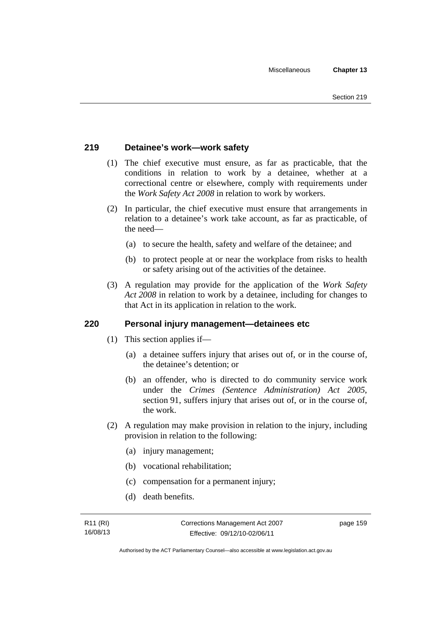# **219 Detainee's work—work safety**

- (1) The chief executive must ensure, as far as practicable, that the conditions in relation to work by a detainee, whether at a correctional centre or elsewhere, comply with requirements under the *Work Safety Act 2008* in relation to work by workers.
- (2) In particular, the chief executive must ensure that arrangements in relation to a detainee's work take account, as far as practicable, of the need—
	- (a) to secure the health, safety and welfare of the detainee; and
	- (b) to protect people at or near the workplace from risks to health or safety arising out of the activities of the detainee.
- (3) A regulation may provide for the application of the *Work Safety Act 2008* in relation to work by a detainee, including for changes to that Act in its application in relation to the work.

# **220 Personal injury management—detainees etc**

- (1) This section applies if—
	- (a) a detainee suffers injury that arises out of, or in the course of, the detainee's detention; or
	- (b) an offender, who is directed to do community service work under the *Crimes (Sentence Administration) Act 2005*, section 91, suffers injury that arises out of, or in the course of, the work.
- (2) A regulation may make provision in relation to the injury, including provision in relation to the following:
	- (a) injury management;
	- (b) vocational rehabilitation;
	- (c) compensation for a permanent injury;
	- (d) death benefits.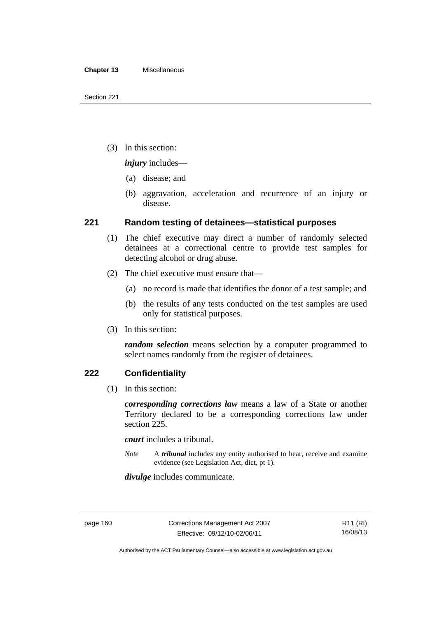(3) In this section:

*injury* includes—

- (a) disease; and
- (b) aggravation, acceleration and recurrence of an injury or disease.

# **221 Random testing of detainees—statistical purposes**

- (1) The chief executive may direct a number of randomly selected detainees at a correctional centre to provide test samples for detecting alcohol or drug abuse.
- (2) The chief executive must ensure that—
	- (a) no record is made that identifies the donor of a test sample; and
	- (b) the results of any tests conducted on the test samples are used only for statistical purposes.
- (3) In this section:

*random selection* means selection by a computer programmed to select names randomly from the register of detainees.

# **222 Confidentiality**

(1) In this section:

*corresponding corrections law* means a law of a State or another Territory declared to be a corresponding corrections law under section 225.

*court* includes a tribunal.

*Note* A *tribunal* includes any entity authorised to hear, receive and examine evidence (see Legislation Act, dict, pt 1).

*divulge* includes communicate.

Authorised by the ACT Parliamentary Counsel—also accessible at www.legislation.act.gov.au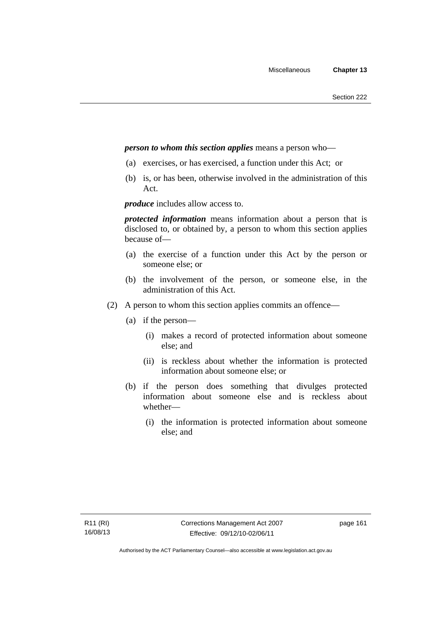## *person to whom this section applies* means a person who—

- (a) exercises, or has exercised, a function under this Act; or
- (b) is, or has been, otherwise involved in the administration of this Act.

*produce* includes allow access to.

*protected information* means information about a person that is disclosed to, or obtained by, a person to whom this section applies because of—

- (a) the exercise of a function under this Act by the person or someone else; or
- (b) the involvement of the person, or someone else, in the administration of this Act.
- (2) A person to whom this section applies commits an offence—
	- (a) if the person—
		- (i) makes a record of protected information about someone else; and
		- (ii) is reckless about whether the information is protected information about someone else; or
	- (b) if the person does something that divulges protected information about someone else and is reckless about whether—
		- (i) the information is protected information about someone else; and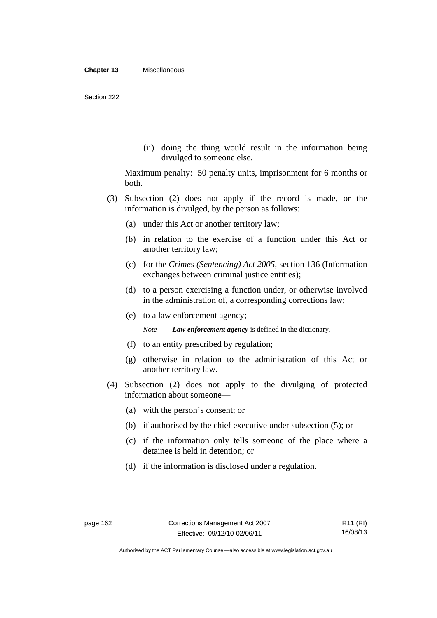(ii) doing the thing would result in the information being divulged to someone else.

Maximum penalty: 50 penalty units, imprisonment for 6 months or both.

- (3) Subsection (2) does not apply if the record is made, or the information is divulged, by the person as follows:
	- (a) under this Act or another territory law;
	- (b) in relation to the exercise of a function under this Act or another territory law;
	- (c) for the *Crimes (Sentencing) Act 2005*, section 136 (Information exchanges between criminal justice entities);
	- (d) to a person exercising a function under, or otherwise involved in the administration of, a corresponding corrections law;
	- (e) to a law enforcement agency;

*Note Law enforcement agency* is defined in the dictionary.

- (f) to an entity prescribed by regulation;
- (g) otherwise in relation to the administration of this Act or another territory law.
- (4) Subsection (2) does not apply to the divulging of protected information about someone—
	- (a) with the person's consent; or
	- (b) if authorised by the chief executive under subsection (5); or
	- (c) if the information only tells someone of the place where a detainee is held in detention; or
	- (d) if the information is disclosed under a regulation.

Authorised by the ACT Parliamentary Counsel—also accessible at www.legislation.act.gov.au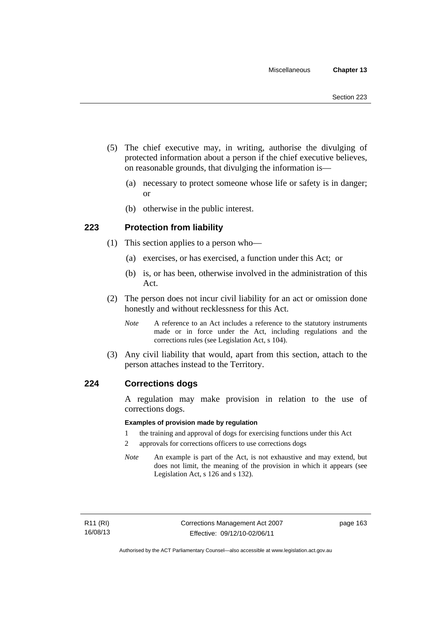- (5) The chief executive may, in writing, authorise the divulging of protected information about a person if the chief executive believes, on reasonable grounds, that divulging the information is—
	- (a) necessary to protect someone whose life or safety is in danger; or
	- (b) otherwise in the public interest.

# **223 Protection from liability**

- (1) This section applies to a person who—
	- (a) exercises, or has exercised, a function under this Act; or
	- (b) is, or has been, otherwise involved in the administration of this Act.
- (2) The person does not incur civil liability for an act or omission done honestly and without recklessness for this Act.
	- *Note* A reference to an Act includes a reference to the statutory instruments made or in force under the Act, including regulations and the corrections rules (see Legislation Act, s 104).
- (3) Any civil liability that would, apart from this section, attach to the person attaches instead to the Territory.

## **224 Corrections dogs**

A regulation may make provision in relation to the use of corrections dogs.

#### **Examples of provision made by regulation**

- 1 the training and approval of dogs for exercising functions under this Act
- 2 approvals for corrections officers to use corrections dogs
- *Note* An example is part of the Act, is not exhaustive and may extend, but does not limit, the meaning of the provision in which it appears (see Legislation Act, s 126 and s 132).

page 163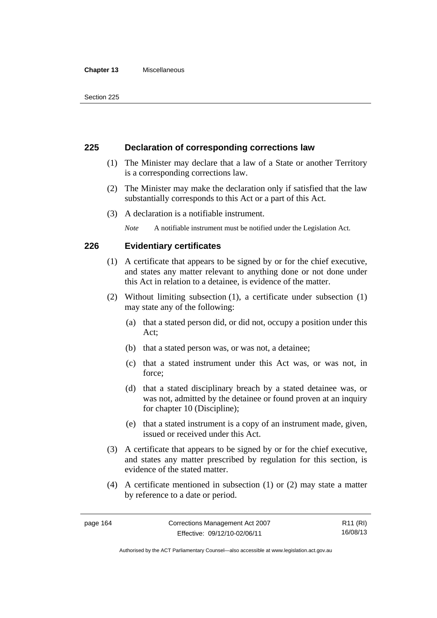#### **Chapter 13** Miscellaneous

# **225 Declaration of corresponding corrections law**

- (1) The Minister may declare that a law of a State or another Territory is a corresponding corrections law.
- (2) The Minister may make the declaration only if satisfied that the law substantially corresponds to this Act or a part of this Act.
- (3) A declaration is a notifiable instrument.

*Note* A notifiable instrument must be notified under the Legislation Act.

# **226 Evidentiary certificates**

- (1) A certificate that appears to be signed by or for the chief executive, and states any matter relevant to anything done or not done under this Act in relation to a detainee, is evidence of the matter.
- (2) Without limiting subsection (1), a certificate under subsection (1) may state any of the following:
	- (a) that a stated person did, or did not, occupy a position under this Act;
	- (b) that a stated person was, or was not, a detainee;
	- (c) that a stated instrument under this Act was, or was not, in force;
	- (d) that a stated disciplinary breach by a stated detainee was, or was not, admitted by the detainee or found proven at an inquiry for chapter 10 (Discipline);
	- (e) that a stated instrument is a copy of an instrument made, given, issued or received under this Act.
- (3) A certificate that appears to be signed by or for the chief executive, and states any matter prescribed by regulation for this section, is evidence of the stated matter.
- (4) A certificate mentioned in subsection (1) or (2) may state a matter by reference to a date or period.

R11 (RI) 16/08/13

Authorised by the ACT Parliamentary Counsel—also accessible at www.legislation.act.gov.au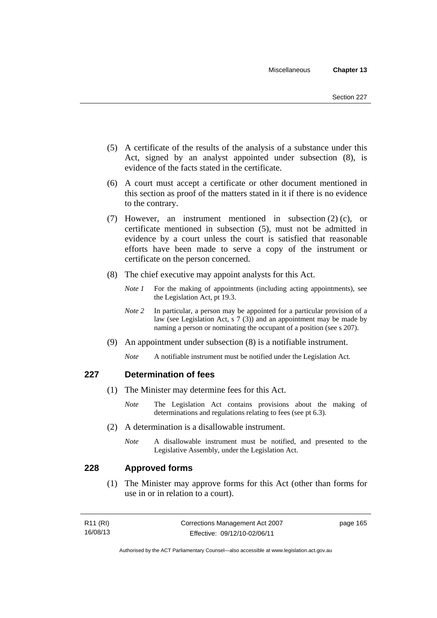- (5) A certificate of the results of the analysis of a substance under this Act, signed by an analyst appointed under subsection (8), is evidence of the facts stated in the certificate.
- (6) A court must accept a certificate or other document mentioned in this section as proof of the matters stated in it if there is no evidence to the contrary.
- (7) However, an instrument mentioned in subsection (2) (c), or certificate mentioned in subsection (5), must not be admitted in evidence by a court unless the court is satisfied that reasonable efforts have been made to serve a copy of the instrument or certificate on the person concerned.
- (8) The chief executive may appoint analysts for this Act.
	- *Note 1* For the making of appointments (including acting appointments), see the Legislation Act, pt 19.3.
	- *Note* 2 In particular, a person may be appointed for a particular provision of a law (see Legislation Act, s 7 (3)) and an appointment may be made by naming a person or nominating the occupant of a position (see s 207).
- (9) An appointment under subsection (8) is a notifiable instrument.
	- *Note* A notifiable instrument must be notified under the Legislation Act.

# **227 Determination of fees**

- (1) The Minister may determine fees for this Act.
	- *Note* The Legislation Act contains provisions about the making of determinations and regulations relating to fees (see pt 6.3).
- (2) A determination is a disallowable instrument.
	- *Note* A disallowable instrument must be notified, and presented to the Legislative Assembly, under the Legislation Act.

# **228 Approved forms**

 (1) The Minister may approve forms for this Act (other than forms for use in or in relation to a court).

| R11 (RI) | Corrections Management Act 2007 | page 165 |
|----------|---------------------------------|----------|
| 16/08/13 | Effective: 09/12/10-02/06/11    |          |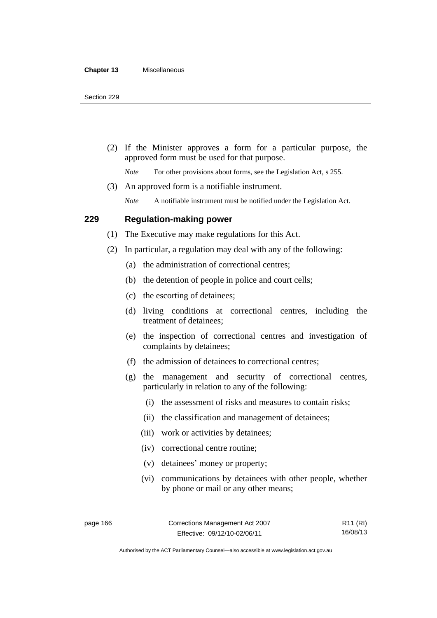(2) If the Minister approves a form for a particular purpose, the approved form must be used for that purpose.

*Note* For other provisions about forms, see the Legislation Act, s 255.

(3) An approved form is a notifiable instrument.

*Note* A notifiable instrument must be notified under the Legislation Act.

## **229 Regulation-making power**

(1) The Executive may make regulations for this Act.

- (2) In particular, a regulation may deal with any of the following:
	- (a) the administration of correctional centres;
	- (b) the detention of people in police and court cells;
	- (c) the escorting of detainees;
	- (d) living conditions at correctional centres, including the treatment of detainees;
	- (e) the inspection of correctional centres and investigation of complaints by detainees;
	- (f) the admission of detainees to correctional centres;
	- (g) the management and security of correctional centres, particularly in relation to any of the following:
		- (i) the assessment of risks and measures to contain risks;
		- (ii) the classification and management of detainees;
		- (iii) work or activities by detainees;
		- (iv) correctional centre routine;
		- (v) detainees' money or property;
		- (vi) communications by detainees with other people, whether by phone or mail or any other means;

R11 (RI) 16/08/13

Authorised by the ACT Parliamentary Counsel—also accessible at www.legislation.act.gov.au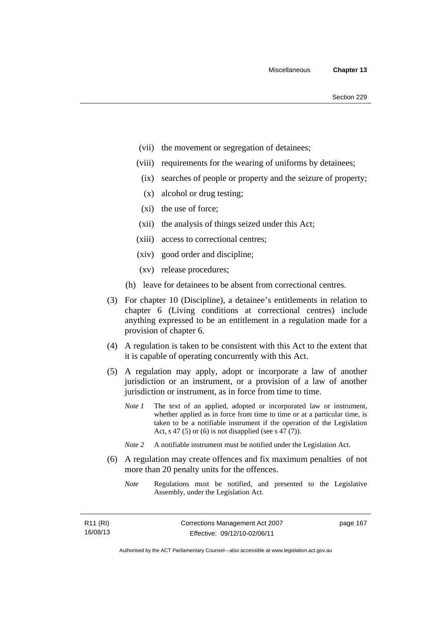- (vii) the movement or segregation of detainees;
- (viii) requirements for the wearing of uniforms by detainees;
	- (ix) searches of people or property and the seizure of property;
	- (x) alcohol or drug testing;
- (xi) the use of force;
- (xii) the analysis of things seized under this Act;
- (xiii) access to correctional centres;
- (xiv) good order and discipline;
- (xv) release procedures;
- (h) leave for detainees to be absent from correctional centres.
- (3) For chapter 10 (Discipline), a detainee's entitlements in relation to chapter 6 (Living conditions at correctional centres) include anything expressed to be an entitlement in a regulation made for a provision of chapter 6.
- (4) A regulation is taken to be consistent with this Act to the extent that it is capable of operating concurrently with this Act.
- (5) A regulation may apply, adopt or incorporate a law of another jurisdiction or an instrument, or a provision of a law of another jurisdiction or instrument, as in force from time to time.
	- *Note 1* The text of an applied, adopted or incorporated law or instrument, whether applied as in force from time to time or at a particular time, is taken to be a notifiable instrument if the operation of the Legislation Act, s 47 (5) or (6) is not disapplied (see s 47 (7)).
	- *Note 2* A notifiable instrument must be notified under the Legislation Act.
- (6) A regulation may create offences and fix maximum penalties of not more than 20 penalty units for the offences.
	- *Note* Regulations must be notified, and presented to the Legislative Assembly, under the Legislation Act.

| R11 (RI) | Corrections Management Act 2007 | page 167 |
|----------|---------------------------------|----------|
| 16/08/13 | Effective: 09/12/10-02/06/11    |          |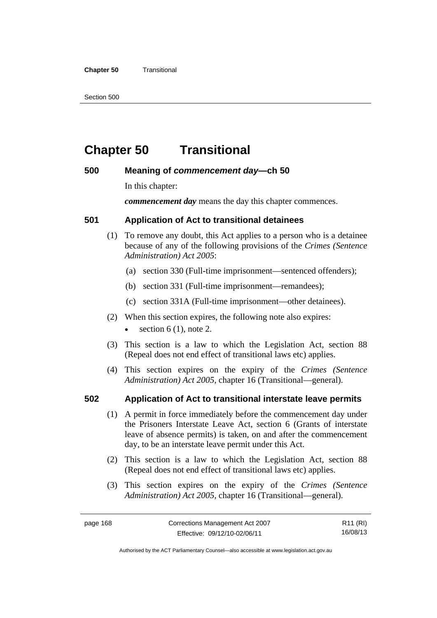#### **Chapter 50 Transitional**

Section 500

# **Chapter 50 Transitional**

# **500 Meaning of** *commencement day***—ch 50**

In this chapter:

*commencement day* means the day this chapter commences.

# **501 Application of Act to transitional detainees**

- (1) To remove any doubt, this Act applies to a person who is a detainee because of any of the following provisions of the *Crimes (Sentence Administration) Act 2005*:
	- (a) section 330 (Full-time imprisonment—sentenced offenders);
	- (b) section 331 (Full-time imprisonment—remandees);
	- (c) section 331A (Full-time imprisonment—other detainees).
- (2) When this section expires, the following note also expires:
	- section  $6(1)$ , note 2.
- (3) This section is a law to which the Legislation Act, section 88 (Repeal does not end effect of transitional laws etc) applies.
- (4) This section expires on the expiry of the *Crimes (Sentence Administration) Act 2005,* chapter 16 (Transitional—general).

# **502 Application of Act to transitional interstate leave permits**

- (1) A permit in force immediately before the commencement day under the Prisoners Interstate Leave Act, section 6 (Grants of interstate leave of absence permits) is taken, on and after the commencement day, to be an interstate leave permit under this Act.
- (2) This section is a law to which the Legislation Act, section 88 (Repeal does not end effect of transitional laws etc) applies.
- (3) This section expires on the expiry of the *Crimes (Sentence Administration) Act 2005,* chapter 16 (Transitional—general).

R11 (RI) 16/08/13

Authorised by the ACT Parliamentary Counsel—also accessible at www.legislation.act.gov.au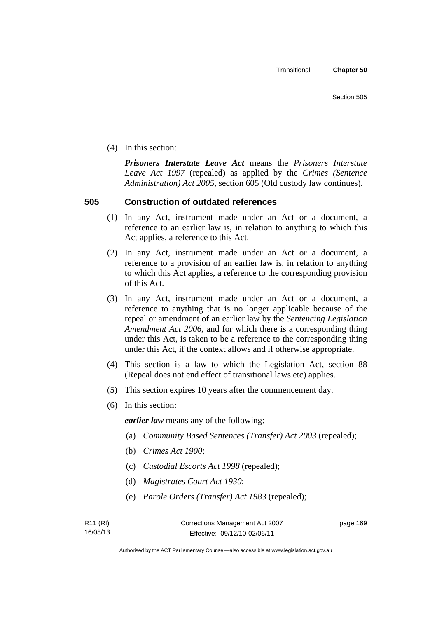(4) In this section:

*Prisoners Interstate Leave Act* means the *Prisoners Interstate Leave Act 1997* (repealed) as applied by the *Crimes (Sentence Administration) Act 2005*, section 605 (Old custody law continues).

# **505 Construction of outdated references**

- (1) In any Act, instrument made under an Act or a document, a reference to an earlier law is, in relation to anything to which this Act applies, a reference to this Act.
- (2) In any Act, instrument made under an Act or a document, a reference to a provision of an earlier law is, in relation to anything to which this Act applies, a reference to the corresponding provision of this Act.
- (3) In any Act, instrument made under an Act or a document, a reference to anything that is no longer applicable because of the repeal or amendment of an earlier law by the *Sentencing Legislation Amendment Act 2006*, and for which there is a corresponding thing under this Act, is taken to be a reference to the corresponding thing under this Act, if the context allows and if otherwise appropriate.
- (4) This section is a law to which the Legislation Act, section 88 (Repeal does not end effect of transitional laws etc) applies.
- (5) This section expires 10 years after the commencement day.
- (6) In this section:

*earlier law* means any of the following:

- (a) *Community Based Sentences (Transfer) Act 2003* (repealed);
- (b) *Crimes Act 1900*;
- (c) *Custodial Escorts Act 1998* (repealed);
- (d) *Magistrates Court Act 1930*;
- (e) *Parole Orders (Transfer) Act 1983* (repealed);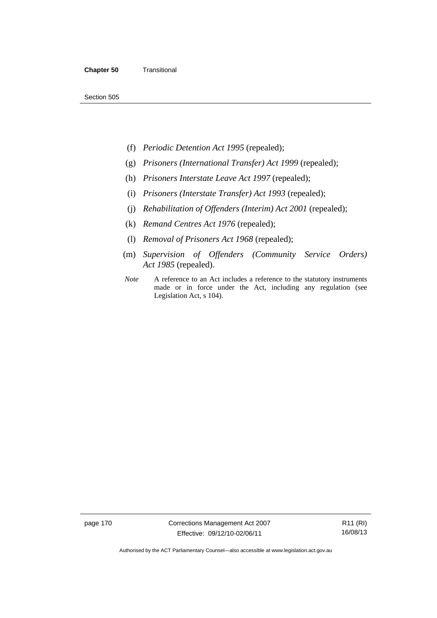Section 505

- (f) *Periodic Detention Act 1995* (repealed);
- (g) *Prisoners (International Transfer) Act 1999* (repealed);
- (h) *Prisoners Interstate Leave Act 1997* (repealed);
- (i) *Prisoners (Interstate Transfer) Act 1993* (repealed);
- (j) *Rehabilitation of Offenders (Interim) Act 2001* (repealed);
- (k) *Remand Centres Act 1976* (repealed);
- (l) *Removal of Prisoners Act 1968* (repealed);
- (m) *Supervision of Offenders (Community Service Orders) Act 1985* (repealed).
- *Note* A reference to an Act includes a reference to the statutory instruments made or in force under the Act, including any regulation (see Legislation Act, s 104).

page 170 Corrections Management Act 2007 Effective: 09/12/10-02/06/11

R11 (RI) 16/08/13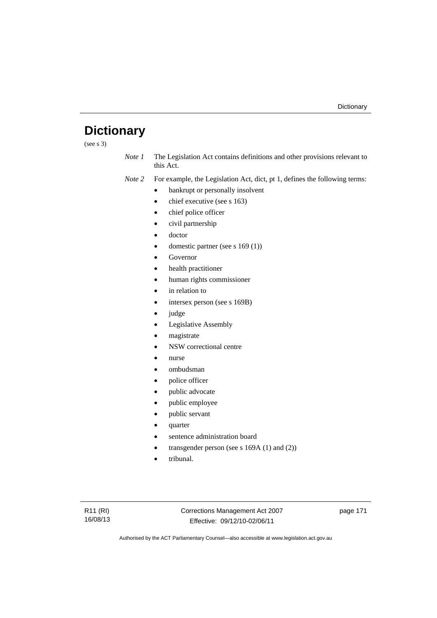# **Dictionary**

(see s 3)

*Note 1* The Legislation Act contains definitions and other provisions relevant to this Act.

*Note 2* For example, the Legislation Act, dict, pt 1, defines the following terms:

- bankrupt or personally insolvent
- chief executive (see s 163)
- chief police officer
- civil partnership
- doctor
- domestic partner (see s 169 (1))
- Governor
- health practitioner
- human rights commissioner
- in relation to
- intersex person (see s 169B)
- judge
- Legislative Assembly
- magistrate
- NSW correctional centre
- nurse
- ombudsman
- police officer
- public advocate
- public employee
- public servant
- quarter
- sentence administration board
- transgender person (see s 169A (1) and (2))
- tribunal.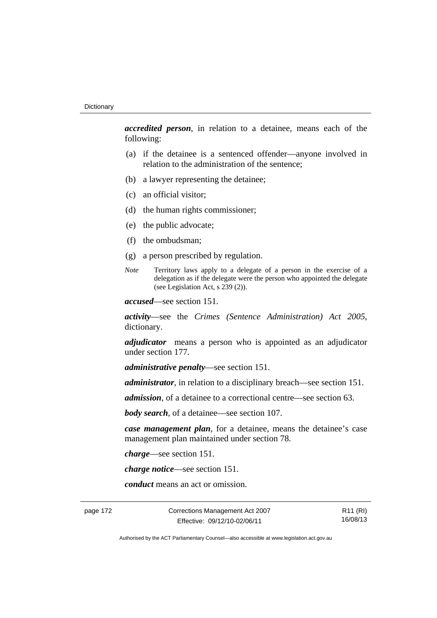*accredited person*, in relation to a detainee, means each of the following:

- (a) if the detainee is a sentenced offender—anyone involved in relation to the administration of the sentence;
- (b) a lawyer representing the detainee;
- (c) an official visitor;
- (d) the human rights commissioner;
- (e) the public advocate;
- (f) the ombudsman;
- (g) a person prescribed by regulation.
- *Note* Territory laws apply to a delegate of a person in the exercise of a delegation as if the delegate were the person who appointed the delegate (see Legislation Act, s 239 (2)).

*accused*—see section 151.

*activity*—see the *Crimes (Sentence Administration) Act 2005*, dictionary.

*adjudicator* means a person who is appointed as an adjudicator under section 177.

*administrative penalty*—see section 151.

*administrator*, in relation to a disciplinary breach—see section 151.

*admission*, of a detainee to a correctional centre—see section 63.

*body search*, of a detainee—see section 107.

*case management plan*, for a detainee, means the detainee's case management plan maintained under section 78.

*charge*—see section 151.

*charge notice*—see section 151.

*conduct* means an act or omission.

page 172 Corrections Management Act 2007 Effective: 09/12/10-02/06/11

R11 (RI) 16/08/13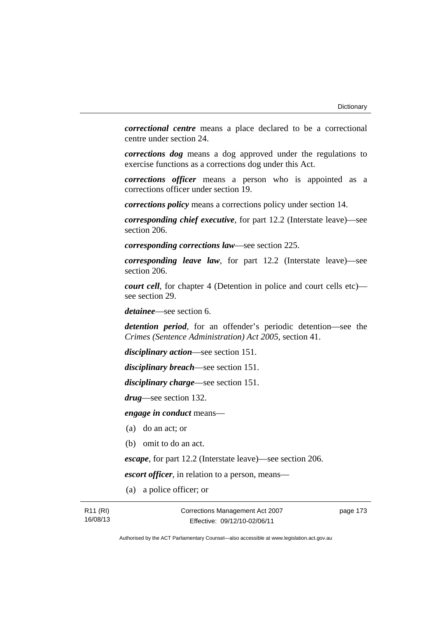*correctional centre* means a place declared to be a correctional centre under section 24.

*corrections dog* means a dog approved under the regulations to exercise functions as a corrections dog under this Act.

*corrections officer* means a person who is appointed as a corrections officer under section 19.

*corrections policy* means a corrections policy under section 14.

*corresponding chief executive*, for part 12.2 (Interstate leave)—see section 206.

*corresponding corrections law*—see section 225.

*corresponding leave law*, for part 12.2 (Interstate leave)—see section 206.

*court cell*, for chapter 4 (Detention in police and court cells etc) see section 29.

*detainee*—see section 6.

*detention period*, for an offender's periodic detention—see the *Crimes (Sentence Administration) Act 2005*, section 41.

*disciplinary action*—see section 151.

*disciplinary breach*—see section 151.

*disciplinary charge*—see section 151.

*drug*—see section 132.

*engage in conduct* means—

- (a) do an act; or
- (b) omit to do an act.

*escape*, for part 12.2 (Interstate leave)—see section 206.

*escort officer*, in relation to a person, means—

(a) a police officer; or

page 173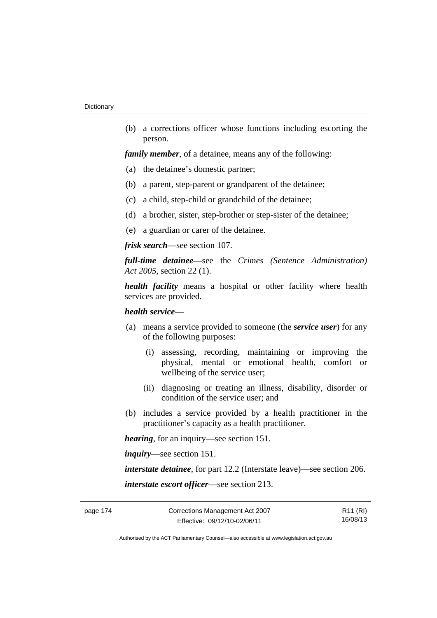(b) a corrections officer whose functions including escorting the person.

*family member*, of a detainee, means any of the following:

- (a) the detainee's domestic partner;
- (b) a parent, step-parent or grandparent of the detainee;
- (c) a child, step-child or grandchild of the detainee;
- (d) a brother, sister, step-brother or step-sister of the detainee;
- (e) a guardian or carer of the detainee.

*frisk search*—see section 107.

*full-time detainee*—see the *Crimes (Sentence Administration) Act 2005*, section 22 (1).

*health facility* means a hospital or other facility where health services are provided.

## *health service*—

- (a) means a service provided to someone (the *service user*) for any of the following purposes:
	- (i) assessing, recording, maintaining or improving the physical, mental or emotional health, comfort or wellbeing of the service user;
	- (ii) diagnosing or treating an illness, disability, disorder or condition of the service user; and
- (b) includes a service provided by a health practitioner in the practitioner's capacity as a health practitioner.

*hearing*, for an inquiry—see section 151.

*inquiry*—see section 151.

*interstate detainee*, for part 12.2 (Interstate leave)—see section 206. *interstate escort officer*—see section 213.

R11 (RI) 16/08/13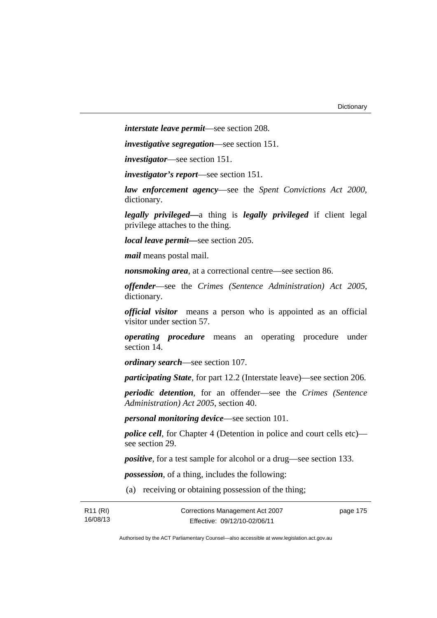*interstate leave permit*—see section 208.

*investigative segregation*—see section 151.

*investigator*—see section 151.

*investigator's report*—see section 151.

*law enforcement agency*—see the *Spent Convictions Act 2000*, dictionary.

*legally privileged—*a thing is *legally privileged* if client legal privilege attaches to the thing.

*local leave permit—*see section 205.

*mail* means postal mail.

*nonsmoking area*, at a correctional centre—see section 86.

*offender*—see the *Crimes (Sentence Administration) Act 2005*, dictionary.

*official visitor* means a person who is appointed as an official visitor under section 57.

*operating procedure* means an operating procedure under section 14.

*ordinary search*—see section 107.

*participating State*, for part 12.2 (Interstate leave)—see section 206.

*periodic detention*, for an offender—see the *Crimes (Sentence Administration) Act 2005*, section 40.

*personal monitoring device*—see section 101.

*police cell*, for Chapter 4 (Detention in police and court cells etc) see section 29.

*positive*, for a test sample for alcohol or a drug—see section 133.

*possession*, of a thing, includes the following:

(a) receiving or obtaining possession of the thing;

| R <sub>11</sub> (RI) | Corrections Management Act 2007 | page 175 |
|----------------------|---------------------------------|----------|
| 16/08/13             | Effective: 09/12/10-02/06/11    |          |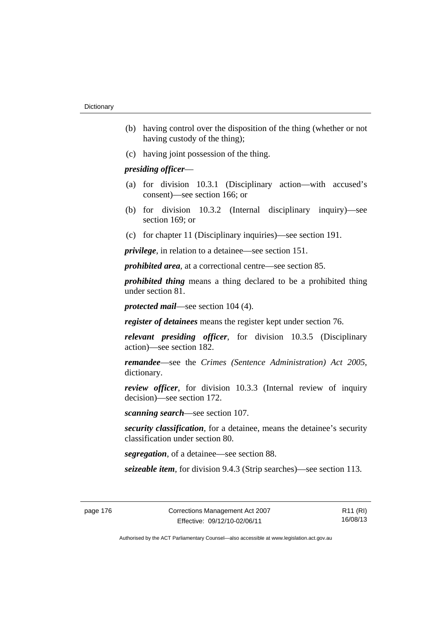- (b) having control over the disposition of the thing (whether or not having custody of the thing);
- (c) having joint possession of the thing.

## *presiding officer*—

- (a) for division 10.3.1 (Disciplinary action—with accused's consent)—see section 166; or
- (b) for division 10.3.2 (Internal disciplinary inquiry)—see section 169; or
- (c) for chapter 11 (Disciplinary inquiries)—see section 191.

*privilege*, in relation to a detainee—see section 151.

*prohibited area*, at a correctional centre—see section 85.

*prohibited thing* means a thing declared to be a prohibited thing under section 81.

*protected mail*—see section 104 (4).

*register of detainees* means the register kept under section 76.

*relevant presiding officer*, for division 10.3.5 (Disciplinary action)—see section 182.

*remandee*—see the *Crimes (Sentence Administration) Act 2005*, dictionary.

*review officer*, for division 10.3.3 (Internal review of inquiry decision)—see section 172.

*scanning search*—see section 107.

*security classification*, for a detainee, means the detainee's security classification under section 80.

*segregation*, of a detainee—see section 88.

*seizeable item*, for division 9.4.3 (Strip searches)—see section 113.

R11 (RI) 16/08/13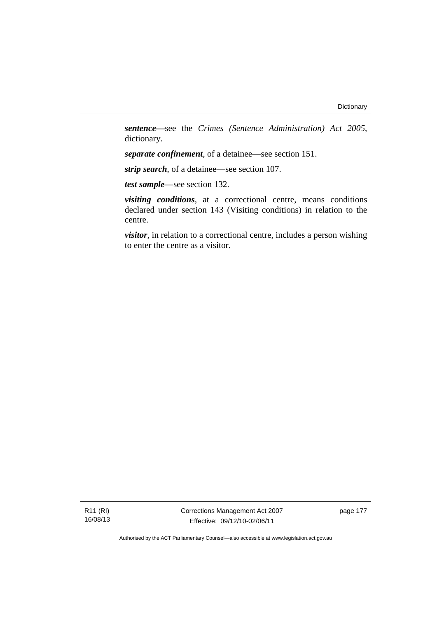*sentence—*see the *Crimes (Sentence Administration) Act 2005*, dictionary.

*separate confinement*, of a detainee—see section 151.

*strip search*, of a detainee—see section 107.

*test sample*—see section 132.

*visiting conditions*, at a correctional centre, means conditions declared under section 143 (Visiting conditions) in relation to the centre.

*visitor*, in relation to a correctional centre, includes a person wishing to enter the centre as a visitor.

R11 (RI) 16/08/13 Corrections Management Act 2007 Effective: 09/12/10-02/06/11

page 177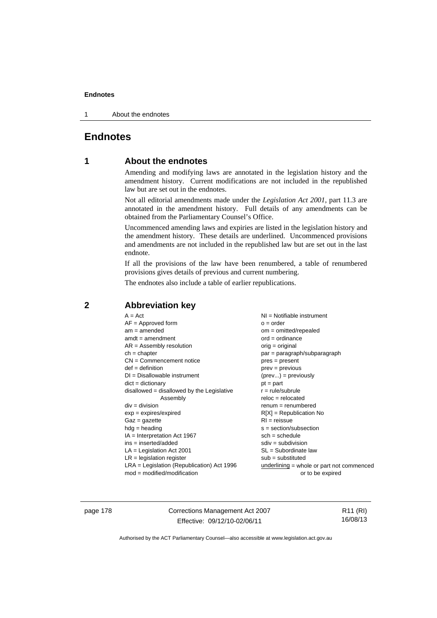1 About the endnotes

# **Endnotes**

# **1 About the endnotes**

Amending and modifying laws are annotated in the legislation history and the amendment history. Current modifications are not included in the republished law but are set out in the endnotes.

Not all editorial amendments made under the *Legislation Act 2001*, part 11.3 are annotated in the amendment history. Full details of any amendments can be obtained from the Parliamentary Counsel's Office.

Uncommenced amending laws and expiries are listed in the legislation history and the amendment history. These details are underlined. Uncommenced provisions and amendments are not included in the republished law but are set out in the last endnote.

If all the provisions of the law have been renumbered, a table of renumbered provisions gives details of previous and current numbering.

The endnotes also include a table of earlier republications.

| $A = Act$                                    | $NI = Notifiable$ instrument              |
|----------------------------------------------|-------------------------------------------|
| $AF =$ Approved form                         | $o = order$                               |
| $am = amended$                               | om = omitted/repealed                     |
| $amdt = amendment$                           | $ord = ordinance$                         |
| $AR = Assembly resolution$                   | $orig = original$                         |
| $ch = chapter$                               | par = paragraph/subparagraph              |
| $CN =$ Commencement notice                   | $pres = present$                          |
| $def = definition$                           | $prev = previous$                         |
| $DI = Disallowable instrument$               | $(\text{prev}) = \text{previously}$       |
| $dict = dictionary$                          | $pt = part$                               |
| $disallowed = disallowed by the Legislative$ | $r = rule/subrule$                        |
| Assembly                                     | $reloc = relocated$                       |
| $div = division$                             | $renum = renumbered$                      |
| $exp = expires/expired$                      | $R[X]$ = Republication No                 |
| $Gaz = gazette$                              | $RI = reissue$                            |
| $hdg =$ heading                              | $s = section/subsection$                  |
| $IA = Interpretation Act 1967$               | $sch = schedule$                          |
| $ins = inserted/added$                       | $sdiv = subdivision$                      |
| $LA =$ Legislation Act 2001                  | SL = Subordinate law                      |
| $LR =$ legislation register                  | $sub =$ substituted                       |
|                                              |                                           |
| $LRA =$ Legislation (Republication) Act 1996 | underlining = whole or part not commenced |
| $mod = modified/modification$                | or to be expired                          |

# **2 Abbreviation key**

page 178 Corrections Management Act 2007 Effective: 09/12/10-02/06/11

R11 (RI) 16/08/13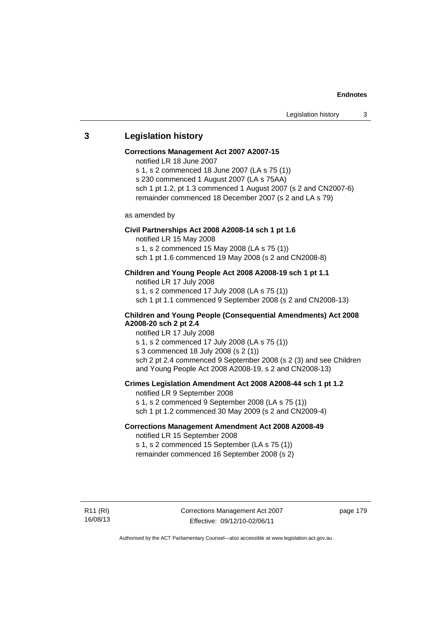## **3 Legislation history**

#### **Corrections Management Act 2007 A2007-15**

notified LR 18 June 2007

s 1, s 2 commenced 18 June 2007 (LA s 75 (1))

s 230 commenced 1 August 2007 (LA s 75AA) sch 1 pt 1.2, pt 1.3 commenced 1 August 2007 (s 2 and CN2007-6)

remainder commenced 18 December 2007 (s 2 and LA s 79)

as amended by

### **Civil Partnerships Act 2008 A2008-14 sch 1 pt 1.6**

notified LR 15 May 2008

s 1, s 2 commenced 15 May 2008 (LA s 75 (1))

sch 1 pt 1.6 commenced 19 May 2008 (s 2 and CN2008-8)

## **Children and Young People Act 2008 A2008-19 sch 1 pt 1.1**

notified LR 17 July 2008 s 1, s 2 commenced 17 July 2008 (LA s 75 (1)) sch 1 pt 1.1 commenced 9 September 2008 (s 2 and CN2008-13)

## **Children and Young People (Consequential Amendments) Act 2008 A2008-20 sch 2 pt 2.4**

notified LR 17 July 2008

s 1, s 2 commenced 17 July 2008 (LA s 75 (1))

s 3 commenced 18 July 2008 (s 2 (1))

sch 2 pt 2.4 commenced 9 September 2008 (s 2 (3) and see Children and Young People Act 2008 A2008-19, s 2 and CN2008-13)

## **Crimes Legislation Amendment Act 2008 A2008-44 sch 1 pt 1.2**

notified LR 9 September 2008 s 1, s 2 commenced 9 September 2008 (LA s 75 (1))

sch 1 pt 1.2 commenced 30 May 2009 (s 2 and CN2009-4)

# **Corrections Management Amendment Act 2008 A2008-49**

notified LR 15 September 2008

s 1, s 2 commenced 15 September (LA s 75 (1)) remainder commenced 16 September 2008 (s 2)

R11 (RI) 16/08/13 Corrections Management Act 2007 Effective: 09/12/10-02/06/11

page 179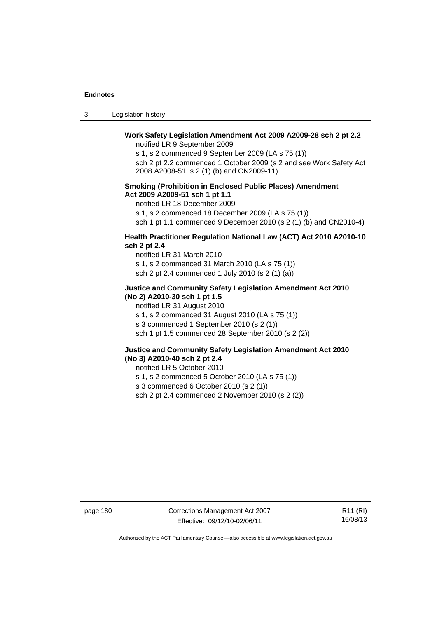| -3 | Legislation history |  |
|----|---------------------|--|
|----|---------------------|--|

#### **Work Safety Legislation Amendment Act 2009 A2009-28 sch 2 pt 2.2**  notified LR 9 September 2009

s 1, s 2 commenced 9 September 2009 (LA s 75 (1))

sch 2 pt 2.2 commenced 1 October 2009 (s 2 and see Work Safety Act 2008 A2008-51, s 2 (1) (b) and CN2009-11)

### **Smoking (Prohibition in Enclosed Public Places) Amendment Act 2009 A2009-51 sch 1 pt 1.1**

notified LR 18 December 2009

s 1, s 2 commenced 18 December 2009 (LA s 75 (1))

sch 1 pt 1.1 commenced 9 December 2010 (s 2 (1) (b) and CN2010-4)

## **Health Practitioner Regulation National Law (ACT) Act 2010 A2010-10 sch 2 pt 2.4**

notified LR 31 March 2010 s 1, s 2 commenced 31 March 2010 (LA s 75 (1)) sch 2 pt 2.4 commenced 1 July 2010 (s 2 (1) (a))

#### **Justice and Community Safety Legislation Amendment Act 2010 (No 2) A2010-30 sch 1 pt 1.5**

notified LR 31 August 2010

s 1, s 2 commenced 31 August 2010 (LA s 75 (1))

s 3 commenced 1 September 2010 (s 2 (1))

sch 1 pt 1.5 commenced 28 September 2010 (s 2 (2))

### **Justice and Community Safety Legislation Amendment Act 2010 (No 3) A2010-40 sch 2 pt 2.4**

notified LR 5 October 2010

s 1, s 2 commenced 5 October 2010 (LA s 75 (1))

s 3 commenced 6 October 2010 (s 2 (1))

sch 2 pt 2.4 commenced 2 November 2010 (s 2 (2))

page 180 Corrections Management Act 2007 Effective: 09/12/10-02/06/11

R11 (RI) 16/08/13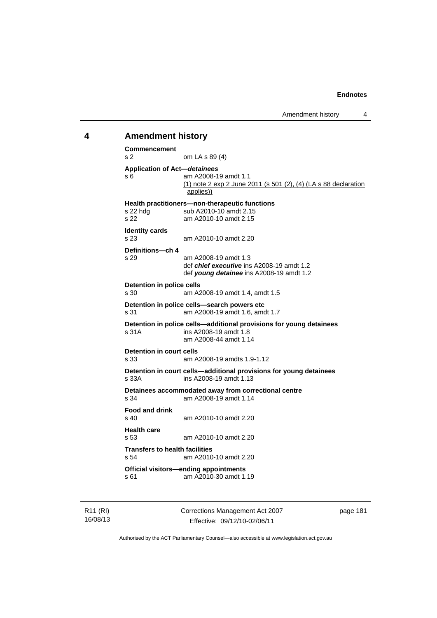## **4 Amendment history**

**Commencement**  s 2 om LA s 89 (4) **Application of Act—***detainees* s 6 am A2008-19 amdt 1.1 (1) note 2 exp 2 June 2011 (s 501 (2), (4) (LA s 88 declaration applies)) **Health practitioners—non-therapeutic functions**  sub A2010-10 amdt 2.15 s 22 am A2010-10 amdt 2.15 **Identity cards**  s 23 am A2010-10 amdt 2.20 **Definitions—ch 4**  s 29 am A2008-19 amdt 1.3 def *chief executive* ins A2008-19 amdt 1.2 def *young detainee* ins A2008-19 amdt 1.2 **Detention in police cells**<br>
s 30 am A2 am A2008-19 amdt 1.4, amdt 1.5 **Detention in police cells—search powers etc**  s 31 am A2008-19 amdt 1.6, amdt 1.7 **Detention in police cells—additional provisions for young detainees**  s 31A ins A2008-19 amdt 1.8 am A2008-44 amdt 1.14 **Detention in court cells**<br>s 33 am A am A2008-19 amdts 1.9-1.12 **Detention in court cells—additional provisions for young detainees**  s 33A ins A2008-19 amdt 1.13 **Detainees accommodated away from correctional centre**  am A2008-19 amdt 1.14 **Food and drink**  s 40 am A2010-10 amdt 2.20 **Health care**  am A2010-10 amdt 2.20 **Transfers to health facilities**  s 54 am A2010-10 amdt 2.20 **Official visitors—ending appointments**  s 61 am A2010-30 amdt 1.19

R11 (RI) 16/08/13 Corrections Management Act 2007 Effective: 09/12/10-02/06/11

page 181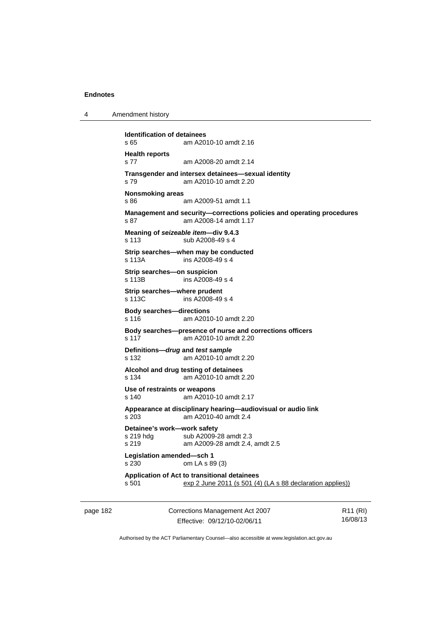4 Amendment history

```
Identification of detainees 
s 65 am A2010-10 amdt 2.16 
Health reports 
s 77 am A2008-20 amdt 2.14 
Transgender and intersex detainees—sexual identity 
s 79 am A2010-10 amdt 2.20 
Nonsmoking areas 
s 86 am A2009-51 amdt 1.1 
Management and security—corrections policies and operating procedures 
s 87 am A2008-14 amdt 1.17
Meaning of seizeable item—div 9.4.3 
s 113 sub A2008-49 s 4 
Strip searches—when may be conducted 
s 113A ins A2008-49 s 4 
Strip searches—on suspicion 
s 113B ins A2008-49 s 4 
Strip searches—where prudent 
s 113C ins A2008-49 s 4
Body searches—directions 
s 116 am A2010-10 amdt 2.20 
Body searches—presence of nurse and corrections officers 
s 117 am A2010-10 amdt 2.20 
Definitions—drug and test sample
s 132 am A2010-10 amdt 2.20 
Alcohol and drug testing of detainees 
s 134 am A2010-10 amdt 2.20 
Use of restraints or weapons 
s 140 am A2010-10 amdt 2.17 
Appearance at disciplinary hearing—audiovisual or audio link 
s 203 am A2010-40 amdt 2.4 
Detainee's work—work safety 
s 219 hdg sub A2009-28 amdt 2.3
s 219 am A2009-28 amdt 2.4, amdt 2.5 
Legislation amended—sch 1 
s 230 om LA s 89 (3) 
Application of Act to transitional detainees 
s 501 exp 2 June 2011 (s 501 (4) (LA s 88 declaration applies))
```
page 182 Corrections Management Act 2007 Effective: 09/12/10-02/06/11

R11 (RI) 16/08/13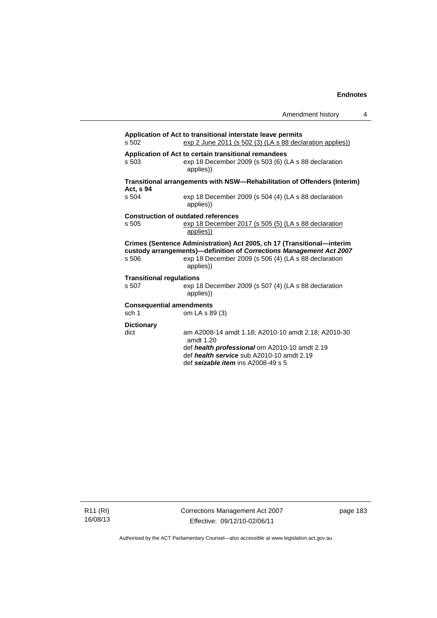| Amendment history |  |
|-------------------|--|
|-------------------|--|

| s 502                           | Application of Act to transitional interstate leave permits<br>$\frac{\text{exp 2 June 2011 (s 502 (3) (LA s 88 declaration applies))}}{(\text{L})}$                                                               |
|---------------------------------|--------------------------------------------------------------------------------------------------------------------------------------------------------------------------------------------------------------------|
| s <sub>503</sub>                | Application of Act to certain transitional remandees<br>exp 18 December 2009 (s 503 (6) (LA s 88 declaration<br>applies))                                                                                          |
| Act, s 94                       | Transitional arrangements with NSW-Rehabilitation of Offenders (Interim)                                                                                                                                           |
| s 504                           | exp 18 December 2009 (s 504 (4) (LA s 88 declaration<br>applies))                                                                                                                                                  |
|                                 | <b>Construction of outdated references</b>                                                                                                                                                                         |
| s 505                           | exp 18 December 2017 (s 505 (5) (LA s 88 declaration<br>applies))                                                                                                                                                  |
| s 506                           | Crimes (Sentence Administration) Act 2005, ch 17 (Transitional-interim<br>custody arrangements)-definition of Corrections Management Act 2007<br>exp 18 December 2009 (s 506 (4) (LA s 88 declaration<br>applies)) |
| <b>Transitional regulations</b> |                                                                                                                                                                                                                    |
| s 507                           | exp 18 December 2009 (s 507 (4) (LA s 88 declaration<br>applies))                                                                                                                                                  |
| <b>Consequential amendments</b> |                                                                                                                                                                                                                    |
| sch 1                           | om LA s 89 (3)                                                                                                                                                                                                     |
| <b>Dictionary</b><br>dict       | am A2008-14 amdt 1.18; A2010-10 amdt 2.18; A2010-30<br>amdt $1.20$<br>def health professional om A2010-10 amdt 2.19<br>def health service sub A2010-10 amdt 2.19                                                   |
|                                 |                                                                                                                                                                                                                    |

def *seizable item* ins A2008-49 s 5

R11 (RI) 16/08/13 Corrections Management Act 2007 Effective: 09/12/10-02/06/11

page 183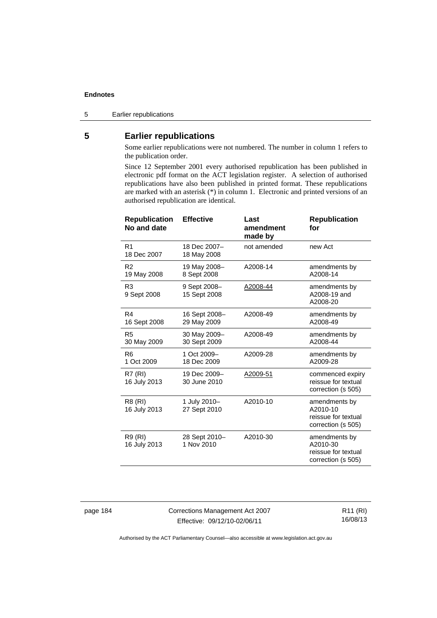5 Earlier republications

# **5 Earlier republications**

Some earlier republications were not numbered. The number in column 1 refers to the publication order.

Since 12 September 2001 every authorised republication has been published in electronic pdf format on the ACT legislation register. A selection of authorised republications have also been published in printed format. These republications are marked with an asterisk (\*) in column 1. Electronic and printed versions of an authorised republication are identical.

| <b>Republication</b><br>No and date | <b>Effective</b>             | Last<br>amendment<br>made by | <b>Republication</b><br>for                                            |
|-------------------------------------|------------------------------|------------------------------|------------------------------------------------------------------------|
| R <sub>1</sub><br>18 Dec 2007       | 18 Dec 2007-<br>18 May 2008  | not amended                  | new Act                                                                |
| R <sub>2</sub><br>19 May 2008       | 19 May 2008-<br>8 Sept 2008  | A2008-14                     | amendments by<br>A2008-14                                              |
| R <sub>3</sub><br>9 Sept 2008       | 9 Sept 2008-<br>15 Sept 2008 | A2008-44                     | amendments by<br>A2008-19 and<br>A2008-20                              |
| R4<br>16 Sept 2008                  | 16 Sept 2008-<br>29 May 2009 | A2008-49                     | amendments by<br>A2008-49                                              |
| R <sub>5</sub><br>30 May 2009       | 30 May 2009-<br>30 Sept 2009 | A2008-49                     | amendments by<br>A2008-44                                              |
| R <sub>6</sub><br>1 Oct 2009        | 1 Oct 2009-<br>18 Dec 2009   | A2009-28                     | amendments by<br>A2009-28                                              |
| R7 (RI)<br>16 July 2013             | 19 Dec 2009-<br>30 June 2010 | A2009-51                     | commenced expiry<br>reissue for textual<br>correction (s 505)          |
| R8 (RI)<br>16 July 2013             | 1 July 2010-<br>27 Sept 2010 | A2010-10                     | amendments by<br>A2010-10<br>reissue for textual<br>correction (s 505) |
| R9 (RI)<br>16 July 2013             | 28 Sept 2010-<br>1 Nov 2010  | A2010-30                     | amendments by<br>A2010-30<br>reissue for textual<br>correction (s 505) |

page 184 Corrections Management Act 2007 Effective: 09/12/10-02/06/11

R11 (RI) 16/08/13